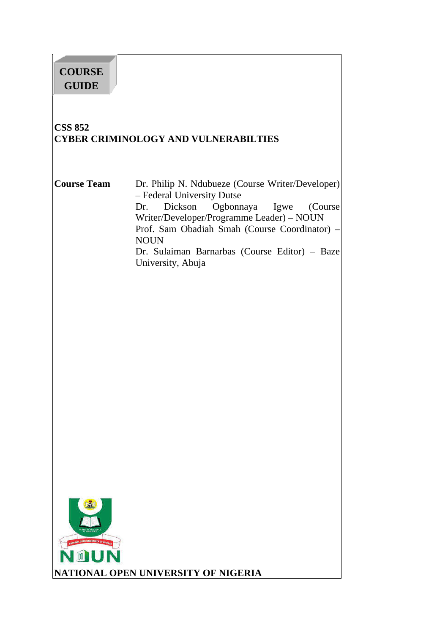# **COURSE GUIDE**

# **CSS 852 CYBER CRIMINOLOGY AND VULNERABILTIES**

**Course Team** Dr. Philip N. Ndubueze (Course Writer/Developer) – Federal University Dutse Dr. Dickson Ogbonnaya Igwe (Course Writer/Developer/Programme Leader) – NOUN Prof. Sam Obadiah Smah (Course Coordinator) – NOUN Dr. Sulaiman Barnarbas (Course Editor) – Baze University, Abuja

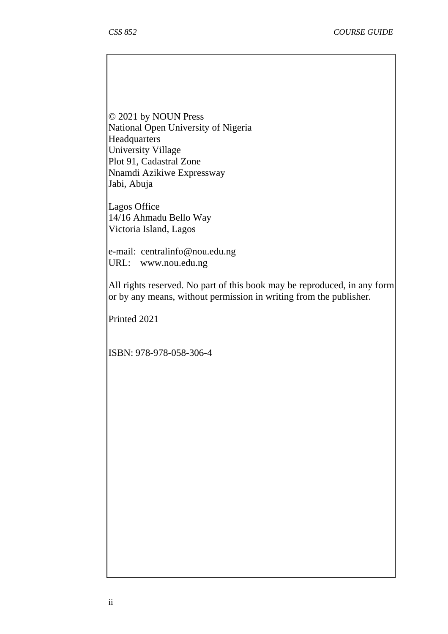© 2021 by NOUN Press National Open University of Nigeria Headquarters University Village Plot 91, Cadastral Zone Nnamdi Azikiwe Expressway Jabi, Abuja

Lagos Office 14/16 Ahmadu Bello Way Victoria Island, Lagos

e-mail: centralinfo@nou.edu.ng URL: www.nou.edu.ng

All rights reserved. No part of this book may be reproduced, in any form or by any means, without permission in writing from the publisher.

Printed 2021

ISBN: 978-978-058-306-4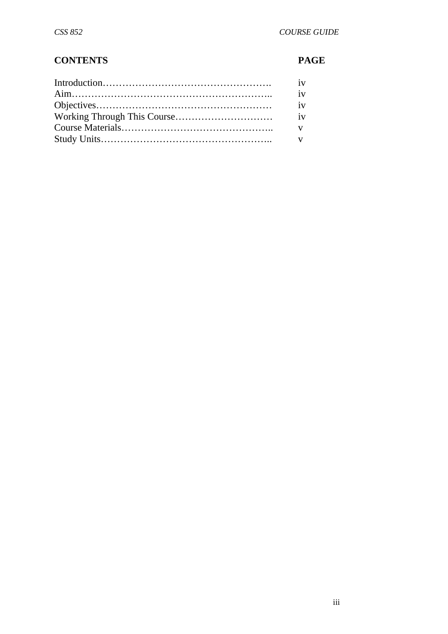# **CONTENTS PAGE**

| iv           |
|--------------|
| iv           |
|              |
| $\mathbf{V}$ |
|              |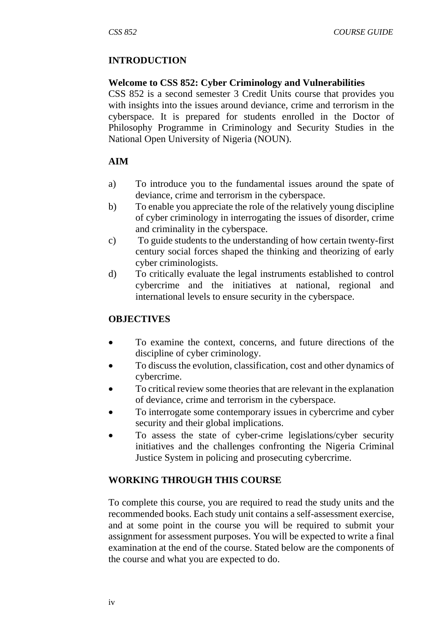# **INTRODUCTION**

#### **Welcome to CSS 852: Cyber Criminology and Vulnerabilities**

CSS 852 is a second semester 3 Credit Units course that provides you with insights into the issues around deviance, crime and terrorism in the cyberspace. It is prepared for students enrolled in the Doctor of Philosophy Programme in Criminology and Security Studies in the National Open University of Nigeria (NOUN).

#### **AIM**

- a) To introduce you to the fundamental issues around the spate of deviance, crime and terrorism in the cyberspace.
- b) To enable you appreciate the role of the relatively young discipline of cyber criminology in interrogating the issues of disorder, crime and criminality in the cyberspace.
- c) To guide students to the understanding of how certain twenty-first century social forces shaped the thinking and theorizing of early cyber criminologists.
- d) To critically evaluate the legal instruments established to control cybercrime and the initiatives at national, regional and international levels to ensure security in the cyberspace.

#### **OBJECTIVES**

- To examine the context, concerns, and future directions of the discipline of cyber criminology.
- To discuss the evolution, classification, cost and other dynamics of cybercrime.
- To critical review some theories that are relevant in the explanation of deviance, crime and terrorism in the cyberspace.
- To interrogate some contemporary issues in cybercrime and cyber security and their global implications.
- To assess the state of cyber-crime legislations/cyber security initiatives and the challenges confronting the Nigeria Criminal Justice System in policing and prosecuting cybercrime.

# **WORKING THROUGH THIS COURSE**

To complete this course, you are required to read the study units and the recommended books. Each study unit contains a self-assessment exercise, and at some point in the course you will be required to submit your assignment for assessment purposes. You will be expected to write a final examination at the end of the course. Stated below are the components of the course and what you are expected to do.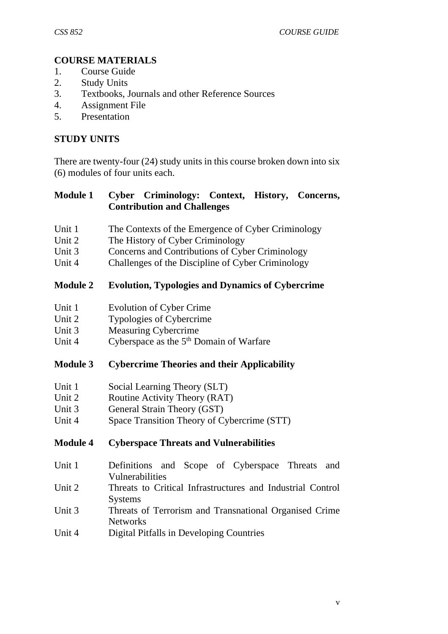# **COURSE MATERIALS**

- 1. Course Guide
- 2. Study Units
- 3. Textbooks, Journals and other Reference Sources
- 4. Assignment File
- 5. Presentation

#### **STUDY UNITS**

There are twenty-four (24) study units in this course broken down into six (6) modules of four units each.

## **Module 1 Cyber Criminology: Context, History, Concerns, Contribution and Challenges**

- Unit 1 The Contexts of the Emergence of Cyber Criminology
- Unit 2 The History of Cyber Criminology
- Unit 3 Concerns and Contributions of Cyber Criminology
- Unit 4 Challenges of the Discipline of Cyber Criminology

#### **Module 2 Evolution, Typologies and Dynamics of Cybercrime**

- Unit 1 Evolution of Cyber Crime
- Unit 2 Typologies of Cybercrime
- Unit 3 Measuring Cybercrime
- Unit 4 Cyberspace as the 5<sup>th</sup> Domain of Warfare

#### **Module 3 Cybercrime Theories and their Applicability**

- Unit 1 Social Learning Theory (SLT)
- Unit 2 Routine Activity Theory (RAT)
- Unit 3 General Strain Theory (GST)
- Unit 4 Space Transition Theory of Cybercrime (STT)

# **Module 4 Cyberspace Threats and Vulnerabilities**

- Unit 1 Definitions and Scope of Cyberspace Threats and Vulnerabilities
- Unit 2 Threats to Critical Infrastructures and Industrial Control **Systems**
- Unit 3 Threats of Terrorism and Transnational Organised Crime Networks
- Unit 4 Digital Pitfalls in Developing Countries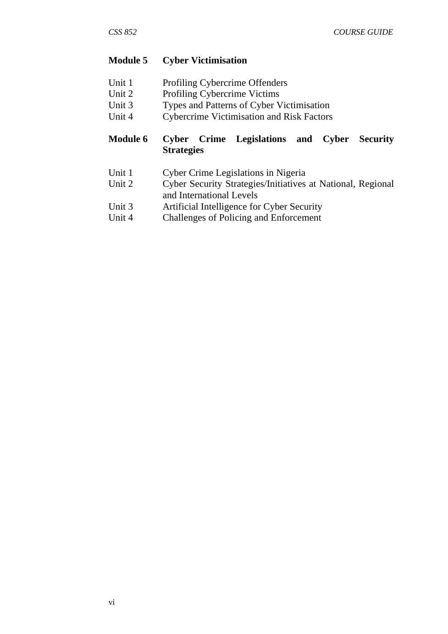#### **Module 5 Cyber Victimisation**

| Unit 1 | Profiling Cybercrime Offenders |
|--------|--------------------------------|
|--------|--------------------------------|

- Unit 2 Profiling Cybercrime Victims
- Unit 3 Types and Patterns of Cyber Victimisation
- Unit 4 Cybercrime Victimisation and Risk Factors

# **Module 6 Cyber Crime Legislations and Cyber Security Strategies**

- Unit 1 Cyber Crime Legislations in Nigeria
- Unit 2 Cyber Security Strategies/Initiatives at National, Regional and International Levels
- Unit 3 Artificial Intelligence for Cyber Security
- Unit 4 Challenges of Policing and Enforcement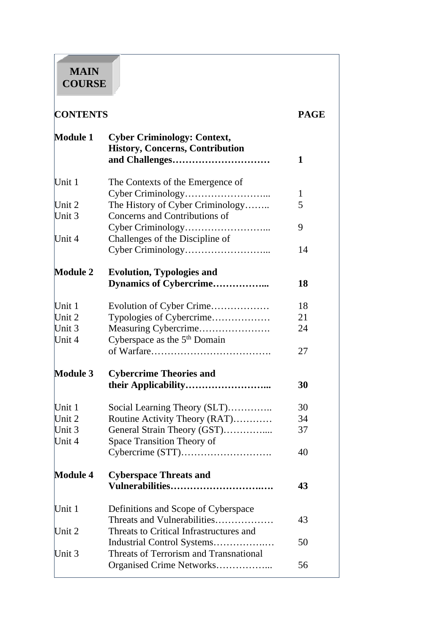# **MAIN COURSE**

# **CONTENTS PAGE**

| <b>Module 1</b> | <b>Cyber Criminology: Context,</b><br><b>History, Concerns, Contribution</b> | 1      |
|-----------------|------------------------------------------------------------------------------|--------|
| Unit 1          | The Contexts of the Emergence of                                             |        |
| Unit 2          | The History of Cyber Criminology                                             | 1<br>5 |
| Unit 3          | Concerns and Contributions of                                                |        |
|                 |                                                                              | 9      |
| Unit 4          | Challenges of the Discipline of                                              |        |
|                 |                                                                              | 14     |
| <b>Module 2</b> | <b>Evolution, Typologies and</b>                                             |        |
|                 | Dynamics of Cybercrime                                                       | 18     |
| Unit 1          | Evolution of Cyber Crime                                                     | 18     |
| Unit 2          | Typologies of Cybercrime                                                     | 21     |
| Unit 3          | Measuring Cybercrime                                                         | 24     |
| Unit 4          | Cyberspace as the 5 <sup>th</sup> Domain                                     |        |
|                 |                                                                              | 27     |
| <b>Module 3</b> | <b>Cybercrime Theories and</b>                                               |        |
|                 |                                                                              | 30     |
| Unit 1          | Social Learning Theory (SLT)                                                 | 30     |
| Unit 2          | Routine Activity Theory (RAT)                                                | 34     |
| Unit 3          | General Strain Theory (GST)                                                  | 37     |
| Unit 4          | Space Transition Theory of                                                   |        |
|                 |                                                                              | 40     |
| <b>Module 4</b> | <b>Cyberspace Threats and</b>                                                |        |
|                 | Vulnerabilities                                                              | 43     |
| Unit 1          | Definitions and Scope of Cyberspace                                          |        |
|                 | Threats and Vulnerabilities                                                  | 43     |
| Unit 2          | Threats to Critical Infrastructures and                                      |        |
|                 | Industrial Control Systems                                                   | 50     |
| Unit 3          | Threats of Terrorism and Transnational                                       |        |
|                 | Organised Crime Networks                                                     | 56     |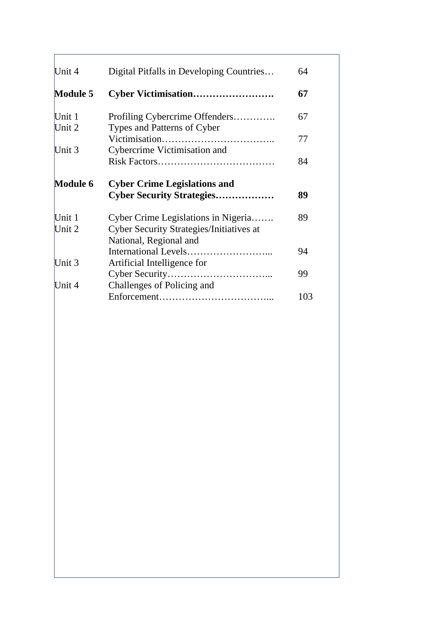| Unit 4           | Digital Pitfalls in Developing Countries                                                                         | 64  |
|------------------|------------------------------------------------------------------------------------------------------------------|-----|
| <b>Module 5</b>  |                                                                                                                  | 67  |
| Unit 1<br>Unit 2 | Profiling Cybercrime Offenders<br>Types and Patterns of Cyber                                                    | 67  |
| Unit 3           | Cybercrime Victimisation and                                                                                     | 77  |
|                  |                                                                                                                  | 84  |
| <b>Module 6</b>  | <b>Cyber Crime Legislations and</b>                                                                              |     |
|                  | <b>Cyber Security Strategies</b>                                                                                 | 89  |
| Unit 1<br>Unit 2 | Cyber Crime Legislations in Nigeria<br><b>Cyber Security Strategies/Initiatives at</b><br>National, Regional and | 89  |
|                  |                                                                                                                  | 94  |
| Unit 3           | Artificial Intelligence for                                                                                      | 99  |
| Unit 4           | Challenges of Policing and                                                                                       |     |
|                  |                                                                                                                  | 103 |
|                  |                                                                                                                  |     |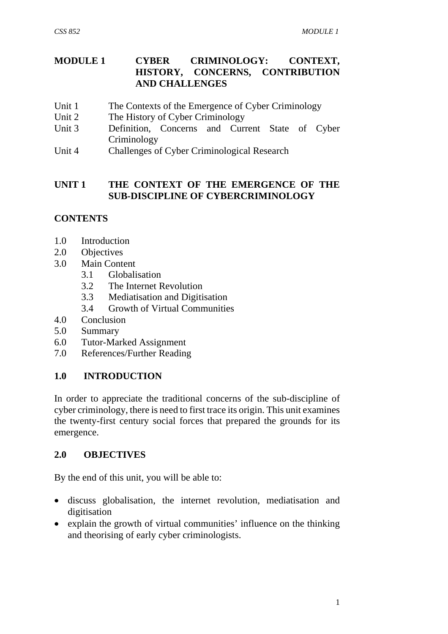### **MODULE 1 CYBER CRIMINOLOGY: CONTEXT,<br>HISTORY. CONCERNS. CONTRIBUTION CONCERNS, CONTRIBUTION AND CHALLENGES**

- Unit 1 The Contexts of the Emergence of Cyber Criminology
- Unit 2 The History of Cyber Criminology
- Unit 3 Definition, Concerns and Current State of Cyber Criminology
- Unit 4 Challenges of Cyber Criminological Research

#### **UNIT 1 THE CONTEXT OF THE EMERGENCE OF THE SUB-DISCIPLINE OF CYBERCRIMINOLOGY**

## **CONTENTS**

- 1.0 Introduction
- 2.0 Objectives
- 3.0 Main Content
	- 3.1 Globalisation
	- 3.2 The Internet Revolution
	- 3.3 Mediatisation and Digitisation
	- 3.4 Growth of Virtual Communities
- 4.0 Conclusion
- 5.0 Summary
- 6.0 Tutor-Marked Assignment
- 7.0 References/Further Reading

#### **1.0 INTRODUCTION**

In order to appreciate the traditional concerns of the sub-discipline of cyber criminology, there is need to first trace its origin. This unit examines the twenty-first century social forces that prepared the grounds for its emergence.

#### **2.0 OBJECTIVES**

By the end of this unit, you will be able to:

- discuss globalisation, the internet revolution, mediatisation and digitisation
- explain the growth of virtual communities' influence on the thinking and theorising of early cyber criminologists.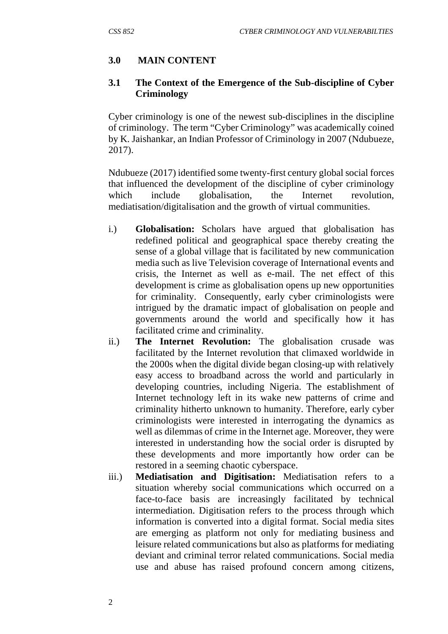# **3.0 MAIN CONTENT**

#### **3.1 The Context of the Emergence of the Sub-discipline of Cyber Criminology**

Cyber criminology is one of the newest sub-disciplines in the discipline of criminology. The term "Cyber Criminology" was academically coined by K. Jaishankar, an Indian Professor of Criminology in 2007 (Ndubueze, 2017).

Ndubueze (2017) identified some twenty-first century global social forces that influenced the development of the discipline of cyber criminology which include globalisation, the Internet revolution, mediatisation/digitalisation and the growth of virtual communities.

- i.) **Globalisation:** Scholars have argued that globalisation has redefined political and geographical space thereby creating the sense of a global village that is facilitated by new communication media such as live Television coverage of International events and crisis, the Internet as well as e-mail. The net effect of this development is crime as globalisation opens up new opportunities for criminality. Consequently, early cyber criminologists were intrigued by the dramatic impact of globalisation on people and governments around the world and specifically how it has facilitated crime and criminality.
- ii.) **The Internet Revolution:** The globalisation crusade was facilitated by the Internet revolution that climaxed worldwide in the 2000s when the digital divide began closing-up with relatively easy access to broadband across the world and particularly in developing countries, including Nigeria. The establishment of Internet technology left in its wake new patterns of crime and criminality hitherto unknown to humanity. Therefore, early cyber criminologists were interested in interrogating the dynamics as well as dilemmas of crime in the Internet age. Moreover, they were interested in understanding how the social order is disrupted by these developments and more importantly how order can be restored in a seeming chaotic cyberspace.
- iii.) **Mediatisation and Digitisation:** Mediatisation refers to a situation whereby social communications which occurred on a face-to-face basis are increasingly facilitated by technical intermediation. Digitisation refers to the process through which information is converted into a digital format. Social media sites are emerging as platform not only for mediating business and leisure related communications but also as platforms for mediating deviant and criminal terror related communications. Social media use and abuse has raised profound concern among citizens,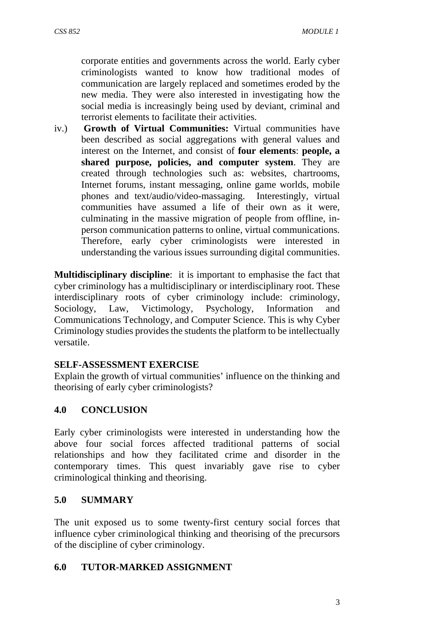corporate entities and governments across the world. Early cyber criminologists wanted to know how traditional modes of communication are largely replaced and sometimes eroded by the new media. They were also interested in investigating how the social media is increasingly being used by deviant, criminal and terrorist elements to facilitate their activities.

iv.) **Growth of Virtual Communities:** Virtual communities have been described as social aggregations with general values and interest on the Internet, and consist of **four elements**: **people, a shared purpose, policies, and computer system**. They are created through technologies such as: websites, chartrooms, Internet forums, instant messaging, online game worlds, mobile phones and text/audio/video-massaging. Interestingly, virtual communities have assumed a life of their own as it were, culminating in the massive migration of people from offline, inperson communication patterns to online, virtual communications. Therefore, early cyber criminologists were interested in understanding the various issues surrounding digital communities.

**Multidisciplinary discipline**: it is important to emphasise the fact that cyber criminology has a multidisciplinary or interdisciplinary root. These interdisciplinary roots of cyber criminology include: criminology, Sociology, Law, Victimology, Psychology, Information and Communications Technology, and Computer Science. This is why Cyber Criminology studies provides the students the platform to be intellectually versatile.

#### **SELF-ASSESSMENT EXERCISE**

Explain the growth of virtual communities' influence on the thinking and theorising of early cyber criminologists?

#### **4.0 CONCLUSION**

Early cyber criminologists were interested in understanding how the above four social forces affected traditional patterns of social relationships and how they facilitated crime and disorder in the contemporary times. This quest invariably gave rise to cyber criminological thinking and theorising.

#### **5.0 SUMMARY**

The unit exposed us to some twenty-first century social forces that influence cyber criminological thinking and theorising of the precursors of the discipline of cyber criminology.

#### **6.0 TUTOR-MARKED ASSIGNMENT**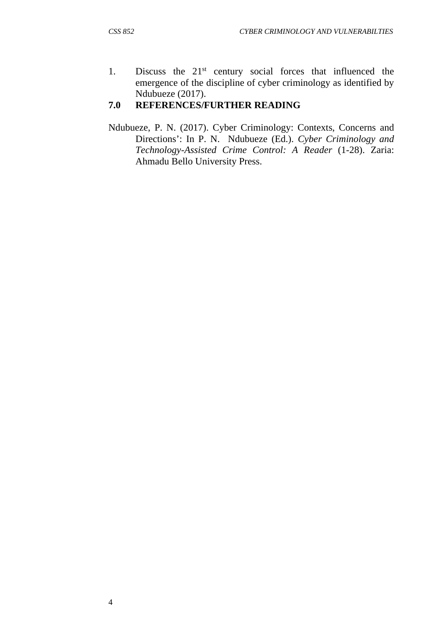1. Discuss the 21<sup>st</sup> century social forces that influenced the emergence of the discipline of cyber criminology as identified by Ndubueze (2017).

## **7.0 REFERENCES/FURTHER READING**

Ndubueze, P. N. (2017). Cyber Criminology: Contexts, Concerns and Directions': In P. N. Ndubueze (Ed.). *Cyber Criminology and Technology-Assisted Crime Control: A Reader* (1-28). Zaria: Ahmadu Bello University Press.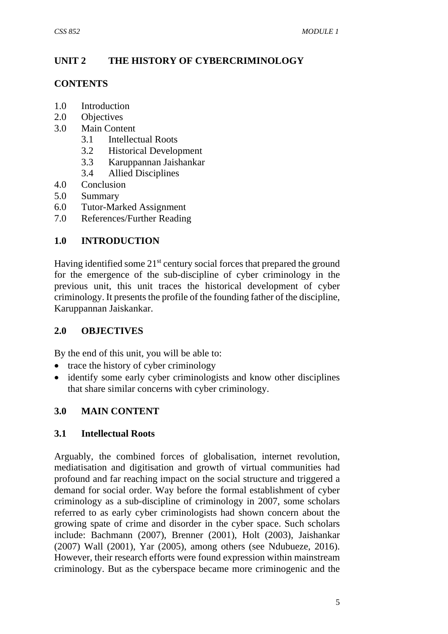# **UNIT 2 THE HISTORY OF CYBERCRIMINOLOGY**

# **CONTENTS**

- 1.0 Introduction
- 2.0 Objectives
- 3.0 Main Content
	- 3.1 Intellectual Roots
	- 3.2 Historical Development
	- 3.3 Karuppannan Jaishankar
	- 3.4 Allied Disciplines
- 4.0 Conclusion
- 5.0 Summary
- 6.0 Tutor-Marked Assignment
- 7.0 References/Further Reading

## **1.0 INTRODUCTION**

Having identified some  $21<sup>st</sup>$  century social forces that prepared the ground for the emergence of the sub-discipline of cyber criminology in the previous unit, this unit traces the historical development of cyber criminology. It presents the profile of the founding father of the discipline, Karuppannan Jaiskankar.

#### **2.0 OBJECTIVES**

By the end of this unit, you will be able to:

- trace the history of cyber criminology
- identify some early cyber criminologists and know other disciplines that share similar concerns with cyber criminology.

#### **3.0 MAIN CONTENT**

#### **3.1 Intellectual Roots**

Arguably, the combined forces of globalisation, internet revolution, mediatisation and digitisation and growth of virtual communities had profound and far reaching impact on the social structure and triggered a demand for social order. Way before the formal establishment of cyber criminology as a sub-discipline of criminology in 2007, some scholars referred to as early cyber criminologists had shown concern about the growing spate of crime and disorder in the cyber space. Such scholars include: Bachmann (2007), Brenner (2001), Holt (2003), Jaishankar (2007) Wall (2001), Yar (2005), among others (see Ndubueze, 2016). However, their research efforts were found expression within mainstream criminology. But as the cyberspace became more criminogenic and the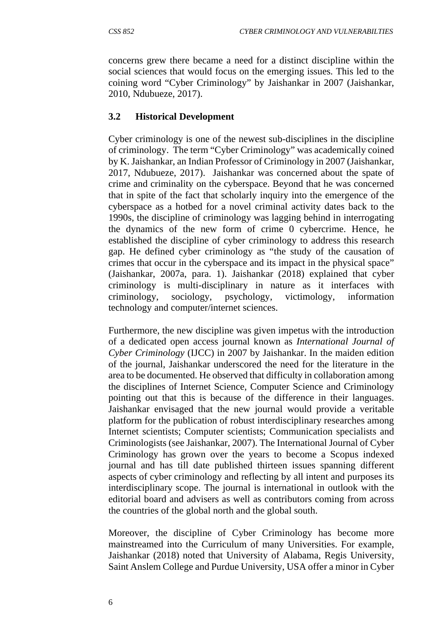concerns grew there became a need for a distinct discipline within the social sciences that would focus on the emerging issues. This led to the coining word "Cyber Criminology" by Jaishankar in 2007 (Jaishankar, 2010, Ndubueze, 2017).

## **3.2 Historical Development**

Cyber criminology is one of the newest sub-disciplines in the discipline of criminology. The term "Cyber Criminology" was academically coined by K. Jaishankar, an Indian Professor of Criminology in 2007 (Jaishankar, 2017, Ndubueze, 2017). Jaishankar was concerned about the spate of crime and criminality on the cyberspace. Beyond that he was concerned that in spite of the fact that scholarly inquiry into the emergence of the cyberspace as a hotbed for a novel criminal activity dates back to the 1990s, the discipline of criminology was lagging behind in interrogating the dynamics of the new form of crime 0 cybercrime. Hence, he established the discipline of cyber criminology to address this research gap. He defined cyber criminology as "the study of the causation of crimes that occur in the cyberspace and its impact in the physical space" (Jaishankar, 2007a, para. 1). Jaishankar (2018) explained that cyber criminology is multi-disciplinary in nature as it interfaces with criminology, sociology, psychology, victimology, information technology and computer/internet sciences.

Furthermore, the new discipline was given impetus with the introduction of a dedicated open access journal known as *International Journal of Cyber Criminology* (IJCC) in 2007 by Jaishankar. In the maiden edition of the journal, Jaishankar underscored the need for the literature in the area to be documented. He observed that difficulty in collaboration among the disciplines of Internet Science, Computer Science and Criminology pointing out that this is because of the difference in their languages. Jaishankar envisaged that the new journal would provide a veritable platform for the publication of robust interdisciplinary researches among Internet scientists; Computer scientists; Communication specialists and Criminologists (see Jaishankar, 2007). The International Journal of Cyber Criminology has grown over the years to become a Scopus indexed journal and has till date published thirteen issues spanning different aspects of cyber criminology and reflecting by all intent and purposes its interdisciplinary scope. The journal is international in outlook with the editorial board and advisers as well as contributors coming from across the countries of the global north and the global south.

Moreover, the discipline of Cyber Criminology has become more mainstreamed into the Curriculum of many Universities. For example, Jaishankar (2018) noted that University of Alabama, Regis University, Saint Anslem College and Purdue University, USA offer a minor in Cyber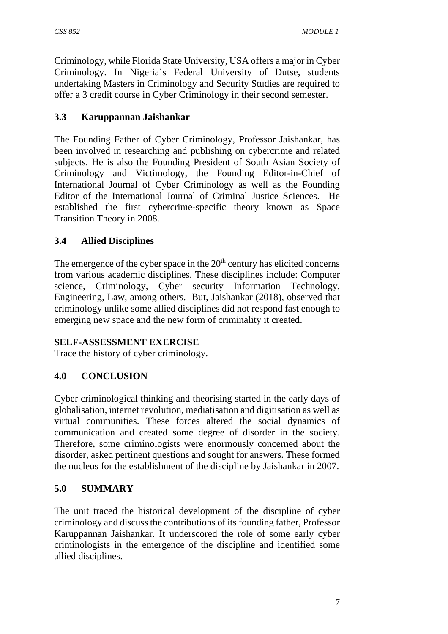Criminology, while Florida State University, USA offers a major in Cyber Criminology. In Nigeria's Federal University of Dutse, students undertaking Masters in Criminology and Security Studies are required to offer a 3 credit course in Cyber Criminology in their second semester.

# **3.3 Karuppannan Jaishankar**

The Founding Father of Cyber Criminology, Professor Jaishankar, has been involved in researching and publishing on cybercrime and related subjects. He is also the Founding President of South Asian Society of Criminology and Victimology, the Founding Editor-in-Chief of International Journal of Cyber Criminology as well as the Founding Editor of the International Journal of Criminal Justice Sciences. He established the first cybercrime-specific theory known as Space Transition Theory in 2008.

# **3.4 Allied Disciplines**

The emergence of the cyber space in the  $20<sup>th</sup>$  century has elicited concerns from various academic disciplines. These disciplines include: Computer science, Criminology, Cyber security Information Technology, Engineering, Law, among others. But, Jaishankar (2018), observed that criminology unlike some allied disciplines did not respond fast enough to emerging new space and the new form of criminality it created.

# **SELF-ASSESSMENT EXERCISE**

Trace the history of cyber criminology.

# **4.0 CONCLUSION**

Cyber criminological thinking and theorising started in the early days of globalisation, internet revolution, mediatisation and digitisation as well as virtual communities. These forces altered the social dynamics of communication and created some degree of disorder in the society. Therefore, some criminologists were enormously concerned about the disorder, asked pertinent questions and sought for answers. These formed the nucleus for the establishment of the discipline by Jaishankar in 2007.

# **5.0 SUMMARY**

The unit traced the historical development of the discipline of cyber criminology and discuss the contributions of its founding father, Professor Karuppannan Jaishankar. It underscored the role of some early cyber criminologists in the emergence of the discipline and identified some allied disciplines.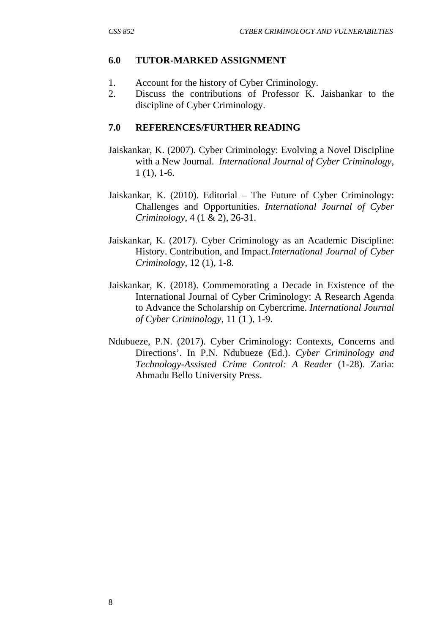# **6.0 TUTOR-MARKED ASSIGNMENT**

- 1. Account for the history of Cyber Criminology.
- 2. Discuss the contributions of Professor K. Jaishankar to the discipline of Cyber Criminology.

# **7.0 REFERENCES/FURTHER READING**

- Jaiskankar, K. (2007). Cyber Criminology: Evolving a Novel Discipline with a New Journal. *International Journal of Cyber Criminology*, 1 (1), 1-6.
- Jaiskankar, K. (2010). Editorial The Future of Cyber Criminology: Challenges and Opportunities. *International Journal of Cyber Criminology*, 4 (1 & 2), 26-31.
- Jaiskankar, K. (2017). Cyber Criminology as an Academic Discipline: History. Contribution, and Impact. *International Journal of Cyber Criminology*, 12 (1), 1-8.
- Jaiskankar, K. (2018). Commemorating a Decade in Existence of the International Journal of Cyber Criminology: A Research Agenda to Advance the Scholarship on Cybercrime. *International Journal of Cyber Criminology*, 11 (1 ), 1-9.
- Ndubueze, P.N. (2017). Cyber Criminology: Contexts, Concerns and Directions'. In P.N. Ndubueze (Ed.). *Cyber Criminology and Technology-Assisted Crime Control: A Reader* (1-28). Zaria: Ahmadu Bello University Press.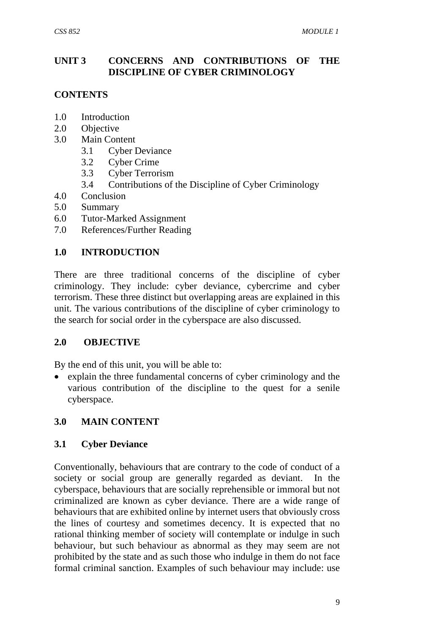# **UNIT 3 CONCERNS AND CONTRIBUTIONS OF THE DISCIPLINE OF CYBER CRIMINOLOGY**

## **CONTENTS**

- 1.0 Introduction
- 2.0 Objective
- 3.0 Main Content
	- 3.1 Cyber Deviance
	- 3.2 Cyber Crime
	- 3.3 Cyber Terrorism
	- 3.4 Contributions of the Discipline of Cyber Criminology
- 4.0 Conclusion
- 5.0 Summary
- 6.0 Tutor-Marked Assignment
- 7.0 References/Further Reading

## **1.0 INTRODUCTION**

There are three traditional concerns of the discipline of cyber criminology. They include: cyber deviance, cybercrime and cyber terrorism. These three distinct but overlapping areas are explained in this unit. The various contributions of the discipline of cyber criminology to the search for social order in the cyberspace are also discussed.

#### **2.0 OBJECTIVE**

By the end of this unit, you will be able to:

 explain the three fundamental concerns of cyber criminology and the various contribution of the discipline to the quest for a senile cyberspace.

#### **3.0 MAIN CONTENT**

#### **3.1 Cyber Deviance**

Conventionally, behaviours that are contrary to the code of conduct of a society or social group are generally regarded as deviant. In the cyberspace, behaviours that are socially reprehensible or immoral but not criminalized are known as cyber deviance. There are a wide range of behaviours that are exhibited online by internet users that obviously cross the lines of courtesy and sometimes decency. It is expected that no rational thinking member of society will contemplate or indulge in such behaviour, but such behaviour as abnormal as they may seem are not prohibited by the state and as such those who indulge in them do not face formal criminal sanction. Examples of such behaviour may include: use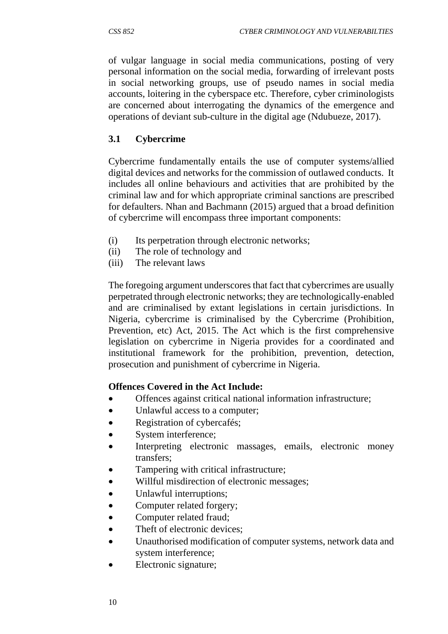of vulgar language in social media communications, posting of very personal information on the social media, forwarding of irrelevant posts in social networking groups, use of pseudo names in social media accounts, loitering in the cyberspace etc. Therefore, cyber criminologists are concerned about interrogating the dynamics of the emergence and operations of deviant sub-culture in the digital age (Ndubueze, 2017).

# **3.1 Cybercrime**

Cybercrime fundamentally entails the use of computer systems/allied digital devices and networks for the commission of outlawed conducts. It includes all online behaviours and activities that are prohibited by the criminal law and for which appropriate criminal sanctions are prescribed for defaulters. Nhan and Bachmann (2015) argued that a broad definition of cybercrime will encompass three important components:

- (i) Its perpetration through electronic networks;
- (ii) The role of technology and
- (iii) The relevant laws

The foregoing argument underscores that fact that cybercrimes are usually perpetrated through electronic networks; they are technologically-enabled and are criminalised by extant legislations in certain jurisdictions. In Nigeria, cybercrime is criminalised by the Cybercrime (Prohibition, Prevention, etc) Act, 2015. The Act which is the first comprehensive legislation on cybercrime in Nigeria provides for a coordinated and institutional framework for the prohibition, prevention, detection, prosecution and punishment of cybercrime in Nigeria.

#### **Offences Covered in the Act Include:**

- Offences against critical national information infrastructure;
- Unlawful access to a computer;
- Registration of cybercafés;
- System interference;
- Interpreting electronic massages, emails, electronic money transfers;
- Tampering with critical infrastructure;
- Willful misdirection of electronic messages;
- Unlawful interruptions;
- Computer related forgery;
- Computer related fraud;
- Theft of electronic devices:
- Unauthorised modification of computer systems, network data and system interference;
- Electronic signature;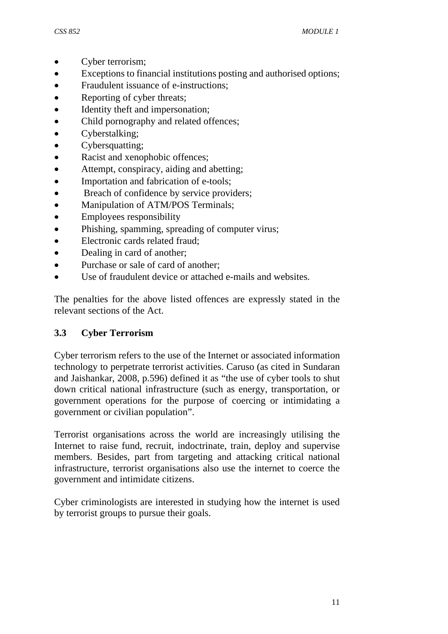- Cyber terrorism;
- Exceptions to financial institutions posting and authorised options;
- Fraudulent issuance of e-instructions;
- Reporting of cyber threats:
- Identity theft and impersonation;
- Child pornography and related offences;
- Cyberstalking;
- Cybersquatting;
- Racist and xenophobic offences;
- Attempt, conspiracy, aiding and abetting;
- Importation and fabrication of e-tools:
- Breach of confidence by service providers;
- Manipulation of ATM/POS Terminals;
- Employees responsibility
- Phishing, spamming, spreading of computer virus;
- Electronic cards related fraud:
- Dealing in card of another;
- Purchase or sale of card of another;
- Use of fraudulent device or attached e-mails and websites.

The penalties for the above listed offences are expressly stated in the relevant sections of the Act.

# **3.3 Cyber Terrorism**

Cyber terrorism refers to the use of the Internet or associated information technology to perpetrate terrorist activities. Caruso (as cited in Sundaran and Jaishankar, 2008, p.596) defined it as "the use of cyber tools to shut down critical national infrastructure (such as energy, transportation, or government operations for the purpose of coercing or intimidating a government or civilian population".

Terrorist organisations across the world are increasingly utilising the Internet to raise fund, recruit, indoctrinate, train, deploy and supervise members. Besides, part from targeting and attacking critical national infrastructure, terrorist organisations also use the internet to coerce the government and intimidate citizens.

Cyber criminologists are interested in studying how the internet is used by terrorist groups to pursue their goals.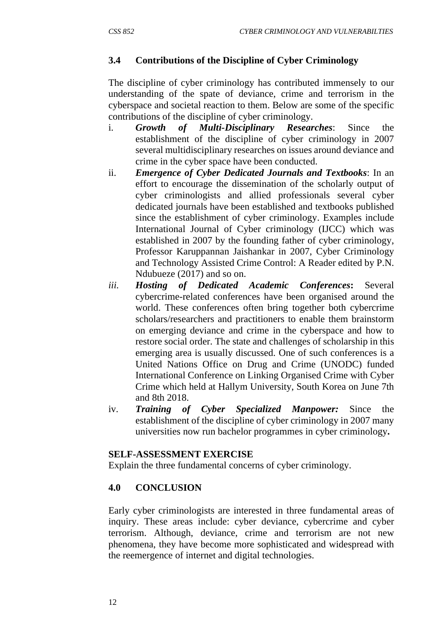# **3.4 Contributions of the Discipline of Cyber Criminology**

The discipline of cyber criminology has contributed immensely to our understanding of the spate of deviance, crime and terrorism in the cyberspace and societal reaction to them. Below are some of the specific contributions of the discipline of cyber criminology.

- i. *Growth of Multi-Disciplinary Researches*: Since the establishment of the discipline of cyber criminology in 2007 several multidisciplinary researches on issues around deviance and crime in the cyber space have been conducted.
- ii. *Emergence of Cyber Dedicated Journals and Textbooks*: In an effort to encourage the dissemination of the scholarly output of cyber criminologists and allied professionals several cyber dedicated journals have been established and textbooks published since the establishment of cyber criminology. Examples include International Journal of Cyber criminology (IJCC) which was established in 2007 by the founding father of cyber criminology, Professor Karuppannan Jaishankar in 2007, Cyber Criminology and Technology Assisted Crime Control: A Reader edited by P.N. Ndubueze (2017) and so on.
- *iii. Hosting of Dedicated Academic Conferences***:** Several cybercrime-related conferences have been organised around the world. These conferences often bring together both cybercrime scholars/researchers and practitioners to enable them brainstorm on emerging deviance and crime in the cyberspace and how to restore social order. The state and challenges of scholarship in this emerging area is usually discussed. One of such conferences is a United Nations Office on Drug and Crime (UNODC) funded International Conference on Linking Organised Crime with Cyber Crime which held at Hallym University, South Korea on June 7th and 8th 2018.
- iv. *Training of Cyber Specialized Manpower:* Since the establishment of the discipline of cyber criminology in 2007 many universities now run bachelor programmes in cyber criminology**.**

#### **SELF-ASSESSMENT EXERCISE**

Explain the three fundamental concerns of cyber criminology.

#### **4.0 CONCLUSION**

Early cyber criminologists are interested in three fundamental areas of inquiry. These areas include: cyber deviance, cybercrime and cyber terrorism. Although, deviance, crime and terrorism are not new phenomena, they have become more sophisticated and widespread with the reemergence of internet and digital technologies.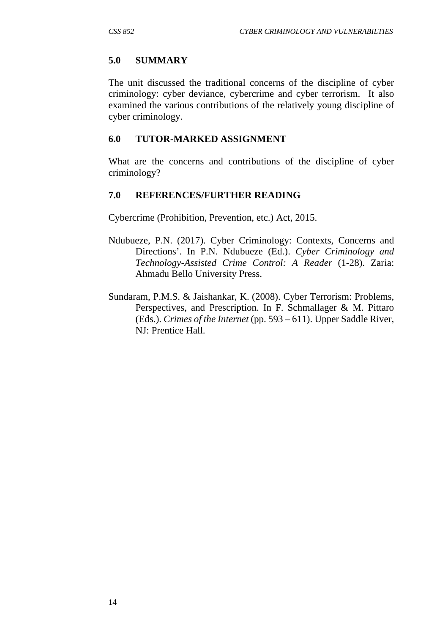#### **5.0 SUMMARY**

The unit discussed the traditional concerns of the discipline of cyber criminology: cyber deviance, cybercrime and cyber terrorism. It also examined the various contributions of the relatively young discipline of cyber criminology.

#### **6.0 TUTOR-MARKED ASSIGNMENT**

What are the concerns and contributions of the discipline of cyber criminology?

#### **7.0 REFERENCES/FURTHER READING**

Cybercrime (Prohibition, Prevention, etc.) Act, 2015.

- Ndubueze, P.N. (2017). Cyber Criminology: Contexts, Concerns and Directions'. In P.N. Ndubueze (Ed.). *Cyber Criminology and Technology-Assisted Crime Control: A Reader* (1-28). Zaria: Ahmadu Bello University Press.
- Sundaram, P.M.S. & Jaishankar, K. (2008). Cyber Terrorism: Problems, Perspectives, and Prescription. In F. Schmallager & M. Pittaro (Eds.). *Crimes of the Internet* (pp. 593 – 611). Upper Saddle River, NJ: Prentice Hall.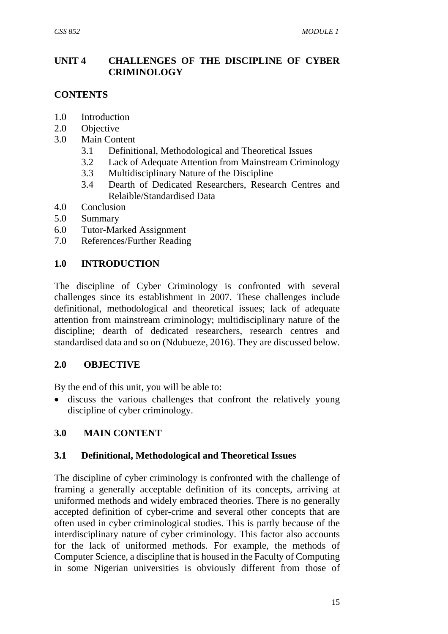### **UNIT 4 CHALLENGES OF THE DISCIPLINE OF CYBER CRIMINOLOGY**

#### **CONTENTS**

- 1.0 Introduction
- 2.0 Objective
- 3.0 Main Content
	- 3.1 Definitional, Methodological and Theoretical Issues
	- 3.2 Lack of Adequate Attention from Mainstream Criminology
	- 3.3 Multidisciplinary Nature of the Discipline
	- 3.4 Dearth of Dedicated Researchers, Research Centres and Relaible/Standardised Data
- 4.0 Conclusion
- 5.0 Summary
- 6.0 Tutor-Marked Assignment
- 7.0 References/Further Reading

#### **1.0 INTRODUCTION**

The discipline of Cyber Criminology is confronted with several challenges since its establishment in 2007. These challenges include definitional, methodological and theoretical issues; lack of adequate attention from mainstream criminology; multidisciplinary nature of the discipline; dearth of dedicated researchers, research centres and standardised data and so on (Ndubueze, 2016). They are discussed below.

#### **2.0 OBJECTIVE**

By the end of this unit, you will be able to:

 discuss the various challenges that confront the relatively young discipline of cyber criminology.

#### **3.0 MAIN CONTENT**

#### **3.1 Definitional, Methodological and Theoretical Issues**

The discipline of cyber criminology is confronted with the challenge of framing a generally acceptable definition of its concepts, arriving at uniformed methods and widely embraced theories. There is no generally accepted definition of cyber-crime and several other concepts that are often used in cyber criminological studies. This is partly because of the interdisciplinary nature of cyber criminology. This factor also accounts for the lack of uniformed methods. For example, the methods of Computer Science, a discipline that is housed in the Faculty of Computing in some Nigerian universities is obviously different from those of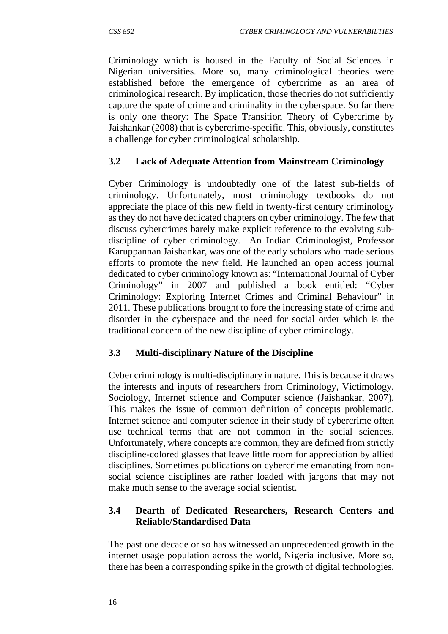Criminology which is housed in the Faculty of Social Sciences in Nigerian universities. More so, many criminological theories were established before the emergence of cybercrime as an area of criminological research. By implication, those theories do not sufficiently capture the spate of crime and criminality in the cyberspace. So far there is only one theory: The Space Transition Theory of Cybercrime by Jaishankar (2008) that is cybercrime-specific. This, obviously, constitutes a challenge for cyber criminological scholarship.

# **3.2 Lack of Adequate Attention from Mainstream Criminology**

Cyber Criminology is undoubtedly one of the latest sub-fields of criminology. Unfortunately, most criminology textbooks do not appreciate the place of this new field in twenty-first century criminology as they do not have dedicated chapters on cyber criminology. The few that discuss cybercrimes barely make explicit reference to the evolving subdiscipline of cyber criminology. An Indian Criminologist, Professor Karuppannan Jaishankar, was one of the early scholars who made serious efforts to promote the new field. He launched an open access journal dedicated to cyber criminology known as: "International Journal of Cyber Criminology" in 2007 and published a book entitled: "Cyber Criminology: Exploring Internet Crimes and Criminal Behaviour" in 2011. These publications brought to fore the increasing state of crime and disorder in the cyberspace and the need for social order which is the traditional concern of the new discipline of cyber criminology.

#### **3.3 Multi-disciplinary Nature of the Discipline**

Cyber criminology is multi-disciplinary in nature. This is because it draws the interests and inputs of researchers from Criminology, Victimology, Sociology, Internet science and Computer science (Jaishankar, 2007). This makes the issue of common definition of concepts problematic. Internet science and computer science in their study of cybercrime often use technical terms that are not common in the social sciences. Unfortunately, where concepts are common, they are defined from strictly discipline-colored glasses that leave little room for appreciation by allied disciplines. Sometimes publications on cybercrime emanating from nonsocial science disciplines are rather loaded with jargons that may not make much sense to the average social scientist.

## **3.4 Dearth of Dedicated Researchers, Research Centers and Reliable/Standardised Data**

The past one decade or so has witnessed an unprecedented growth in the internet usage population across the world, Nigeria inclusive. More so, there has been a corresponding spike in the growth of digital technologies.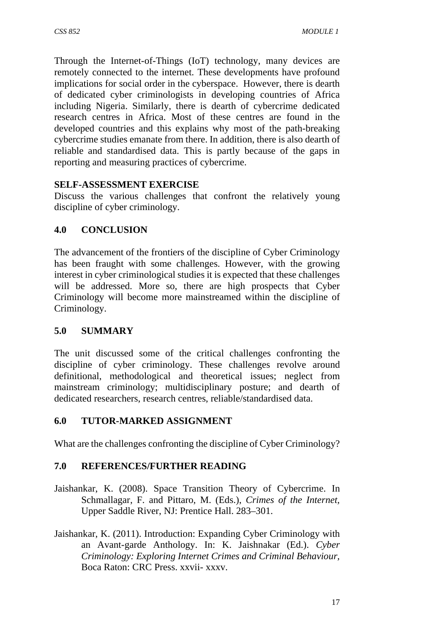Through the Internet-of-Things (IoT) technology, many devices are remotely connected to the internet. These developments have profound implications for social order in the cyberspace. However, there is dearth of dedicated cyber criminologists in developing countries of Africa including Nigeria. Similarly, there is dearth of cybercrime dedicated research centres in Africa. Most of these centres are found in the developed countries and this explains why most of the path-breaking cybercrime studies emanate from there. In addition, there is also dearth of reliable and standardised data. This is partly because of the gaps in reporting and measuring practices of cybercrime.

# **SELF-ASSESSMENT EXERCISE**

Discuss the various challenges that confront the relatively young discipline of cyber criminology.

# **4.0 CONCLUSION**

The advancement of the frontiers of the discipline of Cyber Criminology has been fraught with some challenges. However, with the growing interest in cyber criminological studies it is expected that these challenges will be addressed. More so, there are high prospects that Cyber Criminology will become more mainstreamed within the discipline of Criminology.

# **5.0 SUMMARY**

The unit discussed some of the critical challenges confronting the discipline of cyber criminology. These challenges revolve around definitional, methodological and theoretical issues; neglect from mainstream criminology; multidisciplinary posture; and dearth of dedicated researchers, research centres, reliable/standardised data.

# **6.0 TUTOR-MARKED ASSIGNMENT**

What are the challenges confronting the discipline of Cyber Criminology?

# **7.0 REFERENCES/FURTHER READING**

- Jaishankar, K. (2008). Space Transition Theory of Cybercrime. In Schmallagar, F. and Pittaro, M. (Eds.), *Crimes of the Internet,* Upper Saddle River, NJ: Prentice Hall. 283–301.
- Jaishankar, K. (2011). Introduction: Expanding Cyber Criminology with an Avant-garde Anthology. In: K. Jaishnakar (Ed.). *Cyber Criminology: Exploring Internet Crimes and Criminal Behaviour,* Boca Raton: CRC Press. xxvii- xxxv.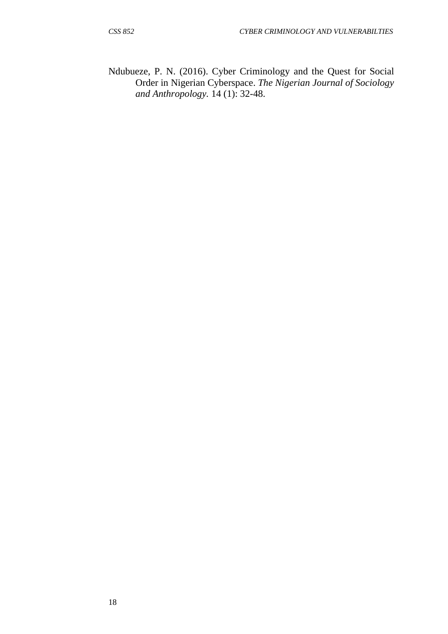Ndubueze, P. N. (2016). Cyber Criminology and the Quest for Social Order in Nigerian Cyberspace. *The Nigerian Journal of Sociology and Anthropology.* 14 (1): 32-48.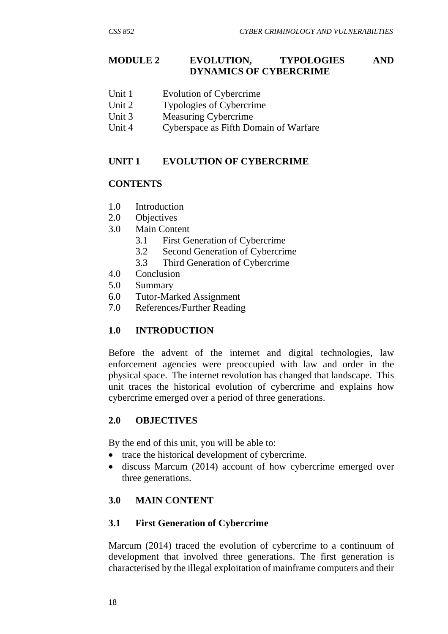#### **MODULE 2 EVOLUTION, TYPOLOGIES AND DYNAMICS OF CYBERCRIME**

- Unit 1 Evolution of Cybercrime
- Unit 2 Typologies of Cybercrime
- Unit 3 Measuring Cybercrime
- Unit 4 Cyberspace as Fifth Domain of Warfare

#### **UNIT 1 EVOLUTION OF CYBERCRIME**

#### **CONTENTS**

- 1.0 Introduction
- 2.0 Objectives
- 3.0 Main Content
	- 3.1 First Generation of Cybercrime
	- 3.2 Second Generation of Cybercrime
	- 3.3 Third Generation of Cybercrime
- 4.0 Conclusion
- 5.0 Summary
- 6.0 Tutor-Marked Assignment
- 7.0 References/Further Reading

#### **1.0 INTRODUCTION**

Before the advent of the internet and digital technologies, law enforcement agencies were preoccupied with law and order in the physical space. The internet revolution has changed that landscape. This unit traces the historical evolution of cybercrime and explains how cybercrime emerged over a period of three generations.

#### **2.0 OBJECTIVES**

By the end of this unit, you will be able to:

- trace the historical development of cybercrime.
- discuss Marcum (2014) account of how cybercrime emerged over three generations.

#### **3.0 MAIN CONTENT**

#### **3.1 First Generation of Cybercrime**

Marcum (2014) traced the evolution of cybercrime to a continuum of development that involved three generations. The first generation is characterised by the illegal exploitation of mainframe computers and their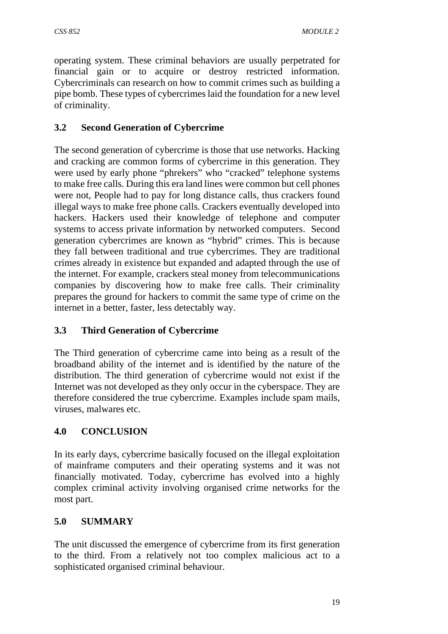operating system. These criminal behaviors are usually perpetrated for financial gain or to acquire or destroy restricted information. Cybercriminals can research on how to commit crimes such as building a pipe bomb. These types of cybercrimes laid the foundation for a new level of criminality.

# **3.2 Second Generation of Cybercrime**

The second generation of cybercrime is those that use networks. Hacking and cracking are common forms of cybercrime in this generation. They were used by early phone "phrekers" who "cracked" telephone systems to make free calls. During this era land lines were common but cell phones were not, People had to pay for long distance calls, thus crackers found illegal ways to make free phone calls. Crackers eventually developed into hackers. Hackers used their knowledge of telephone and computer systems to access private information by networked computers. Second generation cybercrimes are known as "hybrid" crimes. This is because they fall between traditional and true cybercrimes. They are traditional crimes already in existence but expanded and adapted through the use of the internet. For example, crackers steal money from telecommunications companies by discovering how to make free calls. Their criminality prepares the ground for hackers to commit the same type of crime on the internet in a better, faster, less detectably way.

# **3.3 Third Generation of Cybercrime**

The Third generation of cybercrime came into being as a result of the broadband ability of the internet and is identified by the nature of the distribution. The third generation of cybercrime would not exist if the Internet was not developed as they only occur in the cyberspace. They are therefore considered the true cybercrime. Examples include spam mails, viruses, malwares etc.

# **4.0 CONCLUSION**

In its early days, cybercrime basically focused on the illegal exploitation of mainframe computers and their operating systems and it was not financially motivated. Today, cybercrime has evolved into a highly complex criminal activity involving organised crime networks for the most part.

# **5.0 SUMMARY**

The unit discussed the emergence of cybercrime from its first generation to the third. From a relatively not too complex malicious act to a sophisticated organised criminal behaviour.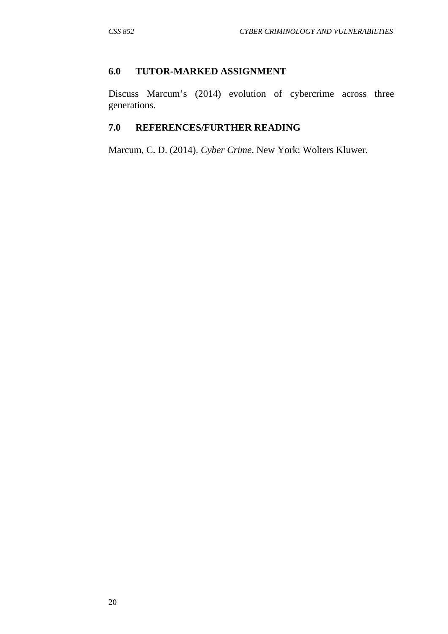### **6.0 TUTOR-MARKED ASSIGNMENT**

Discuss Marcum's (2014) evolution of cybercrime across three generations.

# **7.0 REFERENCES/FURTHER READING**

Marcum, C. D. (2014). *Cyber Crime*. New York: Wolters Kluwer.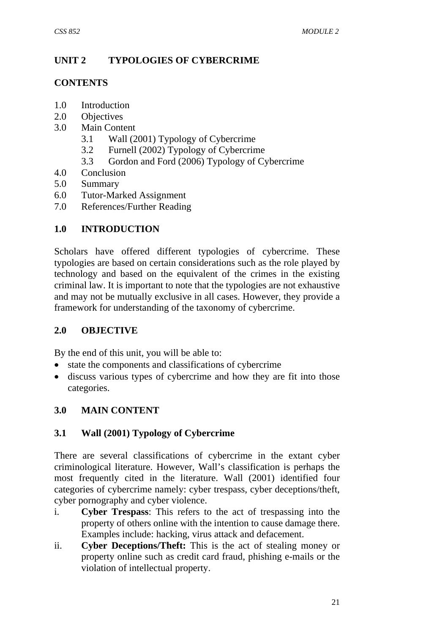# **UNIT 2 TYPOLOGIES OF CYBERCRIME**

#### **CONTENTS**

- 1.0 Introduction
- 2.0 Objectives
- 3.0 Main Content
	- 3.1 Wall (2001) Typology of Cybercrime
	- 3.2 Furnell (2002) Typology of Cybercrime
	- 3.3 Gordon and Ford (2006) Typology of Cybercrime
- 4.0 Conclusion
- 5.0 Summary
- 6.0 Tutor-Marked Assignment
- 7.0 References/Further Reading

# **1.0 INTRODUCTION**

Scholars have offered different typologies of cybercrime. These typologies are based on certain considerations such as the role played by technology and based on the equivalent of the crimes in the existing criminal law. It is important to note that the typologies are not exhaustive and may not be mutually exclusive in all cases. However, they provide a framework for understanding of the taxonomy of cybercrime.

#### **2.0 OBJECTIVE**

By the end of this unit, you will be able to:

- state the components and classifications of cybercrime
- discuss various types of cybercrime and how they are fit into those categories.

#### **3.0 MAIN CONTENT**

# **3.1 Wall (2001) Typology of Cybercrime**

There are several classifications of cybercrime in the extant cyber criminological literature. However, Wall's classification is perhaps the most frequently cited in the literature. Wall (2001) identified four categories of cybercrime namely: cyber trespass, cyber deceptions/theft, cyber pornography and cyber violence.

- i. **Cyber Trespass**: This refers to the act of trespassing into the property of others online with the intention to cause damage there. Examples include: hacking, virus attack and defacement.
- ii. **Cyber Deceptions/Theft:** This is the act of stealing money or property online such as credit card fraud, phishing e-mails or the violation of intellectual property.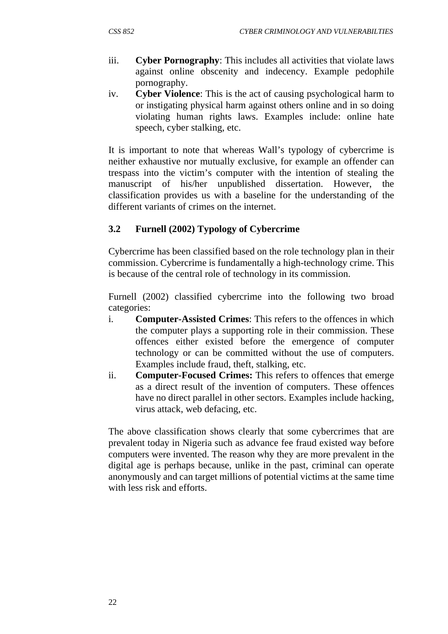- iii. **Cyber Pornography**: This includes all activities that violate laws against online obscenity and indecency. Example pedophile pornography.
- iv. **Cyber Violence**: This is the act of causing psychological harm to or instigating physical harm against others online and in so doing violating human rights laws. Examples include: online hate speech, cyber stalking, etc.

It is important to note that whereas Wall's typology of cybercrime is neither exhaustive nor mutually exclusive, for example an offender can trespass into the victim's computer with the intention of stealing the manuscript of his/her unpublished dissertation. However, the classification provides us with a baseline for the understanding of the different variants of crimes on the internet.

## **3.2 Furnell (2002) Typology of Cybercrime**

Cybercrime has been classified based on the role technology plan in their commission. Cybercrime is fundamentally a high-technology crime. This is because of the central role of technology in its commission.

Furnell (2002) classified cybercrime into the following two broad categories:

- i. **Computer-Assisted Crimes**: This refers to the offences in which the computer plays a supporting role in their commission. These offences either existed before the emergence of computer technology or can be committed without the use of computers. Examples include fraud, theft, stalking, etc.
- ii. **Computer-Focused Crimes:** This refers to offences that emerge as a direct result of the invention of computers. These offences have no direct parallel in other sectors. Examples include hacking, virus attack, web defacing, etc.

The above classification shows clearly that some cybercrimes that are prevalent today in Nigeria such as advance fee fraud existed way before computers were invented. The reason why they are more prevalent in the digital age is perhaps because, unlike in the past, criminal can operate anonymously and can target millions of potential victims at the same time with less risk and efforts.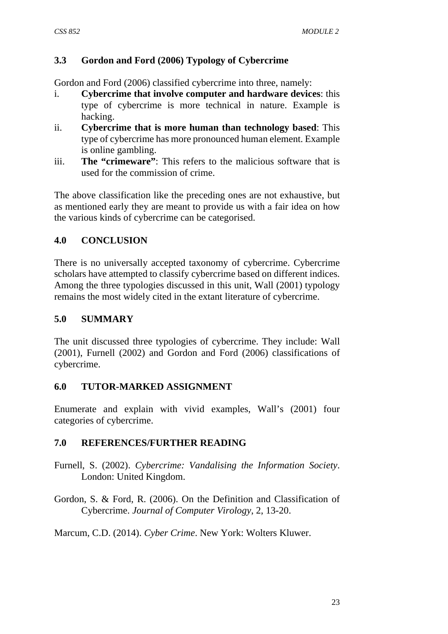## **3.3 Gordon and Ford (2006) Typology of Cybercrime**

Gordon and Ford (2006) classified cybercrime into three, namely:

- i. **Cybercrime that involve computer and hardware devices**: this type of cybercrime is more technical in nature. Example is hacking.
- ii. **Cybercrime that is more human than technology based**: This type of cybercrime has more pronounced human element. Example is online gambling.
- iii. **The "crimeware"**: This refers to the malicious software that is used for the commission of crime.

The above classification like the preceding ones are not exhaustive, but as mentioned early they are meant to provide us with a fair idea on how the various kinds of cybercrime can be categorised.

## **4.0 CONCLUSION**

There is no universally accepted taxonomy of cybercrime. Cybercrime scholars have attempted to classify cybercrime based on different indices. Among the three typologies discussed in this unit, Wall (2001) typology remains the most widely cited in the extant literature of cybercrime.

#### **5.0 SUMMARY**

The unit discussed three typologies of cybercrime. They include: Wall (2001), Furnell (2002) and Gordon and Ford (2006) classifications of cybercrime.

### **6.0 TUTOR-MARKED ASSIGNMENT**

Enumerate and explain with vivid examples, Wall's (2001) four categories of cybercrime.

# **7.0 REFERENCES/FURTHER READING**

- Furnell, S. (2002). *Cybercrime: Vandalising the Information Society*. London: United Kingdom.
- Gordon, S. & Ford, R. (2006). On the Definition and Classification of Cybercrime. *Journal of Computer Virology*, 2, 13-20.

Marcum, C.D. (2014). *Cyber Crime*. New York: Wolters Kluwer.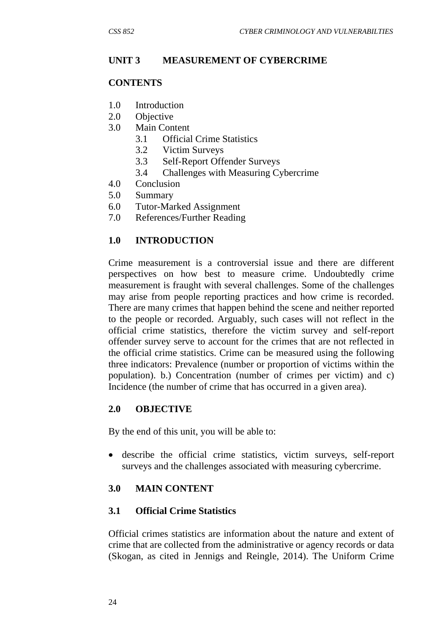#### **UNIT 3 MEASUREMENT OF CYBERCRIME**

#### **CONTENTS**

- 1.0 Introduction
- 2.0 Objective
- 3.0 Main Content
	- 3.1 Official Crime Statistics
	- 3.2 Victim Surveys
	- 3.3 Self-Report Offender Surveys
	- 3.4 Challenges with Measuring Cybercrime
- 4.0 Conclusion
- 5.0 Summary
- 6.0 Tutor-Marked Assignment
- 7.0 References/Further Reading

#### **1.0 INTRODUCTION**

Crime measurement is a controversial issue and there are different perspectives on how best to measure crime. Undoubtedly crime measurement is fraught with several challenges. Some of the challenges may arise from people reporting practices and how crime is recorded. There are many crimes that happen behind the scene and neither reported to the people or recorded. Arguably, such cases will not reflect in the official crime statistics, therefore the victim survey and self-report offender survey serve to account for the crimes that are not reflected in the official crime statistics. Crime can be measured using the following three indicators: Prevalence (number or proportion of victims within the population). b.) Concentration (number of crimes per victim) and c) Incidence (the number of crime that has occurred in a given area).

#### **2.0 OBJECTIVE**

By the end of this unit, you will be able to:

 describe the official crime statistics, victim surveys, self-report surveys and the challenges associated with measuring cybercrime.

#### **3.0 MAIN CONTENT**

#### **3.1 Official Crime Statistics**

Official crimes statistics are information about the nature and extent of crime that are collected from the administrative or agency records or data (Skogan, as cited in Jennigs and Reingle, 2014). The Uniform Crime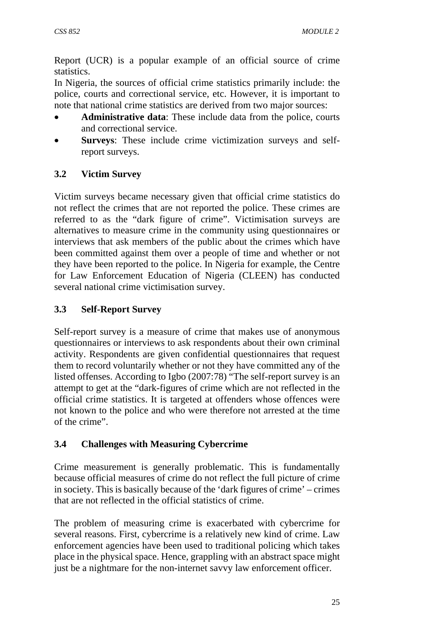Report (UCR) is a popular example of an official source of crime statistics.

In Nigeria, the sources of official crime statistics primarily include: the police, courts and correctional service, etc. However, it is important to note that national crime statistics are derived from two major sources:

- **Administrative data**: These include data from the police, courts and correctional service.
- **Surveys**: These include crime victimization surveys and selfreport surveys.

# **3.2 Victim Survey**

Victim surveys became necessary given that official crime statistics do not reflect the crimes that are not reported the police. These crimes are referred to as the "dark figure of crime". Victimisation surveys are alternatives to measure crime in the community using questionnaires or interviews that ask members of the public about the crimes which have been committed against them over a people of time and whether or not they have been reported to the police. In Nigeria for example, the Centre for Law Enforcement Education of Nigeria (CLEEN) has conducted several national crime victimisation survey.

# **3.3 Self-Report Survey**

Self-report survey is a measure of crime that makes use of anonymous questionnaires or interviews to ask respondents about their own criminal activity. Respondents are given confidential questionnaires that request them to record voluntarily whether or not they have committed any of the listed offenses. According to Igbo (2007:78) "The self-report survey is an attempt to get at the "dark-figures of crime which are not reflected in the official crime statistics. It is targeted at offenders whose offences were not known to the police and who were therefore not arrested at the time of the crime".

# **3.4 Challenges with Measuring Cybercrime**

Crime measurement is generally problematic. This is fundamentally because official measures of crime do not reflect the full picture of crime in society. This is basically because of the 'dark figures of crime' – crimes that are not reflected in the official statistics of crime.

The problem of measuring crime is exacerbated with cybercrime for several reasons. First, cybercrime is a relatively new kind of crime. Law enforcement agencies have been used to traditional policing which takes place in the physical space. Hence, grappling with an abstract space might just be a nightmare for the non-internet savvy law enforcement officer.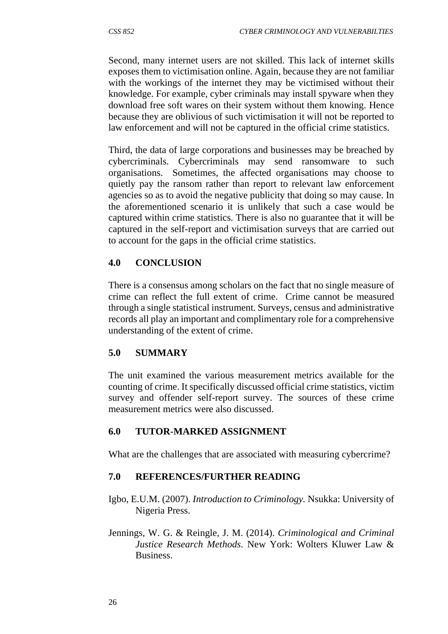Second, many internet users are not skilled. This lack of internet skills exposes them to victimisation online. Again, because they are not familiar with the workings of the internet they may be victimised without their knowledge. For example, cyber criminals may install spyware when they download free soft wares on their system without them knowing. Hence because they are oblivious of such victimisation it will not be reported to law enforcement and will not be captured in the official crime statistics.

Third, the data of large corporations and businesses may be breached by cybercriminals. Cybercriminals may send ransomware to such organisations. Sometimes, the affected organisations may choose to quietly pay the ransom rather than report to relevant law enforcement agencies so as to avoid the negative publicity that doing so may cause. In the aforementioned scenario it is unlikely that such a case would be captured within crime statistics. There is also no guarantee that it will be captured in the self-report and victimisation surveys that are carried out to account for the gaps in the official crime statistics.

## **4.0 CONCLUSION**

There is a consensus among scholars on the fact that no single measure of crime can reflect the full extent of crime. Crime cannot be measured through a single statistical instrument. Surveys, census and administrative records all play an important and complimentary role for a comprehensive understanding of the extent of crime.

# **5.0 SUMMARY**

The unit examined the various measurement metrics available for the counting of crime. It specifically discussed official crime statistics, victim survey and offender self-report survey. The sources of these crime measurement metrics were also discussed.

# **6.0 TUTOR-MARKED ASSIGNMENT**

What are the challenges that are associated with measuring cybercrime?

#### **7.0 REFERENCES/FURTHER READING**

- Igbo, E.U.M. (2007). *Introduction to Criminology.* Nsukka: University of Nigeria Press.
- Jennings, W. G. & Reingle, J. M. (2014). *Criminological and Criminal Justice Research Methods*. New York: Wolters Kluwer Law & Business.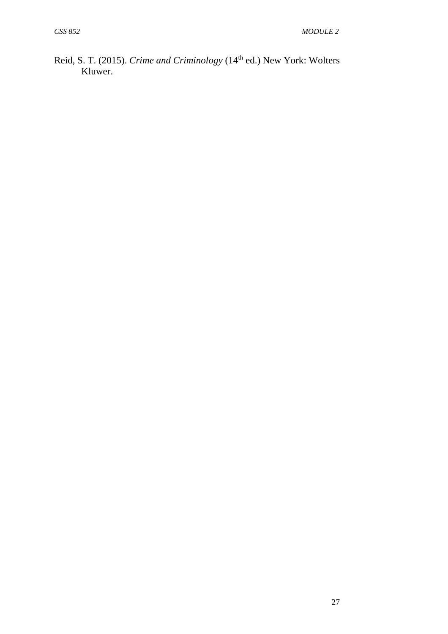Reid, S. T. (2015). *Crime and Criminology* (14<sup>th</sup> ed.) New York: Wolters Kluwer.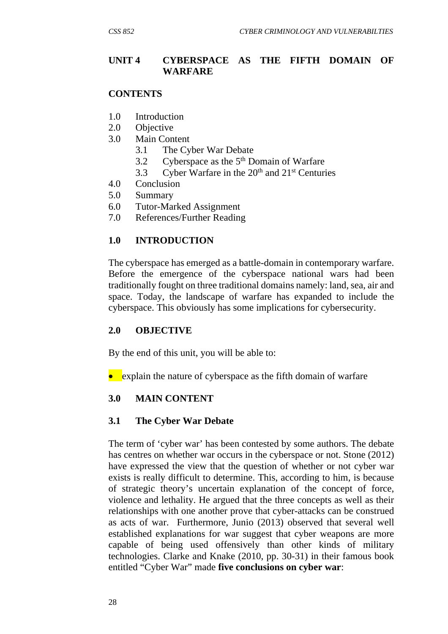### **UNIT 4 CYBERSPACE AS THE FIFTH DOMAIN OF WARFARE**

#### **CONTENTS**

- 1.0 Introduction
- 2.0 Objective
- 3.0 Main Content
	- 3.1 The Cyber War Debate
	- 3.2 Cyberspace as the  $5<sup>th</sup>$  Domain of Warfare
	- 3.3 Cyber Warfare in the  $20<sup>th</sup>$  and  $21<sup>st</sup>$  Centuries
- 4.0 Conclusion
- 5.0 Summary
- 6.0 Tutor-Marked Assignment
- 7.0 References/Further Reading

### **1.0 INTRODUCTION**

The cyberspace has emerged as a battle-domain in contemporary warfare. Before the emergence of the cyberspace national wars had been traditionally fought on three traditional domains namely: land, sea, air and space. Today, the landscape of warfare has expanded to include the cyberspace. This obviously has some implications for cybersecurity.

#### **2.0 OBJECTIVE**

By the end of this unit, you will be able to:

• explain the nature of cyberspace as the fifth domain of warfare

#### **3.0 MAIN CONTENT**

#### **3.1 The Cyber War Debate**

The term of 'cyber war' has been contested by some authors. The debate has centres on whether war occurs in the cyberspace or not. Stone (2012) have expressed the view that the question of whether or not cyber war exists is really difficult to determine. This, according to him, is because of strategic theory's uncertain explanation of the concept of force, violence and lethality. He argued that the three concepts as well as their relationships with one another prove that cyber-attacks can be construed as acts of war. Furthermore, Junio (2013) observed that several well established explanations for war suggest that cyber weapons are more capable of being used offensively than other kinds of military technologies. Clarke and Knake (2010, pp. 30-31) in their famous book entitled "Cyber War" made **five conclusions on cyber war**: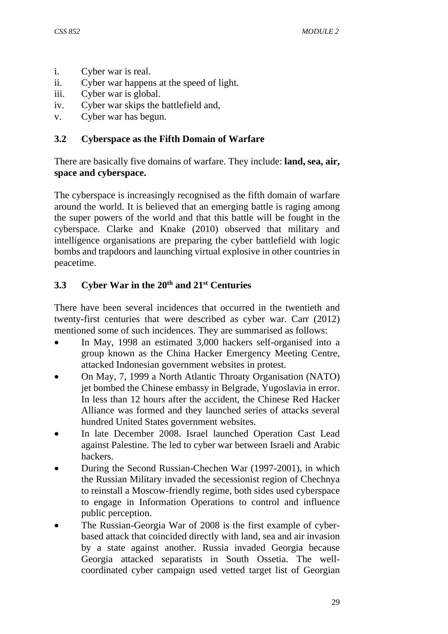- i. Cyber war is real.
- ii. Cyber war happens at the speed of light.
- iii. Cyber war is global.
- iv. Cyber war skips the battlefield and,
- v. Cyber war has begun.

## **3.2 Cyberspace as the Fifth Domain of Warfare**

There are basically five domains of warfare. They include: **land, sea, air, space and cyberspace.**

The cyberspace is increasingly recognised as the fifth domain of warfare around the world. It is believed that an emerging battle is raging among the super powers of the world and that this battle will be fought in the cyberspace. Clarke and Knake (2010) observed that military and intelligence organisations are preparing the cyber battlefield with logic bombs and trapdoors and launching virtual explosive in other countries in peacetime.

# **3.3 Cyber War in the 20th and 21st Centuries**

There have been several incidences that occurred in the twentieth and twenty-first centuries that were described as cyber war. Carr (2012) mentioned some of such incidences. They are summarised as follows:

- In May, 1998 an estimated 3,000 hackers self-organised into a group known as the China Hacker Emergency Meeting Centre, attacked Indonesian government websites in protest.
- On May, 7, 1999 a North Atlantic Throaty Organisation (NATO) jet bombed the Chinese embassy in Belgrade, Yugoslavia in error. In less than 12 hours after the accident, the Chinese Red Hacker Alliance was formed and they launched series of attacks several hundred United States government websites.
- In late December 2008. Israel launched Operation Cast Lead against Palestine. The led to cyber war between Israeli and Arabic hackers.
- During the Second Russian-Chechen War (1997-2001), in which the Russian Military invaded the secessionist region of Chechnya to reinstall a Moscow-friendly regime, both sides used cyberspace to engage in Information Operations to control and influence public perception.
- The Russian-Georgia War of 2008 is the first example of cyberbased attack that coincided directly with land, sea and air invasion by a state against another. Russia invaded Georgia because Georgia attacked separatists in South Ossetia. The wellcoordinated cyber campaign used vetted target list of Georgian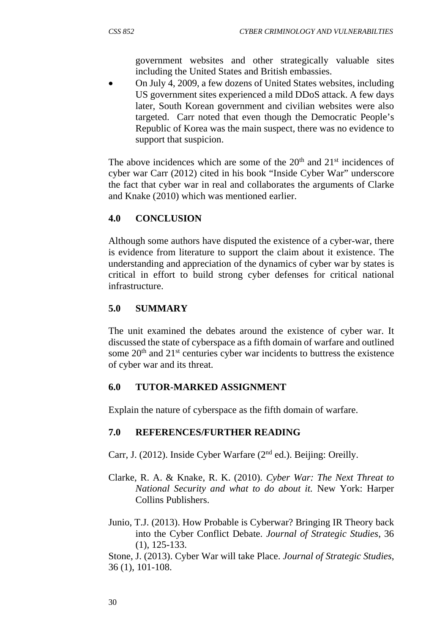government websites and other strategically valuable sites including the United States and British embassies.

 On July 4, 2009, a few dozens of United States websites, including US government sites experienced a mild DDoS attack. A few days later, South Korean government and civilian websites were also targeted. Carr noted that even though the Democratic People's Republic of Korea was the main suspect, there was no evidence to support that suspicion.

The above incidences which are some of the  $20<sup>th</sup>$  and  $21<sup>st</sup>$  incidences of cyber war Carr (2012) cited in his book "Inside Cyber War" underscore the fact that cyber war in real and collaborates the arguments of Clarke and Knake (2010) which was mentioned earlier.

# **4.0 CONCLUSION**

Although some authors have disputed the existence of a cyber-war, there is evidence from literature to support the claim about it existence. The understanding and appreciation of the dynamics of cyber war by states is critical in effort to build strong cyber defenses for critical national infrastructure.

## **5.0 SUMMARY**

The unit examined the debates around the existence of cyber war. It discussed the state of cyberspace as a fifth domain of warfare and outlined some  $20<sup>th</sup>$  and  $21<sup>st</sup>$  centuries cyber war incidents to buttress the existence of cyber war and its threat.

## **6.0 TUTOR-MARKED ASSIGNMENT**

Explain the nature of cyberspace as the fifth domain of warfare.

## **7.0 REFERENCES/FURTHER READING**

Carr, J. (2012). Inside Cyber Warfare (2<sup>nd</sup> ed.). Beijing: Oreilly.

- Clarke, R. A. & Knake, R. K. (2010). *Cyber War: The Next Threat to National Security and what to do about it.* New York: Harper Collins Publishers.
- Junio, T.J. (2013). How Probable is Cyberwar? Bringing IR Theory back into the Cyber Conflict Debate. *Journal of Strategic Studies*, 36 (1), 125-133.

Stone, J. (2013). Cyber War will take Place. *Journal of Strategic Studies*, 36 (1), 101-108.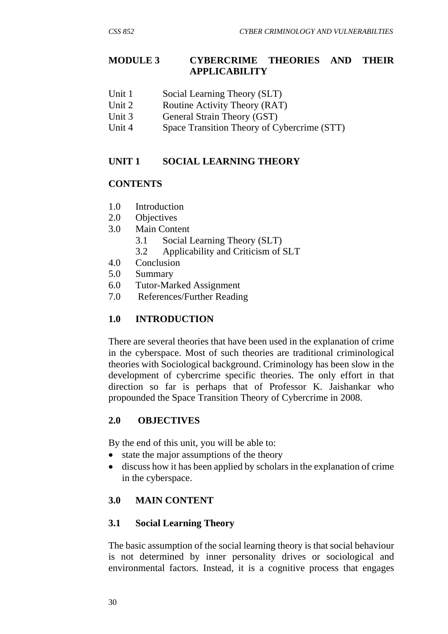## **MODULE 3 CYBERCRIME THEORIES AND THEIR APPLICABILITY**

- Unit 1 Social Learning Theory (SLT)
- Unit 2 Routine Activity Theory (RAT)
- Unit 3 General Strain Theory (GST)
- Unit 4 Space Transition Theory of Cybercrime (STT)

## **UNIT 1 SOCIAL LEARNING THEORY**

## **CONTENTS**

- 1.0 Introduction
- 2.0 Objectives
- 3.0 Main Content
	- 3.1 Social Learning Theory (SLT)
	- 3.2 Applicability and Criticism of SLT
- 4.0 Conclusion
- 5.0 Summary
- 6.0 Tutor-Marked Assignment
- 7.0 References/Further Reading

# **1.0 INTRODUCTION**

There are several theories that have been used in the explanation of crime in the cyberspace. Most of such theories are traditional criminological theories with Sociological background. Criminology has been slow in the development of cybercrime specific theories. The only effort in that direction so far is perhaps that of Professor K. Jaishankar who propounded the Space Transition Theory of Cybercrime in 2008.

# **2.0 OBJECTIVES**

By the end of this unit, you will be able to:

- state the major assumptions of the theory
- discuss how it has been applied by scholars in the explanation of crime in the cyberspace.

## **3.0 MAIN CONTENT**

# **3.1 Social Learning Theory**

The basic assumption of the social learning theory is that social behaviour is not determined by inner personality drives or sociological and environmental factors. Instead, it is a cognitive process that engages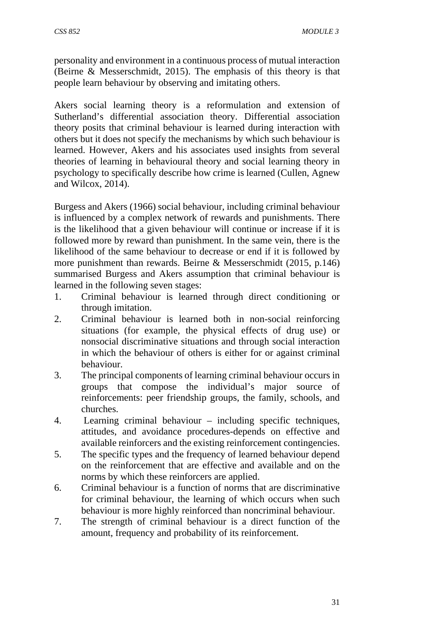personality and environment in a continuous process of mutual interaction (Beirne & Messerschmidt, 2015). The emphasis of this theory is that people learn behaviour by observing and imitating others.

Akers social learning theory is a reformulation and extension of Sutherland's differential association theory. Differential association theory posits that criminal behaviour is learned during interaction with others but it does not specify the mechanisms by which such behaviour is learned. However, Akers and his associates used insights from several theories of learning in behavioural theory and social learning theory in psychology to specifically describe how crime is learned (Cullen, Agnew and Wilcox, 2014).

Burgess and Akers (1966) social behaviour, including criminal behaviour is influenced by a complex network of rewards and punishments. There is the likelihood that a given behaviour will continue or increase if it is followed more by reward than punishment. In the same vein, there is the likelihood of the same behaviour to decrease or end if it is followed by more punishment than rewards. Beirne & Messerschmidt (2015, p.146) summarised Burgess and Akers assumption that criminal behaviour is learned in the following seven stages:

- 1. Criminal behaviour is learned through direct conditioning or through imitation.
- 2. Criminal behaviour is learned both in non-social reinforcing situations (for example, the physical effects of drug use) or nonsocial discriminative situations and through social interaction in which the behaviour of others is either for or against criminal behaviour.
- 3. The principal components of learning criminal behaviour occurs in groups that compose the individual's major source of reinforcements: peer friendship groups, the family, schools, and churches.
- 4. Learning criminal behaviour including specific techniques, attitudes, and avoidance procedures-depends on effective and available reinforcers and the existing reinforcement contingencies.
- 5. The specific types and the frequency of learned behaviour depend on the reinforcement that are effective and available and on the norms by which these reinforcers are applied.
- 6. Criminal behaviour is a function of norms that are discriminative for criminal behaviour, the learning of which occurs when such behaviour is more highly reinforced than noncriminal behaviour.
- 7. The strength of criminal behaviour is a direct function of the amount, frequency and probability of its reinforcement.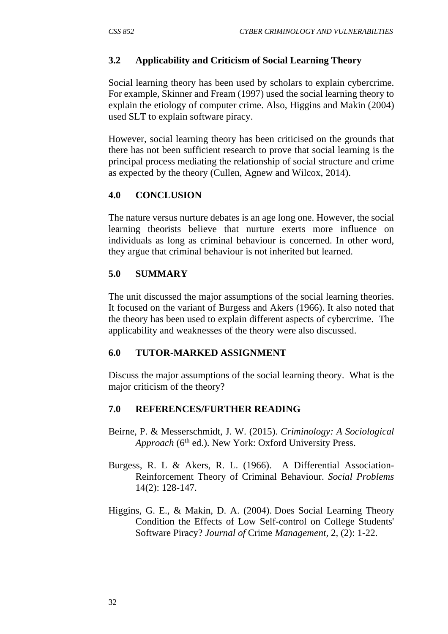# **3.2 Applicability and Criticism of Social Learning Theory**

Social learning theory has been used by scholars to explain cybercrime. For example, Skinner and Fream (1997) used the social learning theory to explain the etiology of computer crime. Also, Higgins and Makin (2004) used SLT to explain software piracy.

However, social learning theory has been criticised on the grounds that there has not been sufficient research to prove that social learning is the principal process mediating the relationship of social structure and crime as expected by the theory (Cullen, Agnew and Wilcox, 2014).

## **4.0 CONCLUSION**

The nature versus nurture debates is an age long one. However, the social learning theorists believe that nurture exerts more influence on individuals as long as criminal behaviour is concerned. In other word, they argue that criminal behaviour is not inherited but learned.

# **5.0 SUMMARY**

The unit discussed the major assumptions of the social learning theories. It focused on the variant of Burgess and Akers (1966). It also noted that the theory has been used to explain different aspects of cybercrime. The applicability and weaknesses of the theory were also discussed.

## **6.0 TUTOR-MARKED ASSIGNMENT**

Discuss the major assumptions of the social learning theory. What is the major criticism of the theory?

## **7.0 REFERENCES/FURTHER READING**

- Beirne, P. & Messerschmidt, J. W. (2015). *Criminology: A Sociological Approach* (6<sup>th</sup> ed.). New York: Oxford University Press.
- Burgess, R. L & Akers, R. L. (1966). A Differential Association-Reinforcement Theory of Criminal Behaviour. *Social Problems* 14(2): 128-147.
- Higgins, G. E., & Makin, D. A. (2004). Does Social Learning Theory Condition the Effects of Low Self-control on College Students' Software Piracy? *Journal of* Crime *Management,* 2, (2): 1-22.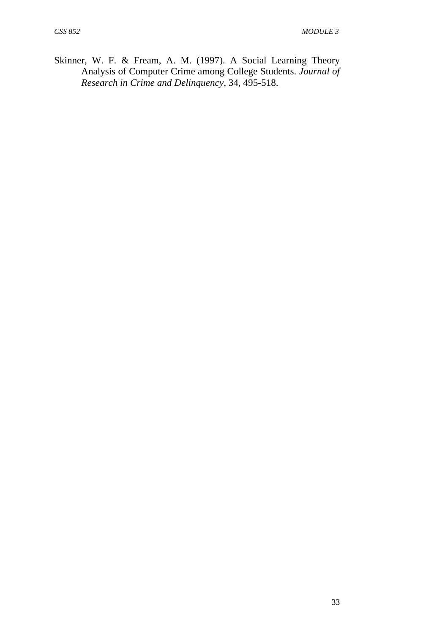Skinner, W. F. & Fream, A. M. (1997). A Social Learning Theory Analysis of Computer Crime among College Students. *Journal of Research in Crime and Delinquency*, 34, 495-518.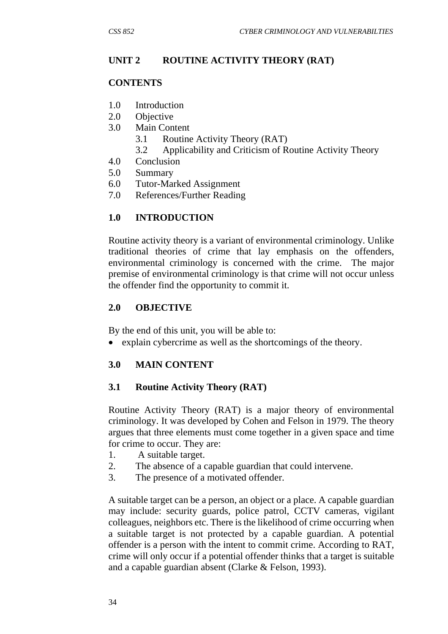## **UNIT 2 ROUTINE ACTIVITY THEORY (RAT)**

#### **CONTENTS**

- 1.0 Introduction
- 2.0 Objective
- 3.0 Main Content
	- 3.1 Routine Activity Theory (RAT)
	- 3.2 Applicability and Criticism of Routine Activity Theory
- 4.0 Conclusion
- 5.0 Summary
- 6.0 Tutor-Marked Assignment
- 7.0 References/Further Reading

## **1.0 INTRODUCTION**

Routine activity theory is a variant of environmental criminology. Unlike traditional theories of crime that lay emphasis on the offenders, environmental criminology is concerned with the crime. The major premise of environmental criminology is that crime will not occur unless the offender find the opportunity to commit it.

## **2.0 OBJECTIVE**

By the end of this unit, you will be able to:

explain cybercrime as well as the shortcomings of the theory.

## **3.0 MAIN CONTENT**

## **3.1 Routine Activity Theory (RAT)**

Routine Activity Theory (RAT) is a major theory of environmental criminology. It was developed by Cohen and Felson in 1979. The theory argues that three elements must come together in a given space and time for crime to occur. They are:

- 1. A suitable target.
- 2. The absence of a capable guardian that could intervene.
- 3. The presence of a motivated offender.

A suitable target can be a person, an object or a place. A capable guardian may include: security guards, police patrol, CCTV cameras, vigilant colleagues, neighbors etc. There is the likelihood of crime occurring when a suitable target is not protected by a capable guardian. A potential offender is a person with the intent to commit crime. According to RAT, crime will only occur if a potential offender thinks that a target is suitable and a capable guardian absent (Clarke & Felson, 1993).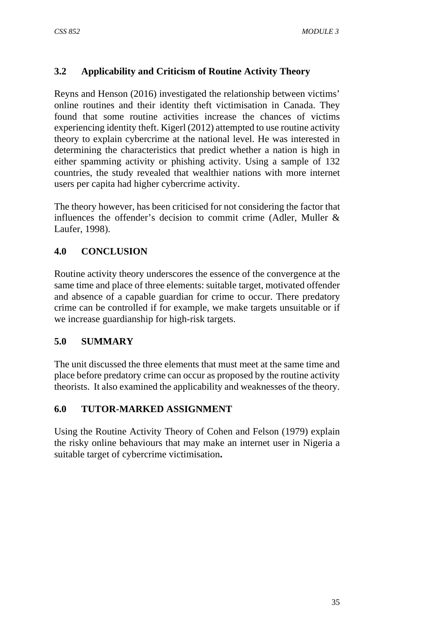# **3.2 Applicability and Criticism of Routine Activity Theory**

Reyns and Henson (2016) investigated the relationship between victims' online routines and their identity theft victimisation in Canada. They found that some routine activities increase the chances of victims experiencing identity theft. Kigerl (2012) attempted to use routine activity theory to explain cybercrime at the national level. He was interested in determining the characteristics that predict whether a nation is high in either spamming activity or phishing activity. Using a sample of 132 countries, the study revealed that wealthier nations with more internet users per capita had higher cybercrime activity.

The theory however, has been criticised for not considering the factor that influences the offender's decision to commit crime (Adler, Muller & Laufer, 1998).

# **4.0 CONCLUSION**

Routine activity theory underscores the essence of the convergence at the same time and place of three elements: suitable target, motivated offender and absence of a capable guardian for crime to occur. There predatory crime can be controlled if for example, we make targets unsuitable or if we increase guardianship for high-risk targets.

# **5.0 SUMMARY**

The unit discussed the three elements that must meet at the same time and place before predatory crime can occur as proposed by the routine activity theorists. It also examined the applicability and weaknesses of the theory.

# **6.0 TUTOR-MARKED ASSIGNMENT**

Using the Routine Activity Theory of Cohen and Felson (1979) explain the risky online behaviours that may make an internet user in Nigeria a suitable target of cybercrime victimisation**.**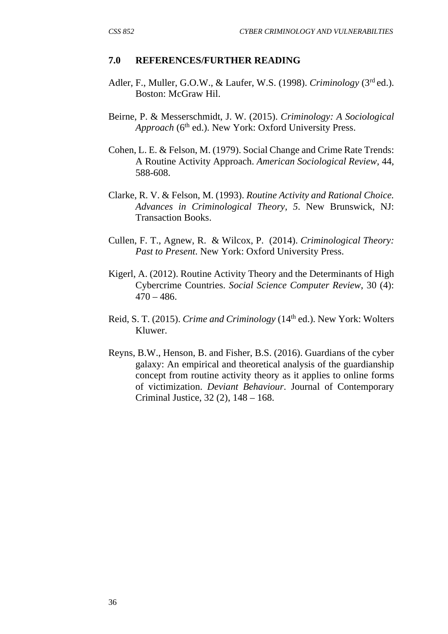#### **7.0 REFERENCES/FURTHER READING**

- Adler, F., Muller, G.O.W., & Laufer, W.S. (1998). *Criminology* (3rd ed.). Boston: McGraw Hil.
- Beirne, P. & Messerschmidt, J. W. (2015). *Criminology: A Sociological Approach* (6<sup>th</sup> ed.). New York: Oxford University Press.
- Cohen, L. E. & Felson, M. (1979). Social Change and Crime Rate Trends: A Routine Activity Approach. *American Sociological Review,* 44, 588-608.
- Clarke, R. V. & Felson, M. (1993). *Routine Activity and Rational Choice. Advances in Criminological Theory*, *5*. New Brunswick, NJ: Transaction Books.
- Cullen, F. T., Agnew, R. & Wilcox, P. (2014). *Criminological Theory: Past to Present*. New York: Oxford University Press.
- Kigerl, A. (2012). Routine Activity Theory and the Determinants of High Cybercrime Countries. *Social Science Computer Review*, 30 (4):  $470 - 486.$
- Reid, S. T. (2015). *Crime and Criminology* (14th ed.). New York: Wolters Kluwer.
- Reyns, B.W., Henson, B. and Fisher, B.S. (2016). Guardians of the cyber galaxy: An empirical and theoretical analysis of the guardianship concept from routine activity theory as it applies to online forms of victimization. *Deviant Behaviour*. Journal of Contemporary Criminal Justice, 32 (2), 148 – 168.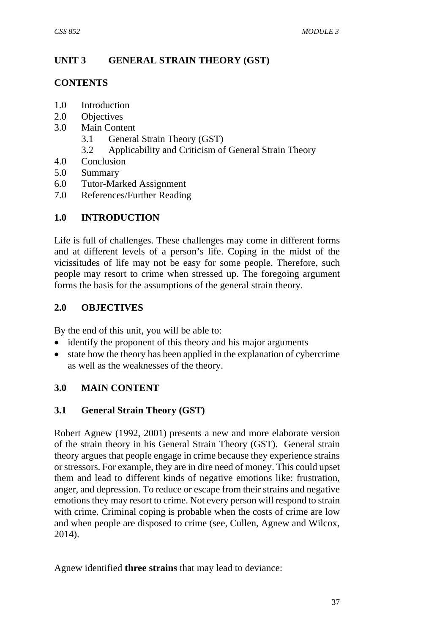# **UNIT 3 GENERAL STRAIN THEORY (GST)**

## **CONTENTS**

- 1.0 Introduction
- 2.0 Objectives
- 3.0 Main Content
	- 3.1 General Strain Theory (GST)
	- 3.2 Applicability and Criticism of General Strain Theory
- 4.0 Conclusion
- 5.0 Summary
- 6.0 Tutor-Marked Assignment
- 7.0 References/Further Reading

# **1.0 INTRODUCTION**

Life is full of challenges. These challenges may come in different forms and at different levels of a person's life. Coping in the midst of the vicissitudes of life may not be easy for some people. Therefore, such people may resort to crime when stressed up. The foregoing argument forms the basis for the assumptions of the general strain theory.

## **2.0 OBJECTIVES**

By the end of this unit, you will be able to:

- identify the proponent of this theory and his major arguments
- state how the theory has been applied in the explanation of cybercrime as well as the weaknesses of the theory.

# **3.0 MAIN CONTENT**

## **3.1 General Strain Theory (GST)**

Robert Agnew (1992, 2001) presents a new and more elaborate version of the strain theory in his General Strain Theory (GST). General strain theory argues that people engage in crime because they experience strains or stressors. For example, they are in dire need of money. This could upset them and lead to different kinds of negative emotions like: frustration, anger, and depression. To reduce or escape from their strains and negative emotions they may resort to crime. Not every person will respond to strain with crime. Criminal coping is probable when the costs of crime are low and when people are disposed to crime (see, Cullen, Agnew and Wilcox, 2014).

Agnew identified **three strains** that may lead to deviance: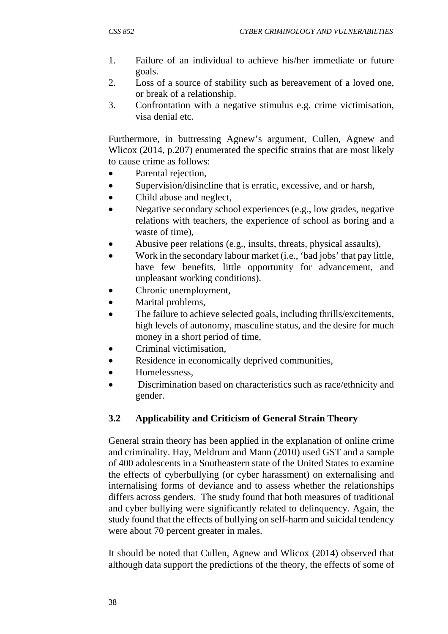- 1. Failure of an individual to achieve his/her immediate or future goals.
- 2. Loss of a source of stability such as bereavement of a loved one, or break of a relationship.
- 3. Confrontation with a negative stimulus e.g. crime victimisation, visa denial etc.

Furthermore, in buttressing Agnew's argument, Cullen, Agnew and Wlicox (2014, p.207) enumerated the specific strains that are most likely to cause crime as follows:

- Parental rejection,
- Supervision/disincline that is erratic, excessive, and or harsh,
- Child abuse and neglect,
- Negative secondary school experiences (e.g., low grades, negative relations with teachers, the experience of school as boring and a waste of time),
- Abusive peer relations (e.g., insults, threats, physical assaults),
- Work in the secondary labour market (i.e., 'bad jobs' that pay little, have few benefits, little opportunity for advancement, and unpleasant working conditions).
- Chronic unemployment,
- Marital problems,
- The failure to achieve selected goals, including thrills/excitements, high levels of autonomy, masculine status, and the desire for much money in a short period of time,
- Criminal victimisation,
- Residence in economically deprived communities,
- Homelessness,
- Discrimination based on characteristics such as race/ethnicity and gender.

## **3.2 Applicability and Criticism of General Strain Theory**

General strain theory has been applied in the explanation of online crime and criminality. Hay, Meldrum and Mann (2010) used GST and a sample of 400 adolescents in a Southeastern state of the United States to examine the effects of cyberbullying (or cyber harassment) on externalising and internalising forms of deviance and to assess whether the relationships differs across genders. The study found that both measures of traditional and cyber bullying were significantly related to delinquency. Again, the study found that the effects of bullying on self-harm and suicidal tendency were about 70 percent greater in males.

It should be noted that Cullen, Agnew and Wlicox (2014) observed that although data support the predictions of the theory, the effects of some of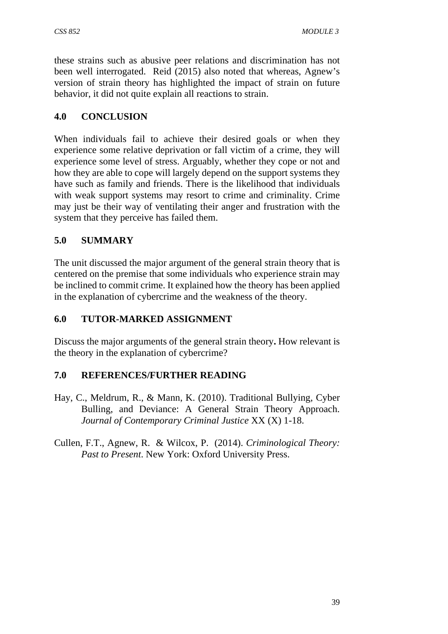these strains such as abusive peer relations and discrimination has not been well interrogated. Reid (2015) also noted that whereas, Agnew's version of strain theory has highlighted the impact of strain on future behavior, it did not quite explain all reactions to strain.

# **4.0 CONCLUSION**

When individuals fail to achieve their desired goals or when they experience some relative deprivation or fall victim of a crime, they will experience some level of stress. Arguably, whether they cope or not and how they are able to cope will largely depend on the support systems they have such as family and friends. There is the likelihood that individuals with weak support systems may resort to crime and criminality. Crime may just be their way of ventilating their anger and frustration with the system that they perceive has failed them.

# **5.0 SUMMARY**

The unit discussed the major argument of the general strain theory that is centered on the premise that some individuals who experience strain may be inclined to commit crime. It explained how the theory has been applied in the explanation of cybercrime and the weakness of the theory.

## **6.0 TUTOR-MARKED ASSIGNMENT**

Discuss the major arguments of the general strain theory**.** How relevant is the theory in the explanation of cybercrime?

## **7.0 REFERENCES/FURTHER READING**

- Hay, C., Meldrum, R., & Mann, K. (2010). Traditional Bullying, Cyber Bulling, and Deviance: A General Strain Theory Approach. *Journal of Contemporary Criminal Justice* XX (X) 1-18.
- Cullen, F.T., Agnew, R. & Wilcox, P. (2014). *Criminological Theory: Past to Present*. New York: Oxford University Press.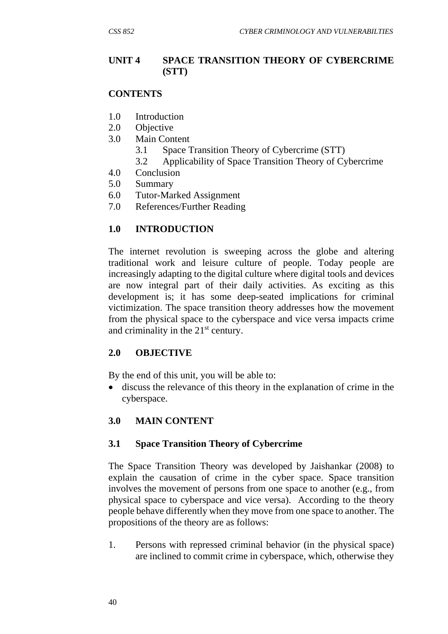### **UNIT 4 SPACE TRANSITION THEORY OF CYBERCRIME (STT)**

#### **CONTENTS**

- 1.0 Introduction
- 2.0 Objective
- 3.0 Main Content
	- 3.1 Space Transition Theory of Cybercrime (STT)
	- 3.2 Applicability of Space Transition Theory of Cybercrime
- 4.0 Conclusion
- 5.0 Summary
- 6.0 Tutor-Marked Assignment
- 7.0 References/Further Reading

## **1.0 INTRODUCTION**

The internet revolution is sweeping across the globe and altering traditional work and leisure culture of people. Today people are increasingly adapting to the digital culture where digital tools and devices are now integral part of their daily activities. As exciting as this development is; it has some deep-seated implications for criminal victimization. The space transition theory addresses how the movement from the physical space to the cyberspace and vice versa impacts crime and criminality in the 21<sup>st</sup> century.

#### **2.0 OBJECTIVE**

By the end of this unit, you will be able to:

 discuss the relevance of this theory in the explanation of crime in the cyberspace.

#### **3.0 MAIN CONTENT**

#### **3.1 Space Transition Theory of Cybercrime**

The Space Transition Theory was developed by Jaishankar (2008) to explain the causation of crime in the cyber space. Space transition involves the movement of persons from one space to another (e.g., from physical space to cyberspace and vice versa). According to the theory people behave differently when they move from one space to another. The propositions of the theory are as follows:

1. Persons with repressed criminal behavior (in the physical space) are inclined to commit crime in cyberspace, which, otherwise they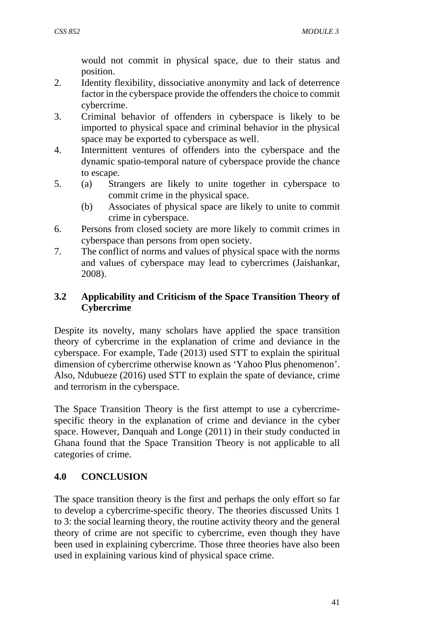would not commit in physical space, due to their status and position.

- 2. Identity flexibility, dissociative anonymity and lack of deterrence factor in the cyberspace provide the offenders the choice to commit cybercrime.
- 3. Criminal behavior of offenders in cyberspace is likely to be imported to physical space and criminal behavior in the physical space may be exported to cyberspace as well.
- 4. Intermittent ventures of offenders into the cyberspace and the dynamic spatio-temporal nature of cyberspace provide the chance to escape.
- 5. (a) Strangers are likely to unite together in cyberspace to commit crime in the physical space.
	- (b) Associates of physical space are likely to unite to commit crime in cyberspace.
- 6. Persons from closed society are more likely to commit crimes in cyberspace than persons from open society.
- 7. The conflict of norms and values of physical space with the norms and values of cyberspace may lead to cybercrimes (Jaishankar, 2008).

## **3.2 Applicability and Criticism of the Space Transition Theory of Cybercrime**

Despite its novelty, many scholars have applied the space transition theory of cybercrime in the explanation of crime and deviance in the cyberspace. For example, Tade (2013) used STT to explain the spiritual dimension of cybercrime otherwise known as 'Yahoo Plus phenomenon'. Also, Ndubueze (2016) used STT to explain the spate of deviance, crime and terrorism in the cyberspace.

The Space Transition Theory is the first attempt to use a cybercrimespecific theory in the explanation of crime and deviance in the cyber space. However, Danquah and Longe (2011) in their study conducted in Ghana found that the Space Transition Theory is not applicable to all categories of crime.

# **4.0 CONCLUSION**

The space transition theory is the first and perhaps the only effort so far to develop a cybercrime-specific theory. The theories discussed Units 1 to 3: the social learning theory, the routine activity theory and the general theory of crime are not specific to cybercrime, even though they have been used in explaining cybercrime. Those three theories have also been used in explaining various kind of physical space crime.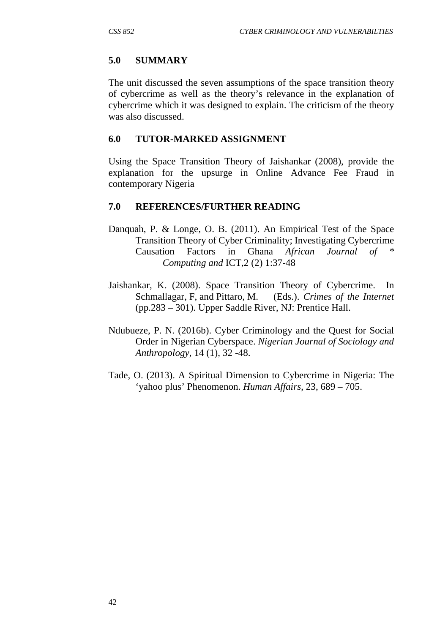### **5.0 SUMMARY**

The unit discussed the seven assumptions of the space transition theory of cybercrime as well as the theory's relevance in the explanation of cybercrime which it was designed to explain. The criticism of the theory was also discussed.

#### **6.0 TUTOR-MARKED ASSIGNMENT**

Using the Space Transition Theory of Jaishankar (2008), provide the explanation for the upsurge in Online Advance Fee Fraud in contemporary Nigeria

#### **7.0 REFERENCES/FURTHER READING**

- Danquah, P. & Longe, O. B. (2011). An Empirical Test of the Space Transition Theory of Cyber Criminality; Investigating Cybercrime Causation Factors in Ghana *African Journal of \* Computing and* ICT,2 (2) 1:37-48
- Jaishankar, K. (2008). Space Transition Theory of Cybercrime. In Schmallagar, F, and Pittaro, M. (Eds.). *Crimes of the Internet* (pp.283 – 301). Upper Saddle River, NJ: Prentice Hall.
- Ndubueze, P. N. (2016b). Cyber Criminology and the Quest for Social Order in Nigerian Cyberspace. *Nigerian Journal of Sociology and Anthropology*, 14 (1), 32 -48.
- Tade, O. (2013). A Spiritual Dimension to Cybercrime in Nigeria: The 'yahoo plus' Phenomenon. *Human Affairs*, 23, 689 – 705.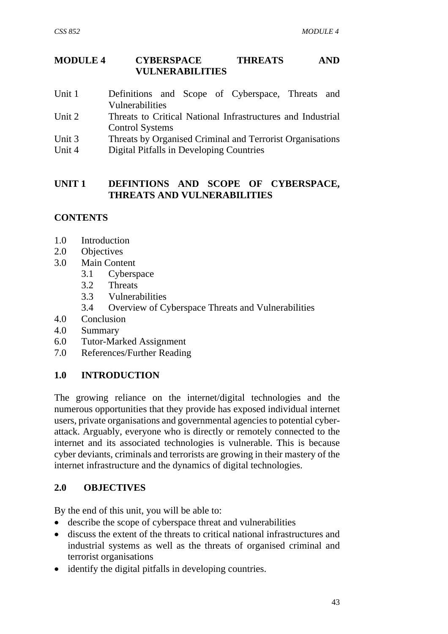## **MODULE 4 CYBERSPACE THREATS AND VULNERABILITIES**

- Unit 1 Definitions and Scope of Cyberspace, Threats and Vulnerabilities
- Unit 2 Threats to Critical National Infrastructures and Industrial Control Systems
- Unit 3 Threats by Organised Criminal and Terrorist Organisations
- Unit 4 Digital Pitfalls in Developing Countries

### **UNIT 1 DEFINTIONS AND SCOPE OF CYBERSPACE, THREATS AND VULNERABILITIES**

## **CONTENTS**

- 1.0 Introduction
- 2.0 Objectives
- 3.0 Main Content
	- 3.1 Cyberspace
	- 3.2 Threats
	- 3.3 Vulnerabilities
	- 3.4 Overview of Cyberspace Threats and Vulnerabilities
- 4.0 Conclusion
- 4.0 Summary
- 6.0 Tutor-Marked Assignment
- 7.0 References/Further Reading

# **1.0 INTRODUCTION**

The growing reliance on the internet/digital technologies and the numerous opportunities that they provide has exposed individual internet users, private organisations and governmental agencies to potential cyberattack. Arguably, everyone who is directly or remotely connected to the internet and its associated technologies is vulnerable. This is because cyber deviants, criminals and terrorists are growing in their mastery of the internet infrastructure and the dynamics of digital technologies.

## **2.0 OBJECTIVES**

By the end of this unit, you will be able to:

- describe the scope of cyberspace threat and vulnerabilities
- discuss the extent of the threats to critical national infrastructures and industrial systems as well as the threats of organised criminal and terrorist organisations
- identify the digital pitfalls in developing countries.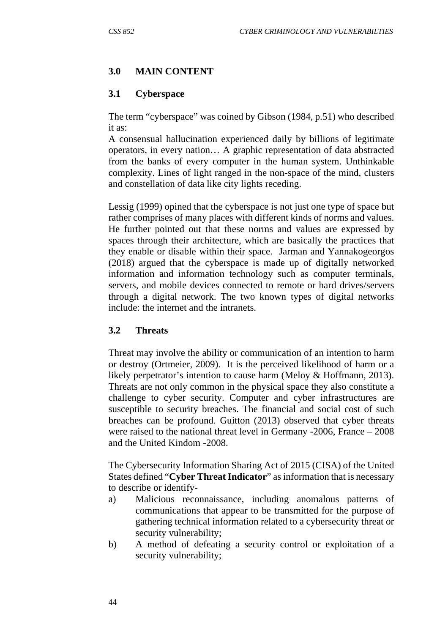# **3.0 MAIN CONTENT**

## **3.1 Cyberspace**

The term "cyberspace" was coined by Gibson (1984, p.51) who described it as:

A consensual hallucination experienced daily by billions of legitimate operators, in every nation… A graphic representation of data abstracted from the banks of every computer in the human system. Unthinkable complexity. Lines of light ranged in the non-space of the mind, clusters and constellation of data like city lights receding.

Lessig (1999) opined that the cyberspace is not just one type of space but rather comprises of many places with different kinds of norms and values. He further pointed out that these norms and values are expressed by spaces through their architecture, which are basically the practices that they enable or disable within their space. Jarman and Yannakogeorgos (2018) argued that the cyberspace is made up of digitally networked information and information technology such as computer terminals, servers, and mobile devices connected to remote or hard drives/servers through a digital network. The two known types of digital networks include: the internet and the intranets.

## **3.2 Threats**

Threat may involve the ability or communication of an intention to harm or destroy (Ortmeier, 2009). It is the perceived likelihood of harm or a likely perpetrator's intention to cause harm (Meloy & Hoffmann, 2013). Threats are not only common in the physical space they also constitute a challenge to cyber security. Computer and cyber infrastructures are susceptible to security breaches. The financial and social cost of such breaches can be profound. Guitton (2013) observed that cyber threats were raised to the national threat level in Germany -2006, France – 2008 and the United Kindom -2008.

The Cybersecurity Information Sharing Act of 2015 (CISA) of the United States defined "**Cyber Threat Indicator**" as information that is necessary to describe or identify-

- a) Malicious reconnaissance, including anomalous patterns of communications that appear to be transmitted for the purpose of gathering technical information related to a cybersecurity threat or security vulnerability;
- b) A method of defeating a security control or exploitation of a security vulnerability;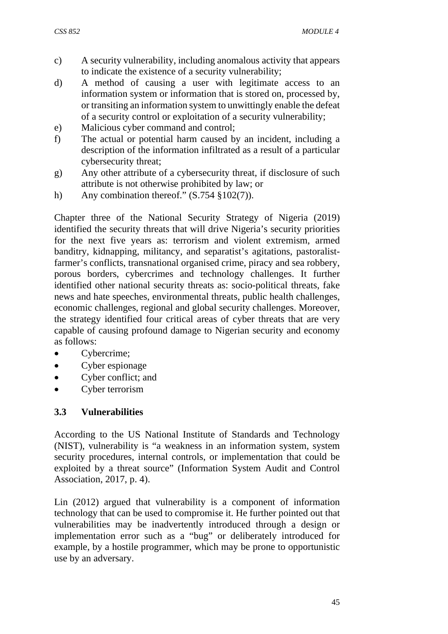- c) A security vulnerability, including anomalous activity that appears to indicate the existence of a security vulnerability;
- d) A method of causing a user with legitimate access to an information system or information that is stored on, processed by, or transiting an information system to unwittingly enable the defeat of a security control or exploitation of a security vulnerability;
- e) Malicious cyber command and control;
- f) The actual or potential harm caused by an incident, including a description of the information infiltrated as a result of a particular cybersecurity threat;
- g) Any other attribute of a cybersecurity threat, if disclosure of such attribute is not otherwise prohibited by law; or
- h) Any combination thereof."  $(S.754 \text{ § } 102(7))$ .

Chapter three of the National Security Strategy of Nigeria (2019) identified the security threats that will drive Nigeria's security priorities for the next five years as: terrorism and violent extremism, armed banditry, kidnapping, militancy, and separatist's agitations, pastoralistfarmer's conflicts, transnational organised crime, piracy and sea robbery, porous borders, cybercrimes and technology challenges. It further identified other national security threats as: socio-political threats, fake news and hate speeches, environmental threats, public health challenges, economic challenges, regional and global security challenges. Moreover, the strategy identified four critical areas of cyber threats that are very capable of causing profound damage to Nigerian security and economy as follows:

- Cybercrime;
- Cyber espionage
- Cyber conflict: and
- Cyber terrorism

## **3.3 Vulnerabilities**

According to the US National Institute of Standards and Technology (NIST), vulnerability is "a weakness in an information system, system security procedures, internal controls, or implementation that could be exploited by a threat source" (Information System Audit and Control Association, 2017, p. 4).

Lin (2012) argued that vulnerability is a component of information technology that can be used to compromise it. He further pointed out that vulnerabilities may be inadvertently introduced through a design or implementation error such as a "bug" or deliberately introduced for example, by a hostile programmer, which may be prone to opportunistic use by an adversary.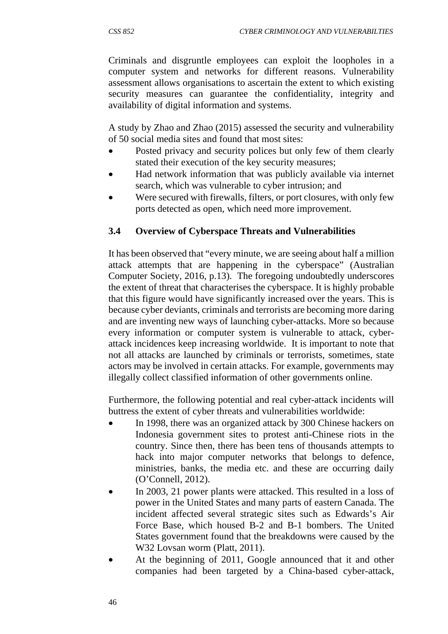Criminals and disgruntle employees can exploit the loopholes in a computer system and networks for different reasons. Vulnerability assessment allows organisations to ascertain the extent to which existing security measures can guarantee the confidentiality, integrity and availability of digital information and systems.

A study by Zhao and Zhao (2015) assessed the security and vulnerability of 50 social media sites and found that most sites:

- Posted privacy and security polices but only few of them clearly stated their execution of the key security measures;
- Had network information that was publicly available via internet search, which was vulnerable to cyber intrusion; and
- Were secured with firewalls, filters, or port closures, with only few ports detected as open, which need more improvement.

## **3.4 Overview of Cyberspace Threats and Vulnerabilities**

It has been observed that "every minute, we are seeing about half a million attack attempts that are happening in the cyberspace" (Australian Computer Society, 2016, p.13). The foregoing undoubtedly underscores the extent of threat that characterises the cyberspace. It is highly probable that this figure would have significantly increased over the years. This is because cyber deviants, criminals and terrorists are becoming more daring and are inventing new ways of launching cyber-attacks. More so because every information or computer system is vulnerable to attack, cyberattack incidences keep increasing worldwide. It is important to note that not all attacks are launched by criminals or terrorists, sometimes, state actors may be involved in certain attacks. For example, governments may illegally collect classified information of other governments online.

Furthermore, the following potential and real cyber-attack incidents will buttress the extent of cyber threats and vulnerabilities worldwide:

- In 1998, there was an organized attack by 300 Chinese hackers on Indonesia government sites to protest anti-Chinese riots in the country. Since then, there has been tens of thousands attempts to hack into major computer networks that belongs to defence, ministries, banks, the media etc. and these are occurring daily (O'Connell, 2012).
- In 2003, 21 power plants were attacked. This resulted in a loss of power in the United States and many parts of eastern Canada. The incident affected several strategic sites such as Edwards's Air Force Base, which housed B-2 and B-1 bombers. The United States government found that the breakdowns were caused by the W32 Lovsan worm (Platt, 2011).
- At the beginning of 2011, Google announced that it and other companies had been targeted by a China-based cyber-attack,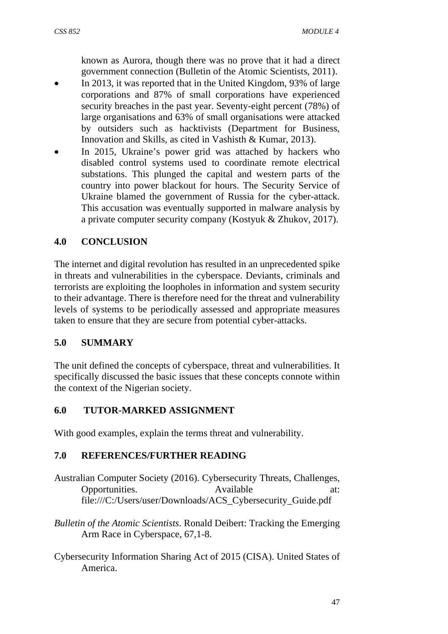known as Aurora, though there was no prove that it had a direct government connection (Bulletin of the Atomic Scientists, 2011).

- In 2013, it was reported that in the United Kingdom, 93% of large corporations and 87% of small corporations have experienced security breaches in the past year. Seventy-eight percent (78%) of large organisations and 63% of small organisations were attacked by outsiders such as hacktivists (Department for Business, Innovation and Skills, as cited in Vashisth & Kumar, 2013).
- In 2015, Ukraine's power grid was attached by hackers who disabled control systems used to coordinate remote electrical substations. This plunged the capital and western parts of the country into power blackout for hours. The Security Service of Ukraine blamed the government of Russia for the cyber-attack. This accusation was eventually supported in malware analysis by a private computer security company (Kostyuk & Zhukov, 2017).

# **4.0 CONCLUSION**

The internet and digital revolution has resulted in an unprecedented spike in threats and vulnerabilities in the cyberspace. Deviants, criminals and terrorists are exploiting the loopholes in information and system security to their advantage. There is therefore need for the threat and vulnerability levels of systems to be periodically assessed and appropriate measures taken to ensure that they are secure from potential cyber-attacks.

## **5.0 SUMMARY**

The unit defined the concepts of cyberspace, threat and vulnerabilities. It specifically discussed the basic issues that these concepts connote within the context of the Nigerian society.

## **6.0 TUTOR-MARKED ASSIGNMENT**

With good examples, explain the terms threat and vulnerability.

## **7.0 REFERENCES/FURTHER READING**

- Australian Computer Society (2016). Cybersecurity Threats, Challenges, Opportunities. Available at: file:///C:/Users/user/Downloads/ACS\_Cybersecurity\_Guide.pdf
- *Bulletin of the Atomic Scientists*. Ronald Deibert: Tracking the Emerging Arm Race in Cyberspace, 67,1-8.
- Cybersecurity Information Sharing Act of 2015 (CISA). United States of America.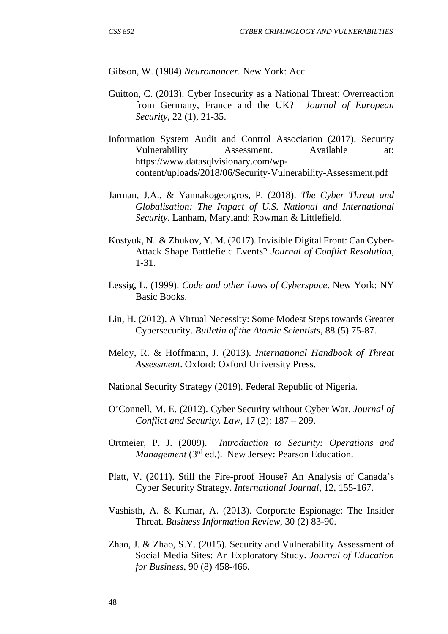Gibson, W. (1984) *Neuromancer.* New York: Acc.

- Guitton, C. (2013). Cyber Insecurity as a National Threat: Overreaction from Germany, France and the UK? *Journal of European Security*, 22 (1), 21-35.
- Information System Audit and Control Association (2017). Security Vulnerability Assessment. Available at: https://www.datasqlvisionary.com/wpcontent/uploads/2018/06/Security-Vulnerability-Assessment.pdf
- Jarman, J.A., & Yannakogeorgros, P. (2018). *The Cyber Threat and Globalisation: The Impact of U.S. National and International Security*. Lanham, Maryland: Rowman & Littlefield.
- Kostyuk, N. & Zhukov, Y. M. (2017). Invisible Digital Front: Can Cyber-Attack Shape Battlefield Events? *Journal of Conflict Resolution*, 1-31.
- Lessig, L. (1999). *Code and other Laws of Cyberspace*. New York: NY Basic Books.
- Lin, H. (2012). A Virtual Necessity: Some Modest Steps towards Greater Cybersecurity. *Bulletin of the Atomic Scientists*, 88 (5) 75-87.
- Meloy, R. & Hoffmann, J. (2013). *International Handbook of Threat Assessment*. Oxford: Oxford University Press.
- National Security Strategy (2019). Federal Republic of Nigeria.
- O'Connell, M. E. (2012). Cyber Security without Cyber War. *Journal of Conflict and Security. Law*, 17 (2): 187 – 209.
- Ortmeier, P. J. (2009). *Introduction to Security: Operations and Management* (3rd ed.). New Jersey: Pearson Education.
- Platt, V. (2011). Still the Fire-proof House? An Analysis of Canada's Cyber Security Strategy. *International Journal*, 12, 155-167.
- Vashisth, A. & Kumar, A. (2013). Corporate Espionage: The Insider Threat. *Business Information Review*, 30 (2) 83-90.
- Zhao, J. & Zhao, S.Y. (2015). Security and Vulnerability Assessment of Social Media Sites: An Exploratory Study. *Journal of Education for Business*, 90 (8) 458-466.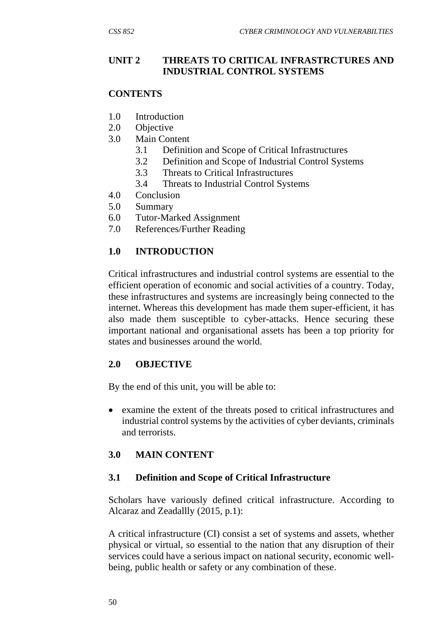## **UNIT 2 THREATS TO CRITICAL INFRASTRCTURES AND INDUSTRIAL CONTROL SYSTEMS**

## **CONTENTS**

- 1.0 Introduction
- 2.0 Objective
- 3.0 Main Content
	- 3.1 Definition and Scope of Critical Infrastructures
	- 3.2 Definition and Scope of Industrial Control Systems
	- 3.3 Threats to Critical Infrastructures
	- 3.4 Threats to Industrial Control Systems
- 4.0 Conclusion
- 5.0 Summary
- 6.0 Tutor-Marked Assignment
- 7.0 References/Further Reading

# **1.0 INTRODUCTION**

Critical infrastructures and industrial control systems are essential to the efficient operation of economic and social activities of a country. Today, these infrastructures and systems are increasingly being connected to the internet. Whereas this development has made them super-efficient, it has also made them susceptible to cyber-attacks. Hence securing these important national and organisational assets has been a top priority for states and businesses around the world.

# **2.0 OBJECTIVE**

By the end of this unit, you will be able to:

 examine the extent of the threats posed to critical infrastructures and industrial control systems by the activities of cyber deviants, criminals and terrorists.

# **3.0 MAIN CONTENT**

## **3.1 Definition and Scope of Critical Infrastructure**

Scholars have variously defined critical infrastructure. According to Alcaraz and Zeadallly (2015, p.1):

A critical infrastructure (CI) consist a set of systems and assets, whether physical or virtual, so essential to the nation that any disruption of their services could have a serious impact on national security, economic wellbeing, public health or safety or any combination of these.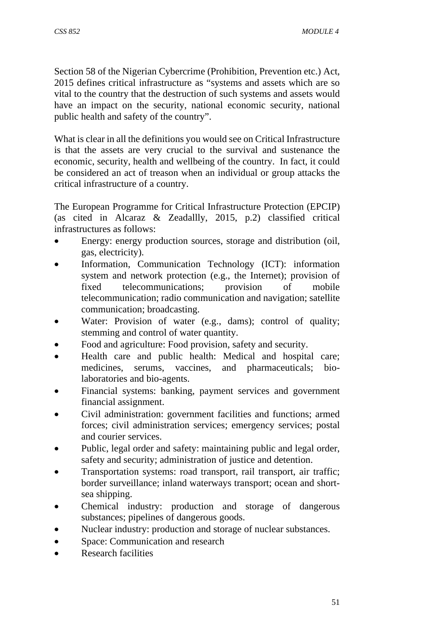Section 58 of the Nigerian Cybercrime (Prohibition, Prevention etc.) Act, 2015 defines critical infrastructure as "systems and assets which are so vital to the country that the destruction of such systems and assets would have an impact on the security, national economic security, national public health and safety of the country".

What is clear in all the definitions you would see on Critical Infrastructure is that the assets are very crucial to the survival and sustenance the economic, security, health and wellbeing of the country. In fact, it could be considered an act of treason when an individual or group attacks the critical infrastructure of a country.

The European Programme for Critical Infrastructure Protection (EPCIP) (as cited in Alcaraz & Zeadallly, 2015, p.2) classified critical infrastructures as follows:

- Energy: energy production sources, storage and distribution (oil, gas, electricity).
- Information, Communication Technology (ICT): information system and network protection (e.g., the Internet); provision of fixed telecommunications; provision of mobile telecommunication; radio communication and navigation; satellite communication; broadcasting.
- Water: Provision of water (e.g., dams); control of quality; stemming and control of water quantity.
- Food and agriculture: Food provision, safety and security.
- Health care and public health: Medical and hospital care; medicines, serums, vaccines, and pharmaceuticals; biolaboratories and bio-agents.
- Financial systems: banking, payment services and government financial assignment.
- Civil administration: government facilities and functions; armed forces; civil administration services; emergency services; postal and courier services.
- Public, legal order and safety: maintaining public and legal order, safety and security; administration of justice and detention.
- Transportation systems: road transport, rail transport, air traffic; border surveillance; inland waterways transport; ocean and shortsea shipping.
- Chemical industry: production and storage of dangerous substances; pipelines of dangerous goods.
- Nuclear industry: production and storage of nuclear substances.
- Space: Communication and research
- Research facilities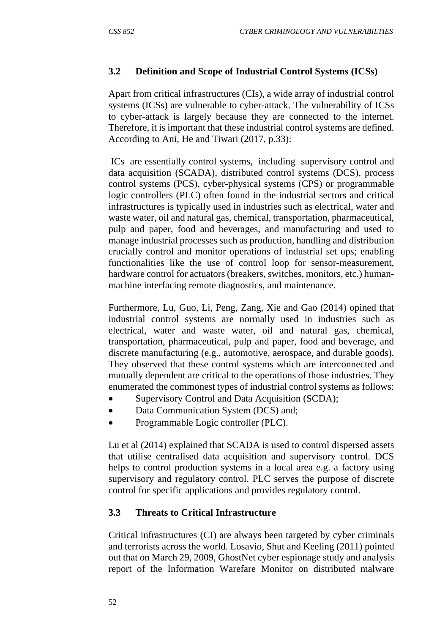# **3.2 Definition and Scope of Industrial Control Systems (ICSs)**

Apart from critical infrastructures (CIs), a wide array of industrial control systems (ICSs) are vulnerable to cyber-attack. The vulnerability of ICSs to cyber-attack is largely because they are connected to the internet. Therefore, it is important that these industrial control systems are defined. According to Ani, He and Tiwari (2017, p.33):

 ICs are essentially control systems, including supervisory control and data acquisition (SCADA), distributed control systems (DCS), process control systems (PCS), cyber-physical systems (CPS) or programmable logic controllers (PLC) often found in the industrial sectors and critical infrastructures is typically used in industries such as electrical, water and waste water, oil and natural gas, chemical, transportation, pharmaceutical, pulp and paper, food and beverages, and manufacturing and used to manage industrial processes such as production, handling and distribution crucially control and monitor operations of industrial set ups; enabling functionalities like the use of control loop for sensor-measurement, hardware control for actuators (breakers, switches, monitors, etc.) humanmachine interfacing remote diagnostics, and maintenance.

Furthermore, Lu, Guo, Li, Peng, Zang, Xie and Gao (2014) opined that industrial control systems are normally used in industries such as electrical, water and waste water, oil and natural gas, chemical, transportation, pharmaceutical, pulp and paper, food and beverage, and discrete manufacturing (e.g., automotive, aerospace, and durable goods). They observed that these control systems which are interconnected and mutually dependent are critical to the operations of those industries. They enumerated the commonest types of industrial control systems as follows:

- Supervisory Control and Data Acquisition (SCDA);
- Data Communication System (DCS) and;
- Programmable Logic controller (PLC).

Lu et al (2014) explained that SCADA is used to control dispersed assets that utilise centralised data acquisition and supervisory control. DCS helps to control production systems in a local area e.g. a factory using supervisory and regulatory control. PLC serves the purpose of discrete control for specific applications and provides regulatory control.

# **3.3 Threats to Critical Infrastructure**

Critical infrastructures (CI) are always been targeted by cyber criminals and terrorists across the world. Losavio, Shut and Keeling (2011) pointed out that on March 29, 2009, GhostNet cyber espionage study and analysis report of the Information Warefare Monitor on distributed malware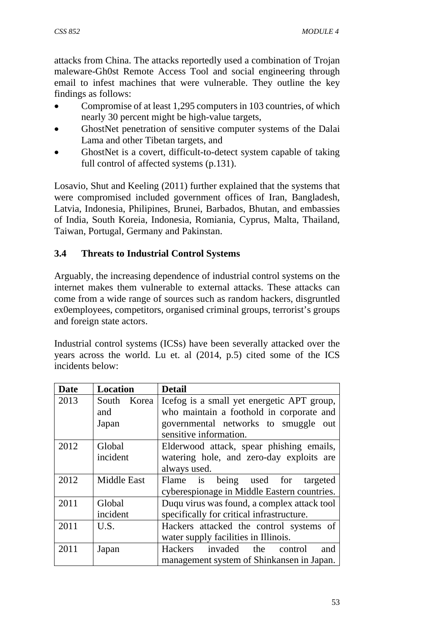attacks from China. The attacks reportedly used a combination of Trojan maleware-Gh0st Remote Access Tool and social engineering through email to infest machines that were vulnerable. They outline the key findings as follows:

- Compromise of at least 1,295 computers in 103 countries, of which nearly 30 percent might be high-value targets,
- GhostNet penetration of sensitive computer systems of the Dalai Lama and other Tibetan targets, and
- GhostNet is a covert, difficult-to-detect system capable of taking full control of affected systems (p.131).

Losavio, Shut and Keeling (2011) further explained that the systems that were compromised included government offices of Iran, Bangladesh, Latvia, Indonesia, Philipines, Brunei, Barbados, Bhutan, and embassies of India, South Koreia, Indonesia, Romiania, Cyprus, Malta, Thailand, Taiwan, Portugal, Germany and Pakinstan.

# **3.4 Threats to Industrial Control Systems**

Arguably, the increasing dependence of industrial control systems on the internet makes them vulnerable to external attacks. These attacks can come from a wide range of sources such as random hackers, disgruntled ex0employees, competitors, organised criminal groups, terrorist's groups and foreign state actors.

Industrial control systems (ICSs) have been severally attacked over the years across the world. Lu et. al (2014, p.5) cited some of the ICS incidents below:

| <b>Date</b> | <b>Location</b>                                       | <b>Detail</b>                               |  |
|-------------|-------------------------------------------------------|---------------------------------------------|--|
| 2013        | South Korea                                           | Icefog is a small yet energetic APT group,  |  |
|             | and                                                   | who maintain a foothold in corporate and    |  |
|             | Japan                                                 | governmental networks to smuggle out        |  |
|             |                                                       | sensitive information.                      |  |
| 2012        | Global<br>Elderwood attack, spear phishing emails,    |                                             |  |
|             | incident                                              | watering hole, and zero-day exploits are    |  |
|             |                                                       | always used.                                |  |
| 2012        | <b>Middle East</b>                                    | Flame is being used for targeted            |  |
|             |                                                       | cyberespionage in Middle Eastern countries. |  |
| 2011        | Duqu virus was found, a complex attack tool<br>Global |                                             |  |
|             | incident                                              | specifically for critical infrastructure.   |  |
| 2011        | U.S.                                                  | Hackers attacked the control systems of     |  |
|             |                                                       | water supply facilities in Illinois.        |  |
| 2011        | Japan                                                 | Hackers invaded<br>the<br>control<br>and    |  |
|             |                                                       | management system of Shinkansen in Japan.   |  |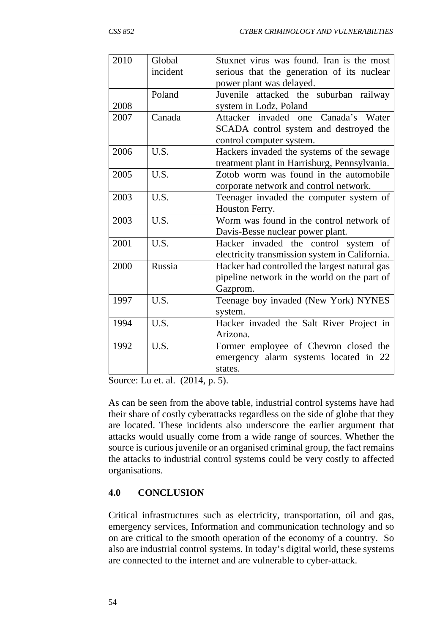| 2010 | Global   | Stuxnet virus was found. Iran is the most      |  |
|------|----------|------------------------------------------------|--|
|      | incident | serious that the generation of its nuclear     |  |
|      |          | power plant was delayed.                       |  |
|      | Poland   | Juvenile attacked the suburban railway         |  |
| 2008 |          | system in Lodz, Poland                         |  |
| 2007 | Canada   | Attacker invaded one Canada's Water            |  |
|      |          | SCADA control system and destroyed the         |  |
|      |          | control computer system.                       |  |
| 2006 | U.S.     | Hackers invaded the systems of the sewage      |  |
|      |          | treatment plant in Harrisburg, Pennsylvania.   |  |
| 2005 | U.S.     | Zotob worm was found in the automobile         |  |
|      |          | corporate network and control network.         |  |
| 2003 | U.S.     | Teenager invaded the computer system of        |  |
|      |          | Houston Ferry.                                 |  |
| 2003 | U.S.     | Worm was found in the control network of       |  |
|      |          | Davis-Besse nuclear power plant.               |  |
| 2001 | U.S.     | Hacker invaded the control system of           |  |
|      |          | electricity transmission system in California. |  |
| 2000 | Russia   | Hacker had controlled the largest natural gas  |  |
|      |          | pipeline network in the world on the part of   |  |
|      |          | Gazprom.                                       |  |
| 1997 | U.S.     | Teenage boy invaded (New York) NYNES           |  |
|      |          | system.                                        |  |
| 1994 | U.S.     | Hacker invaded the Salt River Project in       |  |
|      |          | Arizona.                                       |  |
| 1992 | U.S.     | Former employee of Chevron closed the          |  |
|      |          | emergency alarm systems located in 22          |  |
|      |          | states.                                        |  |

Source: Lu et. al. (2014, p. 5).

As can be seen from the above table, industrial control systems have had their share of costly cyberattacks regardless on the side of globe that they are located. These incidents also underscore the earlier argument that attacks would usually come from a wide range of sources. Whether the source is curious juvenile or an organised criminal group, the fact remains the attacks to industrial control systems could be very costly to affected organisations.

## **4.0 CONCLUSION**

Critical infrastructures such as electricity, transportation, oil and gas, emergency services, Information and communication technology and so on are critical to the smooth operation of the economy of a country. So also are industrial control systems. In today's digital world, these systems are connected to the internet and are vulnerable to cyber-attack.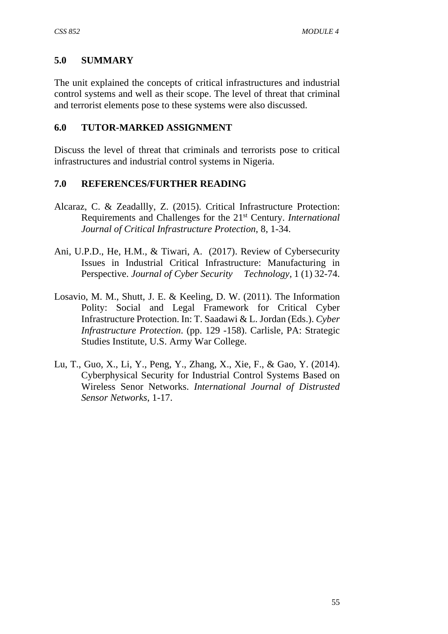## **5.0 SUMMARY**

The unit explained the concepts of critical infrastructures and industrial control systems and well as their scope. The level of threat that criminal and terrorist elements pose to these systems were also discussed.

## **6.0 TUTOR-MARKED ASSIGNMENT**

Discuss the level of threat that criminals and terrorists pose to critical infrastructures and industrial control systems in Nigeria.

## **7.0 REFERENCES/FURTHER READING**

- Alcaraz, C. & Zeadallly, Z. (2015). Critical Infrastructure Protection: Requirements and Challenges for the 21st Century. *International Journal of Critical Infrastructure Protection*, 8, 1-34.
- Ani, U.P.D., He, H.M., & Tiwari, A. (2017). Review of Cybersecurity Issues in Industrial Critical Infrastructure: Manufacturing in Perspective. *Journal of Cyber Security Technology*, 1 (1) 32-74.
- Losavio, M. M., Shutt, J. E. & Keeling, D. W. (2011). The Information Polity: Social and Legal Framework for Critical Cyber Infrastructure Protection. In: T. Saadawi & L. Jordan (Eds.). *Cyber Infrastructure Protection*. (pp. 129 -158). Carlisle, PA: Strategic Studies Institute, U.S. Army War College.
- Lu, T., Guo, X., Li, Y., Peng, Y., Zhang, X., Xie, F., & Gao, Y. (2014). Cyberphysical Security for Industrial Control Systems Based on Wireless Senor Networks. *International Journal of Distrusted Sensor Networks*, 1-17.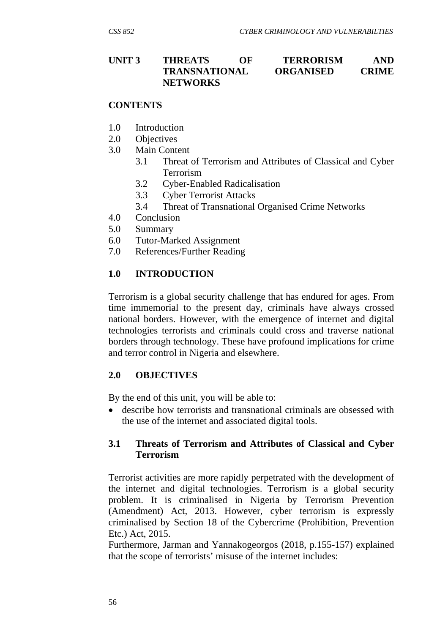### **UNIT 3 THREATS OF TERRORISM AND TRANSNATIONAL ORGANISED CRIME NETWORKS**

### **CONTENTS**

- 1.0 Introduction
- 2.0 Objectives
- 3.0 Main Content
	- 3.1 Threat of Terrorism and Attributes of Classical and Cyber Terrorism
		- 3.2 Cyber-Enabled Radicalisation
	- 3.3 Cyber Terrorist Attacks
	- 3.4 Threat of Transnational Organised Crime Networks
- 4.0 Conclusion
- 5.0 Summary
- 6.0 Tutor-Marked Assignment
- 7.0 References/Further Reading

## **1.0 INTRODUCTION**

Terrorism is a global security challenge that has endured for ages. From time immemorial to the present day, criminals have always crossed national borders. However, with the emergence of internet and digital technologies terrorists and criminals could cross and traverse national borders through technology. These have profound implications for crime and terror control in Nigeria and elsewhere.

## **2.0 OBJECTIVES**

By the end of this unit, you will be able to:

 describe how terrorists and transnational criminals are obsessed with the use of the internet and associated digital tools.

## **3.1 Threats of Terrorism and Attributes of Classical and Cyber Terrorism**

Terrorist activities are more rapidly perpetrated with the development of the internet and digital technologies. Terrorism is a global security problem. It is criminalised in Nigeria by Terrorism Prevention (Amendment) Act, 2013. However, cyber terrorism is expressly criminalised by Section 18 of the Cybercrime (Prohibition, Prevention Etc.) Act, 2015.

Furthermore, Jarman and Yannakogeorgos (2018, p.155-157) explained that the scope of terrorists' misuse of the internet includes: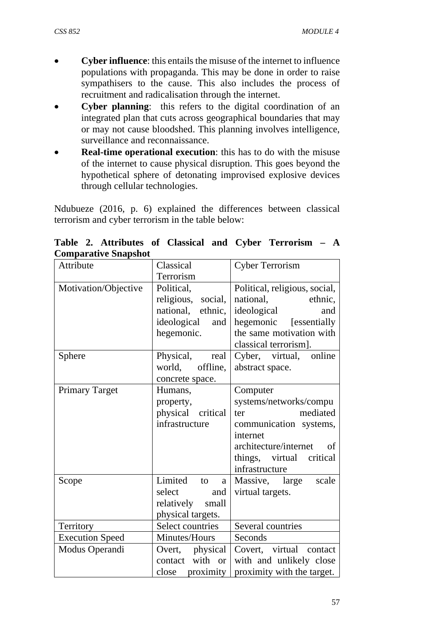- **Cyber influence**: this entails the misuse of the internet to influence populations with propaganda. This may be done in order to raise sympathisers to the cause. This also includes the process of recruitment and radicalisation through the internet.
- **Cyber planning**: this refers to the digital coordination of an integrated plan that cuts across geographical boundaries that may or may not cause bloodshed. This planning involves intelligence, surveillance and reconnaissance.
- **Real-time operational execution**: this has to do with the misuse of the internet to cause physical disruption. This goes beyond the hypothetical sphere of detonating improvised explosive devices through cellular technologies.

Ndubueze (2016, p. 6) explained the differences between classical terrorism and cyber terrorism in the table below:

| Сонграгаат с энарэнос<br>Attribute | Classical                                                                                                                   | <b>Cyber Terrorism</b>                                                                                                                                                                |
|------------------------------------|-----------------------------------------------------------------------------------------------------------------------------|---------------------------------------------------------------------------------------------------------------------------------------------------------------------------------------|
|                                    |                                                                                                                             |                                                                                                                                                                                       |
| Motivation/Objective<br>Sphere     | Terrorism<br>Political,<br>religious, social,<br>national, ethnic,<br>ideological<br>and<br>hegemonic.<br>Physical,<br>real | Political, religious, social,<br>national,<br>ethnic,<br>ideological<br>and<br>hegemonic [essentially]<br>the same motivation with<br>classical terrorism].<br>Cyber, virtual, online |
|                                    | offline,<br>world,<br>concrete space.                                                                                       | abstract space.                                                                                                                                                                       |
| <b>Primary Target</b>              | Humans,<br>property,<br>physical critical<br>infrastructure                                                                 | Computer<br>systems/networks/compu<br>mediated<br>ter<br>communication systems,<br>internet<br>architecture/internet<br>of<br>things, virtual critical<br>infrastructure              |
| Scope                              | Limited<br>to<br>a<br>select<br>and<br>relatively<br>small<br>physical targets.                                             | Massive, large<br>scale<br>virtual targets.                                                                                                                                           |
| Territory                          | Select countries                                                                                                            | Several countries                                                                                                                                                                     |
| <b>Execution Speed</b>             | Minutes/Hours                                                                                                               | Seconds                                                                                                                                                                               |
| Modus Operandi                     | physical<br>Overt,<br>with or<br>contact<br>close proximity                                                                 | Covert, virtual contact<br>with and unlikely close<br>proximity with the target.                                                                                                      |

**Table 2. Attributes of Classical and Cyber Terrorism – A Comparative Snapshot**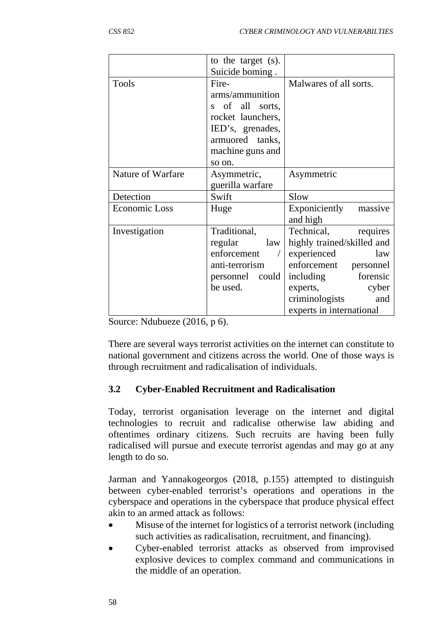|                   | to the target (s). |                            |
|-------------------|--------------------|----------------------------|
|                   | Suicide boming.    |                            |
| <b>Tools</b>      | Fire-              | Malwares of all sorts.     |
|                   | arms/ammunition    |                            |
|                   | s of all sorts,    |                            |
|                   | rocket launchers,  |                            |
|                   | IED's, grenades,   |                            |
|                   | armuored tanks,    |                            |
|                   | machine guns and   |                            |
|                   | so on.             |                            |
| Nature of Warfare | Asymmetric,        | Asymmetric                 |
|                   | guerilla warfare   |                            |
| Detection         | Swift              | Slow                       |
| Economic Loss     | Huge               | Exponiciently<br>massive   |
|                   |                    | and high                   |
| Investigation     | Traditional,       | requires<br>Technical,     |
|                   | regular<br>law     | highly trained/skilled and |
|                   | enforcement        | experienced<br>law         |
|                   | anti-terrorism     | enforcement personnel      |
|                   | personnel could    | forensic<br>including      |
|                   | be used.           | cyber<br>experts,          |
|                   |                    | criminologists<br>and      |
|                   |                    | experts in international   |

Source: Ndubueze (2016, p 6).

There are several ways terrorist activities on the internet can constitute to national government and citizens across the world. One of those ways is through recruitment and radicalisation of individuals.

## **3.2 Cyber-Enabled Recruitment and Radicalisation**

Today, terrorist organisation leverage on the internet and digital technologies to recruit and radicalise otherwise law abiding and oftentimes ordinary citizens. Such recruits are having been fully radicalised will pursue and execute terrorist agendas and may go at any length to do so.

Jarman and Yannakogeorgos (2018, p.155) attempted to distinguish between cyber-enabled terrorist's operations and operations in the cyberspace and operations in the cyberspace that produce physical effect akin to an armed attack as follows:

- Misuse of the internet for logistics of a terrorist network (including such activities as radicalisation, recruitment, and financing).
- Cyber-enabled terrorist attacks as observed from improvised explosive devices to complex command and communications in the middle of an operation.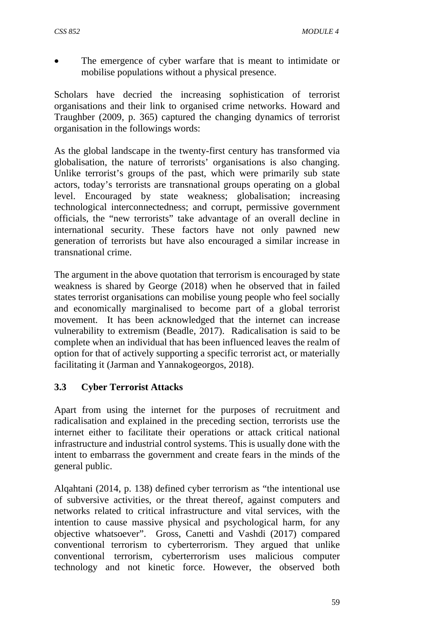The emergence of cyber warfare that is meant to intimidate or mobilise populations without a physical presence.

Scholars have decried the increasing sophistication of terrorist organisations and their link to organised crime networks. Howard and Traughber (2009, p. 365) captured the changing dynamics of terrorist organisation in the followings words:

As the global landscape in the twenty-first century has transformed via globalisation, the nature of terrorists' organisations is also changing. Unlike terrorist's groups of the past, which were primarily sub state actors, today's terrorists are transnational groups operating on a global level. Encouraged by state weakness; globalisation; increasing technological interconnectedness; and corrupt, permissive government officials, the "new terrorists" take advantage of an overall decline in international security. These factors have not only pawned new generation of terrorists but have also encouraged a similar increase in transnational crime.

The argument in the above quotation that terrorism is encouraged by state weakness is shared by George (2018) when he observed that in failed states terrorist organisations can mobilise young people who feel socially and economically marginalised to become part of a global terrorist movement. It has been acknowledged that the internet can increase vulnerability to extremism (Beadle, 2017). Radicalisation is said to be complete when an individual that has been influenced leaves the realm of option for that of actively supporting a specific terrorist act, or materially facilitating it (Jarman and Yannakogeorgos, 2018).

# **3.3 Cyber Terrorist Attacks**

Apart from using the internet for the purposes of recruitment and radicalisation and explained in the preceding section, terrorists use the internet either to facilitate their operations or attack critical national infrastructure and industrial control systems. This is usually done with the intent to embarrass the government and create fears in the minds of the general public.

Alqahtani (2014, p. 138) defined cyber terrorism as "the intentional use of subversive activities, or the threat thereof, against computers and networks related to critical infrastructure and vital services, with the intention to cause massive physical and psychological harm, for any objective whatsoever". Gross, Canetti and Vashdi (2017) compared conventional terrorism to cyberterrorism. They argued that unlike conventional terrorism, cyberterrorism uses malicious computer technology and not kinetic force. However, the observed both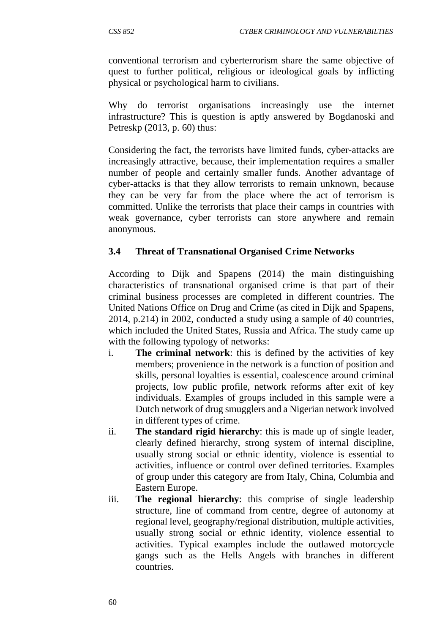conventional terrorism and cyberterrorism share the same objective of quest to further political, religious or ideological goals by inflicting physical or psychological harm to civilians.

Why do terrorist organisations increasingly use the internet infrastructure? This is question is aptly answered by Bogdanoski and Petreskp (2013, p. 60) thus:

Considering the fact, the terrorists have limited funds, cyber-attacks are increasingly attractive, because, their implementation requires a smaller number of people and certainly smaller funds. Another advantage of cyber-attacks is that they allow terrorists to remain unknown, because they can be very far from the place where the act of terrorism is committed. Unlike the terrorists that place their camps in countries with weak governance, cyber terrorists can store anywhere and remain anonymous.

# **3.4 Threat of Transnational Organised Crime Networks**

According to Dijk and Spapens (2014) the main distinguishing characteristics of transnational organised crime is that part of their criminal business processes are completed in different countries. The United Nations Office on Drug and Crime (as cited in Dijk and Spapens, 2014, p.214) in 2002, conducted a study using a sample of 40 countries, which included the United States, Russia and Africa. The study came up with the following typology of networks:

- i. **The criminal network**: this is defined by the activities of key members; provenience in the network is a function of position and skills, personal loyalties is essential, coalescence around criminal projects, low public profile, network reforms after exit of key individuals. Examples of groups included in this sample were a Dutch network of drug smugglers and a Nigerian network involved in different types of crime.
- ii. **The standard rigid hierarchy**: this is made up of single leader, clearly defined hierarchy, strong system of internal discipline, usually strong social or ethnic identity, violence is essential to activities, influence or control over defined territories. Examples of group under this category are from Italy, China, Columbia and Eastern Europe.
- iii. **The regional hierarchy**: this comprise of single leadership structure, line of command from centre, degree of autonomy at regional level, geography/regional distribution, multiple activities, usually strong social or ethnic identity, violence essential to activities. Typical examples include the outlawed motorcycle gangs such as the Hells Angels with branches in different countries.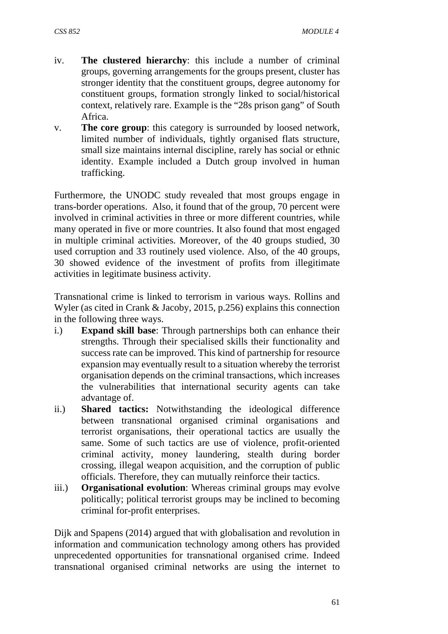- iv. **The clustered hierarchy**: this include a number of criminal groups, governing arrangements for the groups present, cluster has stronger identity that the constituent groups, degree autonomy for constituent groups, formation strongly linked to social/historical context, relatively rare. Example is the "28s prison gang" of South Africa.
- v. **The core group**: this category is surrounded by loosed network, limited number of individuals, tightly organised flats structure, small size maintains internal discipline, rarely has social or ethnic identity. Example included a Dutch group involved in human trafficking.

Furthermore, the UNODC study revealed that most groups engage in trans-border operations. Also, it found that of the group, 70 percent were involved in criminal activities in three or more different countries, while many operated in five or more countries. It also found that most engaged in multiple criminal activities. Moreover, of the 40 groups studied, 30 used corruption and 33 routinely used violence. Also, of the 40 groups, 30 showed evidence of the investment of profits from illegitimate activities in legitimate business activity.

Transnational crime is linked to terrorism in various ways. Rollins and Wyler (as cited in Crank & Jacoby, 2015, p.256) explains this connection in the following three ways.

- i.) **Expand skill base**: Through partnerships both can enhance their strengths. Through their specialised skills their functionality and success rate can be improved. This kind of partnership for resource expansion may eventually result to a situation whereby the terrorist organisation depends on the criminal transactions, which increases the vulnerabilities that international security agents can take advantage of.
- ii.) **Shared tactics:** Notwithstanding the ideological difference between transnational organised criminal organisations and terrorist organisations, their operational tactics are usually the same. Some of such tactics are use of violence, profit-oriented criminal activity, money laundering, stealth during border crossing, illegal weapon acquisition, and the corruption of public officials. Therefore, they can mutually reinforce their tactics.
- iii.) **Organisational evolution**: Whereas criminal groups may evolve politically; political terrorist groups may be inclined to becoming criminal for-profit enterprises.

Dijk and Spapens (2014) argued that with globalisation and revolution in information and communication technology among others has provided unprecedented opportunities for transnational organised crime. Indeed transnational organised criminal networks are using the internet to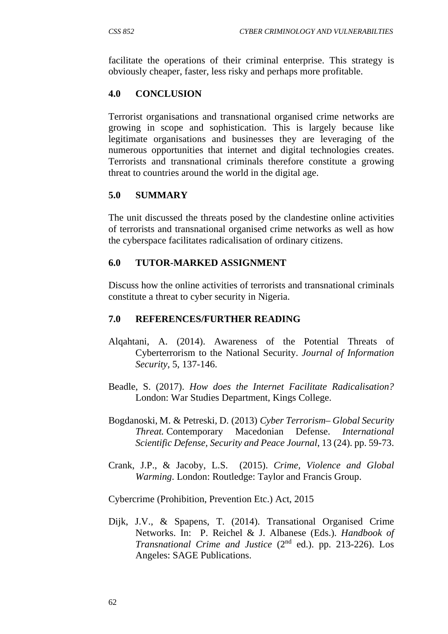facilitate the operations of their criminal enterprise. This strategy is obviously cheaper, faster, less risky and perhaps more profitable.

## **4.0 CONCLUSION**

Terrorist organisations and transnational organised crime networks are growing in scope and sophistication. This is largely because like legitimate organisations and businesses they are leveraging of the numerous opportunities that internet and digital technologies creates. Terrorists and transnational criminals therefore constitute a growing threat to countries around the world in the digital age.

## **5.0 SUMMARY**

The unit discussed the threats posed by the clandestine online activities of terrorists and transnational organised crime networks as well as how the cyberspace facilitates radicalisation of ordinary citizens.

## **6.0 TUTOR-MARKED ASSIGNMENT**

Discuss how the online activities of terrorists and transnational criminals constitute a threat to cyber security in Nigeria.

### **7.0 REFERENCES/FURTHER READING**

- Alqahtani, A. (2014). Awareness of the Potential Threats of Cyberterrorism to the National Security. *Journal of Information Security*, 5, 137-146.
- Beadle, S. (2017). *How does the Internet Facilitate Radicalisation?* London: War Studies Department, Kings College.
- Bogdanoski, M. & Petreski, D. (2013) *Cyber Terrorism– Global Security Threat.* Contemporary Macedonian Defense. *International Scientific Defense, Security and Peace Journal*, 13 (24). pp. 59-73.
- Crank, J.P., & Jacoby, L.S. (2015). *Crime, Violence and Global Warming*. London: Routledge: Taylor and Francis Group.

Cybercrime (Prohibition, Prevention Etc.) Act, 2015

Dijk, J.V., & Spapens, T. (2014). Transational Organised Crime Networks. In: P. Reichel & J. Albanese (Eds.). *Handbook of Transnational Crime and Justice* (2nd ed.). pp. 213-226). Los Angeles: SAGE Publications.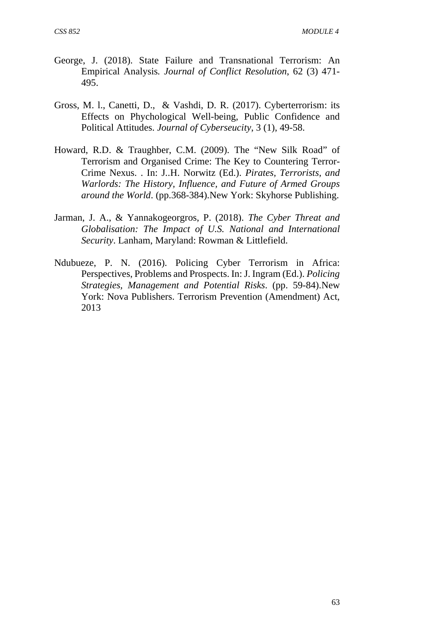- George, J. (2018). State Failure and Transnational Terrorism: An Empirical Analysis*. Journal of Conflict Resolution*, 62 (3) 471- 495.
- Gross, M. l., Canetti, D., & Vashdi, D. R. (2017). Cyberterrorism: its Effects on Phychological Well-being, Public Confidence and Political Attitudes. *Journal of Cyberseucity*, 3 (1), 49-58.
- Howard, R.D. & Traughber, C.M. (2009). The "New Silk Road" of Terrorism and Organised Crime: The Key to Countering Terror-Crime Nexus. . In: J..H. Norwitz (Ed.). *Pirates, Terrorists, and Warlords: The History, Influence, and Future of Armed Groups around the World*. (pp.368-384).New York: Skyhorse Publishing.
- Jarman, J. A., & Yannakogeorgros, P. (2018). *The Cyber Threat and Globalisation: The Impact of U.S. National and International Security*. Lanham, Maryland: Rowman & Littlefield.
- Ndubueze, P. N. (2016). Policing Cyber Terrorism in Africa: Perspectives, Problems and Prospects. In: J. Ingram (Ed.). *Policing Strategies, Management and Potential Risks*. (pp. 59-84).New York: Nova Publishers. Terrorism Prevention (Amendment) Act, 2013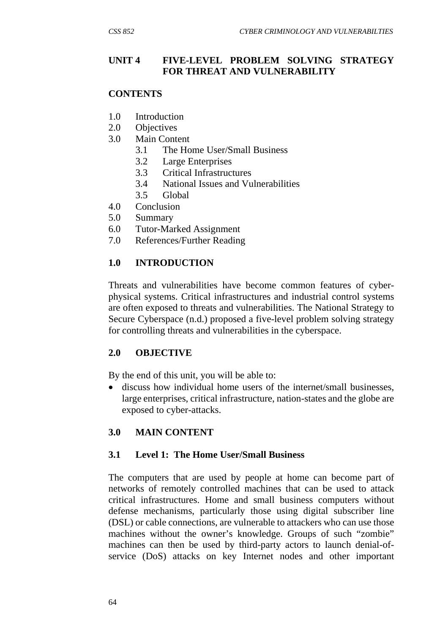### **UNIT 4 FIVE-LEVEL PROBLEM SOLVING STRATEGY FOR THREAT AND VULNERABILITY**

#### **CONTENTS**

- 1.0 Introduction
- 2.0 Objectives
- 3.0 Main Content
	- 3.1 The Home User/Small Business
	- 3.2 Large Enterprises
	- 3.3 Critical Infrastructures
	- 3.4 National Issues and Vulnerabilities
	- 3.5 Global
- 4.0 Conclusion
- 5.0 Summary
- 6.0 Tutor-Marked Assignment
- 7.0 References/Further Reading

#### **1.0 INTRODUCTION**

Threats and vulnerabilities have become common features of cyberphysical systems. Critical infrastructures and industrial control systems are often exposed to threats and vulnerabilities. The National Strategy to Secure Cyberspace (n.d.) proposed a five-level problem solving strategy for controlling threats and vulnerabilities in the cyberspace.

### **2.0 OBJECTIVE**

By the end of this unit, you will be able to:

 discuss how individual home users of the internet/small businesses, large enterprises, critical infrastructure, nation-states and the globe are exposed to cyber-attacks.

### **3.0 MAIN CONTENT**

#### **3.1 Level 1: The Home User/Small Business**

The computers that are used by people at home can become part of networks of remotely controlled machines that can be used to attack critical infrastructures. Home and small business computers without defense mechanisms, particularly those using digital subscriber line (DSL) or cable connections, are vulnerable to attackers who can use those machines without the owner's knowledge. Groups of such "zombie" machines can then be used by third-party actors to launch denial-ofservice (DoS) attacks on key Internet nodes and other important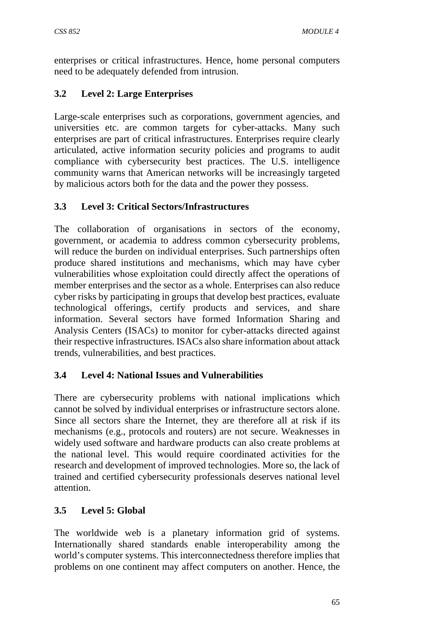enterprises or critical infrastructures. Hence, home personal computers need to be adequately defended from intrusion.

# **3.2 Level 2: Large Enterprises**

Large-scale enterprises such as corporations, government agencies, and universities etc. are common targets for cyber-attacks. Many such enterprises are part of critical infrastructures. Enterprises require clearly articulated, active information security policies and programs to audit compliance with cybersecurity best practices. The U.S. intelligence community warns that American networks will be increasingly targeted by malicious actors both for the data and the power they possess.

# **3.3 Level 3: Critical Sectors/Infrastructures**

The collaboration of organisations in sectors of the economy, government, or academia to address common cybersecurity problems, will reduce the burden on individual enterprises. Such partnerships often produce shared institutions and mechanisms, which may have cyber vulnerabilities whose exploitation could directly affect the operations of member enterprises and the sector as a whole. Enterprises can also reduce cyber risks by participating in groups that develop best practices, evaluate technological offerings, certify products and services, and share information. Several sectors have formed Information Sharing and Analysis Centers (ISACs) to monitor for cyber-attacks directed against their respective infrastructures. ISACs also share information about attack trends, vulnerabilities, and best practices.

# **3.4 Level 4: National Issues and Vulnerabilities**

There are cybersecurity problems with national implications which cannot be solved by individual enterprises or infrastructure sectors alone. Since all sectors share the Internet, they are therefore all at risk if its mechanisms (e.g., protocols and routers) are not secure. Weaknesses in widely used software and hardware products can also create problems at the national level. This would require coordinated activities for the research and development of improved technologies. More so, the lack of trained and certified cybersecurity professionals deserves national level attention.

# **3.5 Level 5: Global**

The worldwide web is a planetary information grid of systems. Internationally shared standards enable interoperability among the world's computer systems. This interconnectedness therefore implies that problems on one continent may affect computers on another. Hence, the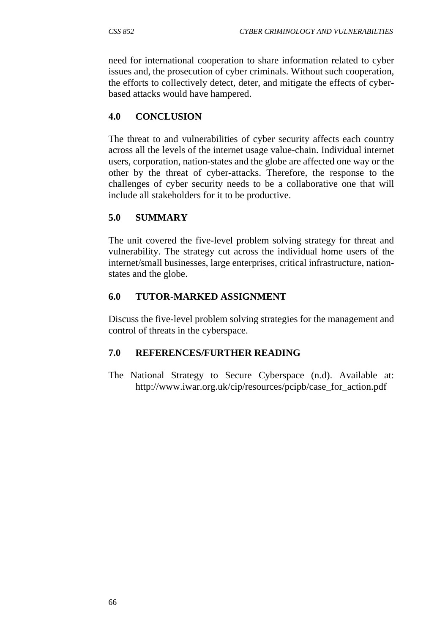need for international cooperation to share information related to cyber issues and, the prosecution of cyber criminals. Without such cooperation, the efforts to collectively detect, deter, and mitigate the effects of cyberbased attacks would have hampered.

### **4.0 CONCLUSION**

The threat to and vulnerabilities of cyber security affects each country across all the levels of the internet usage value-chain. Individual internet users, corporation, nation-states and the globe are affected one way or the other by the threat of cyber-attacks. Therefore, the response to the challenges of cyber security needs to be a collaborative one that will include all stakeholders for it to be productive.

## **5.0 SUMMARY**

The unit covered the five-level problem solving strategy for threat and vulnerability. The strategy cut across the individual home users of the internet/small businesses, large enterprises, critical infrastructure, nationstates and the globe.

### **6.0 TUTOR-MARKED ASSIGNMENT**

Discuss the five-level problem solving strategies for the management and control of threats in the cyberspace.

### **7.0 REFERENCES/FURTHER READING**

The National Strategy to Secure Cyberspace (n.d). Available at: http://www.iwar.org.uk/cip/resources/pcipb/case\_for\_action.pdf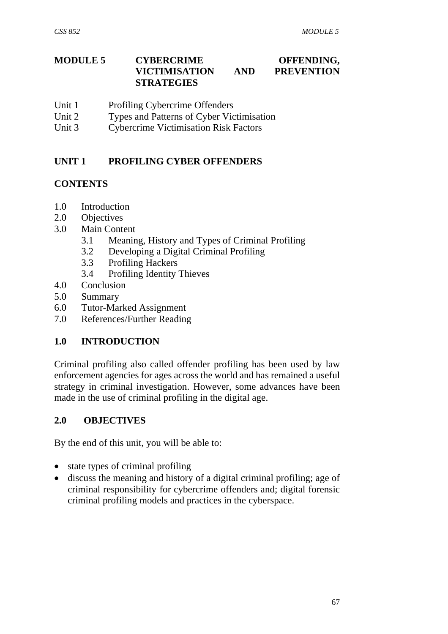#### **MODULE 5 CYBERCRIME OFFENDING, VICTIMISATION AND PREVENTION STRATEGIES**

- Unit 1 Profiling Cybercrime Offenders
- Unit 2 Types and Patterns of Cyber Victimisation
- Unit 3 Cybercrime Victimisation Risk Factors

# **UNIT 1 PROFILING CYBER OFFENDERS**

## **CONTENTS**

- 1.0 Introduction
- 2.0 Objectives
- 3.0 Main Content
	- 3.1 Meaning, History and Types of Criminal Profiling
	- 3.2 Developing a Digital Criminal Profiling
	- 3.3 Profiling Hackers
	- 3.4 Profiling Identity Thieves
- 4.0 Conclusion
- 5.0 Summary
- 6.0 Tutor-Marked Assignment
- 7.0 References/Further Reading

# **1.0 INTRODUCTION**

Criminal profiling also called offender profiling has been used by law enforcement agencies for ages across the world and has remained a useful strategy in criminal investigation. However, some advances have been made in the use of criminal profiling in the digital age.

# **2.0 OBJECTIVES**

By the end of this unit, you will be able to:

- state types of criminal profiling
- discuss the meaning and history of a digital criminal profiling; age of criminal responsibility for cybercrime offenders and; digital forensic criminal profiling models and practices in the cyberspace.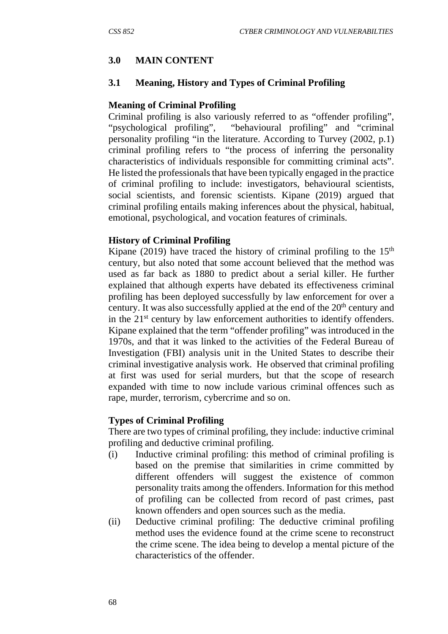# **3.0 MAIN CONTENT**

### **3.1 Meaning, History and Types of Criminal Profiling**

### **Meaning of Criminal Profiling**

Criminal profiling is also variously referred to as "offender profiling", "psychological profiling", "behavioural profiling" and "criminal personality profiling "in the literature. According to Turvey (2002, p.1) criminal profiling refers to "the process of inferring the personality characteristics of individuals responsible for committing criminal acts". He listed the professionals that have been typically engaged in the practice of criminal profiling to include: investigators, behavioural scientists, social scientists, and forensic scientists. Kipane (2019) argued that criminal profiling entails making inferences about the physical, habitual, emotional, psychological, and vocation features of criminals.

## **History of Criminal Profiling**

Kipane (2019) have traced the history of criminal profiling to the  $15<sup>th</sup>$ century, but also noted that some account believed that the method was used as far back as 1880 to predict about a serial killer. He further explained that although experts have debated its effectiveness criminal profiling has been deployed successfully by law enforcement for over a century. It was also successfully applied at the end of the 20<sup>th</sup> century and in the 21<sup>st</sup> century by law enforcement authorities to identify offenders. Kipane explained that the term "offender profiling" was introduced in the 1970s, and that it was linked to the activities of the Federal Bureau of Investigation (FBI) analysis unit in the United States to describe their criminal investigative analysis work. He observed that criminal profiling at first was used for serial murders, but that the scope of research expanded with time to now include various criminal offences such as rape, murder, terrorism, cybercrime and so on.

### **Types of Criminal Profiling**

There are two types of criminal profiling, they include: inductive criminal profiling and deductive criminal profiling.

- (i) Inductive criminal profiling: this method of criminal profiling is based on the premise that similarities in crime committed by different offenders will suggest the existence of common personality traits among the offenders. Information for this method of profiling can be collected from record of past crimes, past known offenders and open sources such as the media.
- (ii) Deductive criminal profiling: The deductive criminal profiling method uses the evidence found at the crime scene to reconstruct the crime scene. The idea being to develop a mental picture of the characteristics of the offender.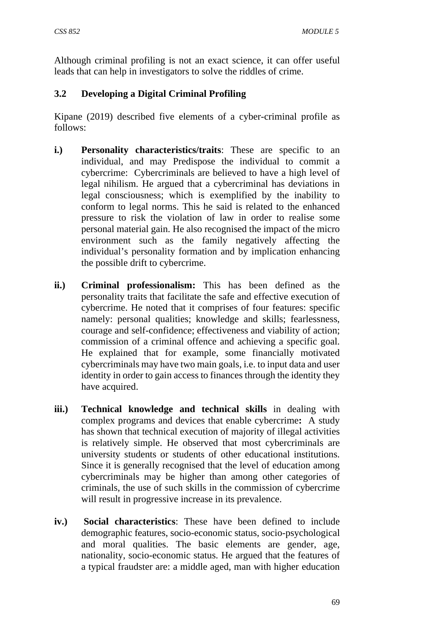Although criminal profiling is not an exact science, it can offer useful leads that can help in investigators to solve the riddles of crime.

# **3.2 Developing a Digital Criminal Profiling**

Kipane (2019) described five elements of a cyber-criminal profile as follows:

- **i.) Personality characteristics/traits**: These are specific to an individual, and may Predispose the individual to commit a cybercrime: Cybercriminals are believed to have a high level of legal nihilism. He argued that a cybercriminal has deviations in legal consciousness; which is exemplified by the inability to conform to legal norms. This he said is related to the enhanced pressure to risk the violation of law in order to realise some personal material gain. He also recognised the impact of the micro environment such as the family negatively affecting the individual's personality formation and by implication enhancing the possible drift to cybercrime.
- **ii.) Criminal professionalism:** This has been defined as the personality traits that facilitate the safe and effective execution of cybercrime. He noted that it comprises of four features: specific namely: personal qualities; knowledge and skills; fearlessness, courage and self-confidence; effectiveness and viability of action; commission of a criminal offence and achieving a specific goal. He explained that for example, some financially motivated cybercriminals may have two main goals, i.e. to input data and user identity in order to gain access to finances through the identity they have acquired.
- **iii.) Technical knowledge and technical skills** in dealing with complex programs and devices that enable cybercrime**:** A study has shown that technical execution of majority of illegal activities is relatively simple. He observed that most cybercriminals are university students or students of other educational institutions. Since it is generally recognised that the level of education among cybercriminals may be higher than among other categories of criminals, the use of such skills in the commission of cybercrime will result in progressive increase in its prevalence.
- **iv.) Social characteristics**: These have been defined to include demographic features, socio-economic status, socio-psychological and moral qualities. The basic elements are gender, age, nationality, socio-economic status. He argued that the features of a typical fraudster are: a middle aged, man with higher education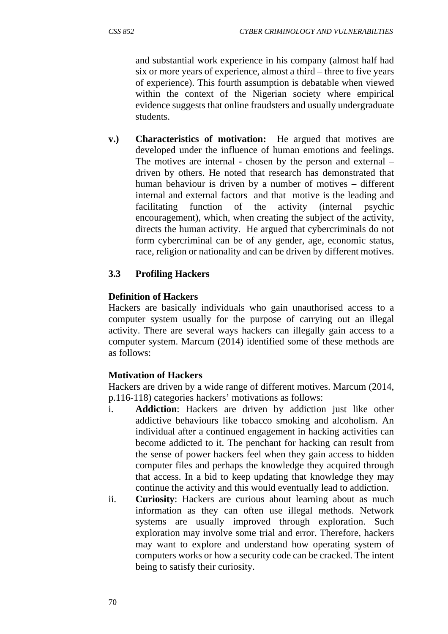and substantial work experience in his company (almost half had six or more years of experience, almost a third – three to five years of experience). This fourth assumption is debatable when viewed within the context of the Nigerian society where empirical evidence suggests that online fraudsters and usually undergraduate students.

**v.) Characteristics of motivation:** He argued that motives are developed under the influence of human emotions and feelings. The motives are internal - chosen by the person and external – driven by others. He noted that research has demonstrated that human behaviour is driven by a number of motives – different internal and external factors and that motive is the leading and facilitating function of the activity (internal psychic encouragement), which, when creating the subject of the activity, directs the human activity. He argued that cybercriminals do not form cybercriminal can be of any gender, age, economic status, race, religion or nationality and can be driven by different motives.

# **3.3 Profiling Hackers**

## **Definition of Hackers**

Hackers are basically individuals who gain unauthorised access to a computer system usually for the purpose of carrying out an illegal activity. There are several ways hackers can illegally gain access to a computer system. Marcum (2014) identified some of these methods are as follows:

# **Motivation of Hackers**

Hackers are driven by a wide range of different motives. Marcum (2014, p.116-118) categories hackers' motivations as follows:

- i. **Addiction**: Hackers are driven by addiction just like other addictive behaviours like tobacco smoking and alcoholism. An individual after a continued engagement in hacking activities can become addicted to it. The penchant for hacking can result from the sense of power hackers feel when they gain access to hidden computer files and perhaps the knowledge they acquired through that access. In a bid to keep updating that knowledge they may continue the activity and this would eventually lead to addiction.
- ii. **Curiosity**: Hackers are curious about learning about as much information as they can often use illegal methods. Network systems are usually improved through exploration. Such exploration may involve some trial and error. Therefore, hackers may want to explore and understand how operating system of computers works or how a security code can be cracked. The intent being to satisfy their curiosity.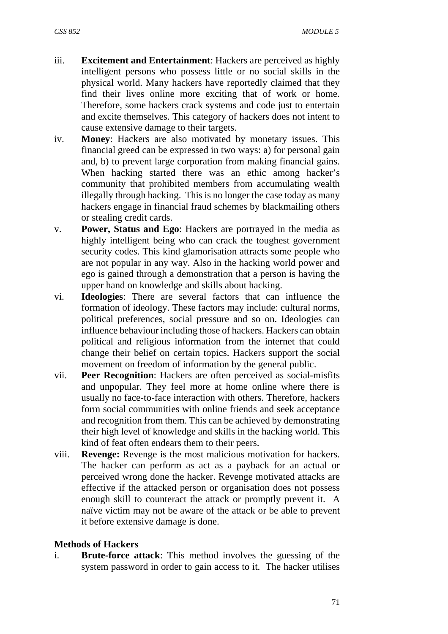- iii. **Excitement and Entertainment**: Hackers are perceived as highly intelligent persons who possess little or no social skills in the physical world. Many hackers have reportedly claimed that they find their lives online more exciting that of work or home. Therefore, some hackers crack systems and code just to entertain and excite themselves. This category of hackers does not intent to cause extensive damage to their targets.
- iv. **Money**: Hackers are also motivated by monetary issues. This financial greed can be expressed in two ways: a) for personal gain and, b) to prevent large corporation from making financial gains. When hacking started there was an ethic among hacker's community that prohibited members from accumulating wealth illegally through hacking. This is no longer the case today as many hackers engage in financial fraud schemes by blackmailing others or stealing credit cards.
- v. **Power, Status and Ego**: Hackers are portrayed in the media as highly intelligent being who can crack the toughest government security codes. This kind glamorisation attracts some people who are not popular in any way. Also in the hacking world power and ego is gained through a demonstration that a person is having the upper hand on knowledge and skills about hacking.
- vi. **Ideologies**: There are several factors that can influence the formation of ideology. These factors may include: cultural norms, political preferences, social pressure and so on. Ideologies can influence behaviour including those of hackers. Hackers can obtain political and religious information from the internet that could change their belief on certain topics. Hackers support the social movement on freedom of information by the general public.
- vii. **Peer Recognition**: Hackers are often perceived as social-misfits and unpopular. They feel more at home online where there is usually no face-to-face interaction with others. Therefore, hackers form social communities with online friends and seek acceptance and recognition from them. This can be achieved by demonstrating their high level of knowledge and skills in the hacking world. This kind of feat often endears them to their peers.
- viii. **Revenge:** Revenge is the most malicious motivation for hackers. The hacker can perform as act as a payback for an actual or perceived wrong done the hacker. Revenge motivated attacks are effective if the attacked person or organisation does not possess enough skill to counteract the attack or promptly prevent it. A naïve victim may not be aware of the attack or be able to prevent it before extensive damage is done.

#### **Methods of Hackers**

i. **Brute-force attack**: This method involves the guessing of the system password in order to gain access to it. The hacker utilises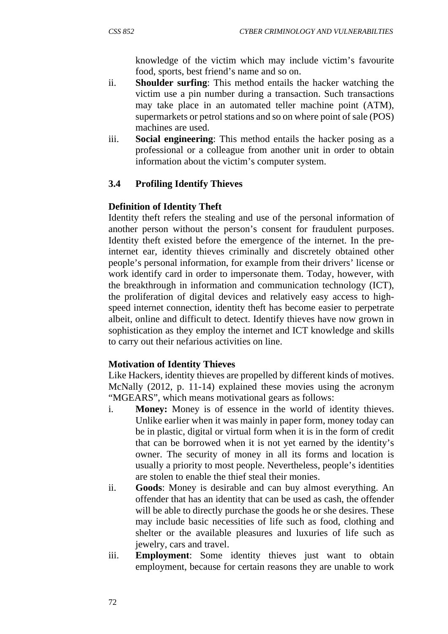knowledge of the victim which may include victim's favourite food, sports, best friend's name and so on.

- ii. **Shoulder surfing**: This method entails the hacker watching the victim use a pin number during a transaction. Such transactions may take place in an automated teller machine point (ATM), supermarkets or petrol stations and so on where point of sale (POS) machines are used.
- iii. **Social engineering**: This method entails the hacker posing as a professional or a colleague from another unit in order to obtain information about the victim's computer system.

# **3.4 Profiling Identify Thieves**

### **Definition of Identity Theft**

Identity theft refers the stealing and use of the personal information of another person without the person's consent for fraudulent purposes. Identity theft existed before the emergence of the internet. In the preinternet ear, identity thieves criminally and discretely obtained other people's personal information, for example from their drivers' license or work identify card in order to impersonate them. Today, however, with the breakthrough in information and communication technology (ICT), the proliferation of digital devices and relatively easy access to highspeed internet connection, identity theft has become easier to perpetrate albeit, online and difficult to detect. Identify thieves have now grown in sophistication as they employ the internet and ICT knowledge and skills to carry out their nefarious activities on line.

### **Motivation of Identity Thieves**

Like Hackers, identity thieves are propelled by different kinds of motives. McNally (2012, p. 11-14) explained these movies using the acronym "MGEARS", which means motivational gears as follows:

- i. **Money:** Money is of essence in the world of identity thieves. Unlike earlier when it was mainly in paper form, money today can be in plastic, digital or virtual form when it is in the form of credit that can be borrowed when it is not yet earned by the identity's owner. The security of money in all its forms and location is usually a priority to most people. Nevertheless, people's identities are stolen to enable the thief steal their monies.
- ii. **Goods**: Money is desirable and can buy almost everything. An offender that has an identity that can be used as cash, the offender will be able to directly purchase the goods he or she desires. These may include basic necessities of life such as food, clothing and shelter or the available pleasures and luxuries of life such as jewelry, cars and travel.
- iii. **Employment**: Some identity thieves just want to obtain employment, because for certain reasons they are unable to work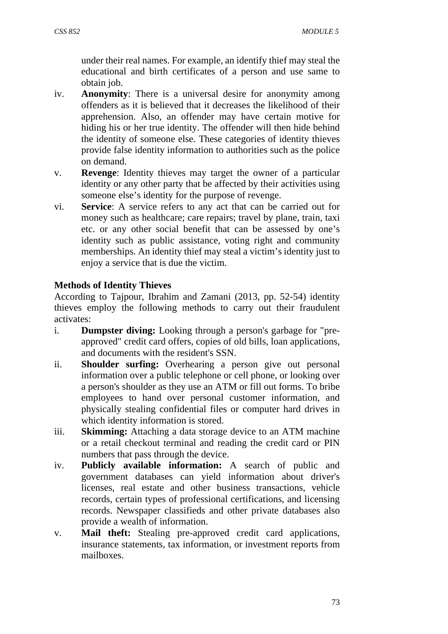under their real names. For example, an identify thief may steal the educational and birth certificates of a person and use same to obtain job.

- iv. **Anonymity**: There is a universal desire for anonymity among offenders as it is believed that it decreases the likelihood of their apprehension. Also, an offender may have certain motive for hiding his or her true identity. The offender will then hide behind the identity of someone else. These categories of identity thieves provide false identity information to authorities such as the police on demand.
- v. **Revenge**: Identity thieves may target the owner of a particular identity or any other party that be affected by their activities using someone else's identity for the purpose of revenge.
- vi. **Service**: A service refers to any act that can be carried out for money such as healthcare; care repairs; travel by plane, train, taxi etc. or any other social benefit that can be assessed by one's identity such as public assistance, voting right and community memberships. An identity thief may steal a victim's identity just to enjoy a service that is due the victim.

## **Methods of Identity Thieves**

According to Tajpour, Ibrahim and Zamani (2013, pp. 52-54) identity thieves employ the following methods to carry out their fraudulent activates:

- i. **Dumpster diving:** Looking through a person's garbage for "preapproved" credit card offers, copies of old bills, loan applications, and documents with the resident's SSN.
- ii. **Shoulder surfing:** Overhearing a person give out personal information over a public telephone or cell phone, or looking over a person's shoulder as they use an ATM or fill out forms. To bribe employees to hand over personal customer information, and physically stealing confidential files or computer hard drives in which identity information is stored.
- iii. **Skimming:** Attaching a data storage device to an ATM machine or a retail checkout terminal and reading the credit card or PIN numbers that pass through the device.
- iv. **Publicly available information:** A search of public and government databases can yield information about driver's licenses, real estate and other business transactions, vehicle records, certain types of professional certifications, and licensing records. Newspaper classifieds and other private databases also provide a wealth of information.
- v. **Mail theft:** Stealing pre-approved credit card applications, insurance statements, tax information, or investment reports from mailboxes.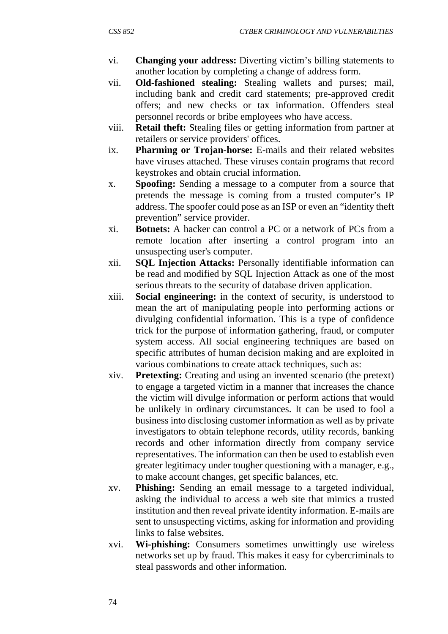- vi. **Changing your address:** Diverting victim's billing statements to another location by completing a change of address form.
- vii. **Old-fashioned stealing:** Stealing wallets and purses; mail, including bank and credit card statements; pre-approved credit offers; and new checks or tax information. Offenders steal personnel records or bribe employees who have access.
- viii. **Retail theft:** Stealing files or getting information from partner at retailers or service providers' offices.
- ix. **Pharming or Trojan-horse:** E-mails and their related websites have viruses attached. These viruses contain programs that record keystrokes and obtain crucial information.
- x. **Spoofing:** Sending a message to a computer from a source that pretends the message is coming from a trusted computer's IP address. The spoofer could pose as an ISP or even an "identity theft prevention" service provider.
- xi. **Botnets:** A hacker can control a PC or a network of PCs from a remote location after inserting a control program into an unsuspecting user's computer.
- xii. **SQL Injection Attacks:** Personally identifiable information can be read and modified by SQL Injection Attack as one of the most serious threats to the security of database driven application.
- xiii. **Social engineering:** in the context of security, is understood to mean the art of manipulating people into performing actions or divulging confidential information. This is a type of confidence trick for the purpose of information gathering, fraud, or computer system access. All social engineering techniques are based on specific attributes of human decision making and are exploited in various combinations to create attack techniques, such as:
- xiv. **Pretexting:** Creating and using an invented scenario (the pretext) to engage a targeted victim in a manner that increases the chance the victim will divulge information or perform actions that would be unlikely in ordinary circumstances. It can be used to fool a business into disclosing customer information as well as by private investigators to obtain telephone records, utility records, banking records and other information directly from company service representatives. The information can then be used to establish even greater legitimacy under tougher questioning with a manager, e.g., to make account changes, get specific balances, etc.
- xv. **Phishing:** Sending an email message to a targeted individual, asking the individual to access a web site that mimics a trusted institution and then reveal private identity information. E-mails are sent to unsuspecting victims, asking for information and providing links to false websites.
- xvi. **Wi-phishing:** Consumers sometimes unwittingly use wireless networks set up by fraud. This makes it easy for cybercriminals to steal passwords and other information.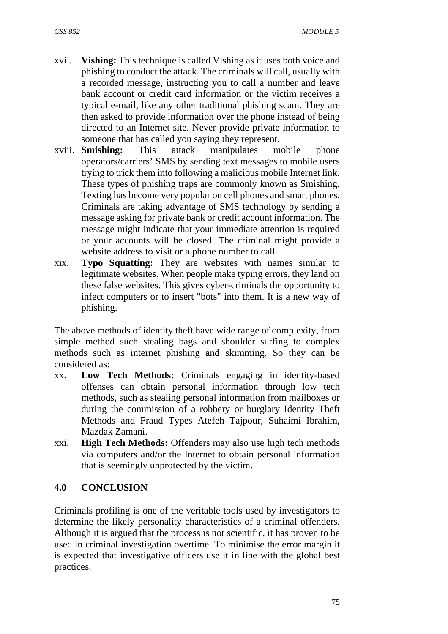- xvii. **Vishing:** This technique is called Vishing as it uses both voice and phishing to conduct the attack. The criminals will call, usually with a recorded message, instructing you to call a number and leave bank account or credit card information or the victim receives a typical e-mail, like any other traditional phishing scam. They are then asked to provide information over the phone instead of being directed to an Internet site. Never provide private information to someone that has called you saying they represent.
- xviii. **Smishing:** This attack manipulates mobile phone operators/carriers' SMS by sending text messages to mobile users trying to trick them into following a malicious mobile Internet link. These types of phishing traps are commonly known as Smishing. Texting has become very popular on cell phones and smart phones. Criminals are taking advantage of SMS technology by sending a message asking for private bank or credit account information. The message might indicate that your immediate attention is required or your accounts will be closed. The criminal might provide a website address to visit or a phone number to call.
- xix. **Typo Squatting:** They are websites with names similar to legitimate websites. When people make typing errors, they land on these false websites. This gives cyber-criminals the opportunity to infect computers or to insert "bots" into them. It is a new way of phishing.

The above methods of identity theft have wide range of complexity, from simple method such stealing bags and shoulder surfing to complex methods such as internet phishing and skimming. So they can be considered as:

- xx. **Low Tech Methods:** Criminals engaging in identity-based offenses can obtain personal information through low tech methods, such as stealing personal information from mailboxes or during the commission of a robbery or burglary Identity Theft Methods and Fraud Types Atefeh Tajpour, Suhaimi Ibrahim, Mazdak Zamani.
- xxi. **High Tech Methods:** Offenders may also use high tech methods via computers and/or the Internet to obtain personal information that is seemingly unprotected by the victim.

### **4.0 CONCLUSION**

Criminals profiling is one of the veritable tools used by investigators to determine the likely personality characteristics of a criminal offenders. Although it is argued that the process is not scientific, it has proven to be used in criminal investigation overtime. To minimise the error margin it is expected that investigative officers use it in line with the global best practices.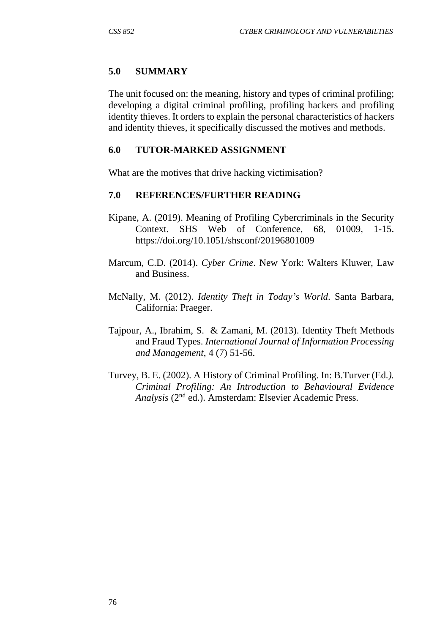### **5.0 SUMMARY**

The unit focused on: the meaning, history and types of criminal profiling; developing a digital criminal profiling, profiling hackers and profiling identity thieves. It orders to explain the personal characteristics of hackers and identity thieves, it specifically discussed the motives and methods.

### **6.0 TUTOR-MARKED ASSIGNMENT**

What are the motives that drive hacking victimisation?

### **7.0 REFERENCES/FURTHER READING**

- Kipane, A. (2019). Meaning of Profiling Cybercriminals in the Security Context. SHS Web of Conference, 68, 01009, 1-15. https://doi.org/10.1051/shsconf/20196801009
- Marcum, C.D. (2014). *Cyber Crime*. New York: Walters Kluwer, Law and Business.
- McNally, M. (2012). *Identity Theft in Today's World*. Santa Barbara, California: Praeger.
- Tajpour, A., Ibrahim, S. & Zamani, M. (2013). Identity Theft Methods and Fraud Types. *International Journal of Information Processing and Management*, 4 (7) 51-56.
- Turvey, B. E. (2002). A History of Criminal Profiling. In: B.Turver (Ed*.). Criminal Profiling: An Introduction to Behavioural Evidence Analysis* (2nd ed.). Amsterdam: Elsevier Academic Press.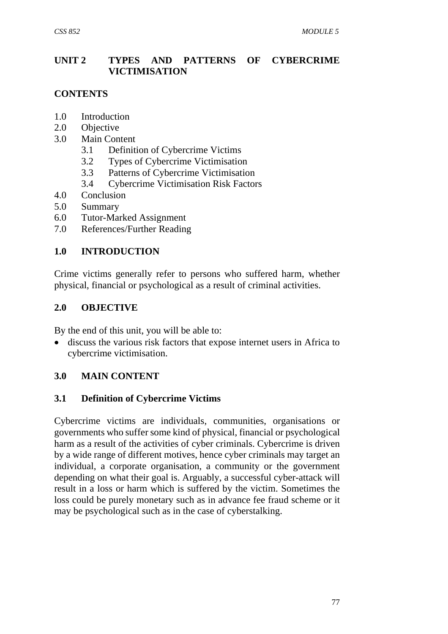## **UNIT 2 TYPES AND PATTERNS OF CYBERCRIME VICTIMISATION**

# **CONTENTS**

- 1.0 Introduction
- 2.0 Objective
- 3.0 Main Content
	- 3.1 Definition of Cybercrime Victims
	- 3.2 Types of Cybercrime Victimisation
	- 3.3 Patterns of Cybercrime Victimisation
	- 3.4 Cybercrime Victimisation Risk Factors
- 4.0 Conclusion
- 5.0 Summary
- 6.0 Tutor-Marked Assignment
- 7.0 References/Further Reading

### **1.0 INTRODUCTION**

Crime victims generally refer to persons who suffered harm, whether physical, financial or psychological as a result of criminal activities.

### **2.0 OBJECTIVE**

By the end of this unit, you will be able to:

 discuss the various risk factors that expose internet users in Africa to cybercrime victimisation.

### **3.0 MAIN CONTENT**

### **3.1 Definition of Cybercrime Victims**

Cybercrime victims are individuals, communities, organisations or governments who suffer some kind of physical, financial or psychological harm as a result of the activities of cyber criminals. Cybercrime is driven by a wide range of different motives, hence cyber criminals may target an individual, a corporate organisation, a community or the government depending on what their goal is. Arguably, a successful cyber-attack will result in a loss or harm which is suffered by the victim. Sometimes the loss could be purely monetary such as in advance fee fraud scheme or it may be psychological such as in the case of cyberstalking.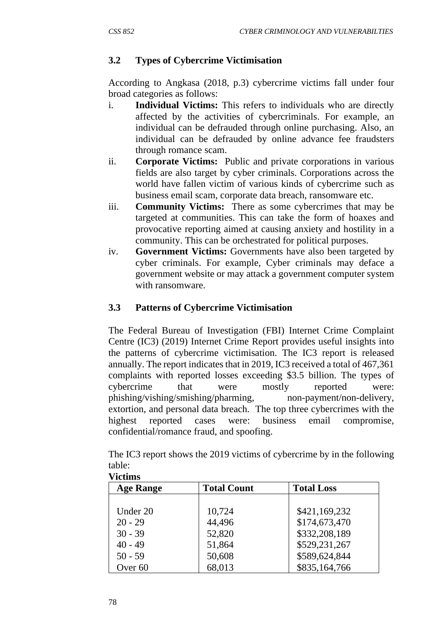# **3.2 Types of Cybercrime Victimisation**

According to Angkasa (2018, p.3) cybercrime victims fall under four broad categories as follows:

- i. **Individual Victims:** This refers to individuals who are directly affected by the activities of cybercriminals. For example, an individual can be defrauded through online purchasing. Also, an individual can be defrauded by online advance fee fraudsters through romance scam.
- ii. **Corporate Victims:** Public and private corporations in various fields are also target by cyber criminals. Corporations across the world have fallen victim of various kinds of cybercrime such as business email scam, corporate data breach, ransomware etc.
- iii. **Community Victims:** There as some cybercrimes that may be targeted at communities. This can take the form of hoaxes and provocative reporting aimed at causing anxiety and hostility in a community. This can be orchestrated for political purposes.
- iv. **Government Victims:** Governments have also been targeted by cyber criminals. For example, Cyber criminals may deface a government website or may attack a government computer system with ransomware.

# **3.3 Patterns of Cybercrime Victimisation**

The Federal Bureau of Investigation (FBI) Internet Crime Complaint Centre (IC3) (2019) Internet Crime Report provides useful insights into the patterns of cybercrime victimisation. The IC3 report is released annually. The report indicates that in 2019, IC3 received a total of 467,361 complaints with reported losses exceeding \$3.5 billion. The types of cybercrime that were mostly reported were: phishing/vishing/smishing/pharming, non-payment/non-delivery, extortion, and personal data breach. The top three cybercrimes with the highest reported cases were: business email compromise, confidential/romance fraud, and spoofing.

The IC3 report shows the 2019 victims of cybercrime by in the following table: **Victims** 

| <b>Age Range</b> | <b>Total Count</b> | <b>Total Loss</b> |
|------------------|--------------------|-------------------|
|                  |                    |                   |
| Under 20         | 10,724             | \$421,169,232     |
| $20 - 29$        | 44,496             | \$174,673,470     |
| $30 - 39$        | 52,820             | \$332,208,189     |
| $40 - 49$        | 51,864             | \$529,231,267     |
| $50 - 59$        | 50,608             | \$589,624,844     |
| Over 60          | 68,013             | \$835,164,766     |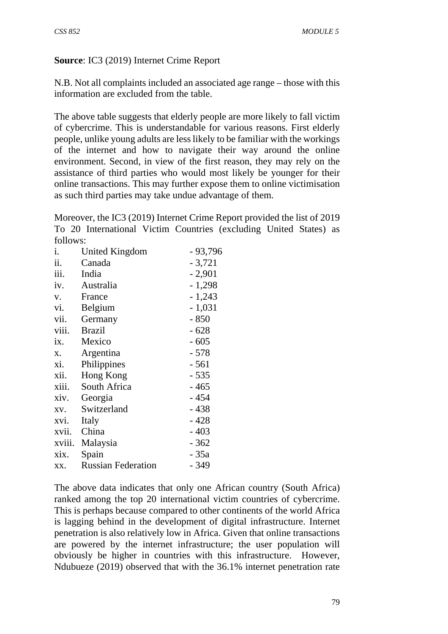### **Source**: IC3 (2019) Internet Crime Report

N.B. Not all complaints included an associated age range – those with this information are excluded from the table.

The above table suggests that elderly people are more likely to fall victim of cybercrime. This is understandable for various reasons. First elderly people, unlike young adults are less likely to be familiar with the workings of the internet and how to navigate their way around the online environment. Second, in view of the first reason, they may rely on the assistance of third parties who would most likely be younger for their online transactions. This may further expose them to online victimisation as such third parties may take undue advantage of them.

Moreover, the IC3 (2019) Internet Crime Report provided the list of 2019 To 20 International Victim Countries (excluding United States) as follows:

| i.     | United Kingdom            | $-93,796$ |
|--------|---------------------------|-----------|
| ii.    | Canada                    | $-3,721$  |
| iii.   | India                     | $-2,901$  |
| iv.    | Australia                 | $-1,298$  |
| V.     | France                    | $-1,243$  |
| vi.    | Belgium                   | $-1,031$  |
| vii.   | Germany                   | $-850$    |
| viii.  | <b>Brazil</b>             | $-628$    |
| ix.    | Mexico                    | $-605$    |
| X.     | Argentina                 | $-578$    |
| xi.    | Philippines               | - 561     |
| xii.   | Hong Kong                 | - 535     |
| xiii.  | South Africa              | - 465     |
| xiv.   | Georgia                   | $-454$    |
| XV.    | Switzerland               | $-438$    |
| xvi.   | Italy                     | $-428$    |
| xvii.  | China                     | $-403$    |
| xviii. | Malaysia                  | $-362$    |
| xix.   | Spain                     | - 35a     |
| XX.    | <b>Russian Federation</b> | - 349     |

The above data indicates that only one African country (South Africa) ranked among the top 20 international victim countries of cybercrime. This is perhaps because compared to other continents of the world Africa is lagging behind in the development of digital infrastructure. Internet penetration is also relatively low in Africa. Given that online transactions are powered by the internet infrastructure; the user population will obviously be higher in countries with this infrastructure. However, Ndubueze (2019) observed that with the 36.1% internet penetration rate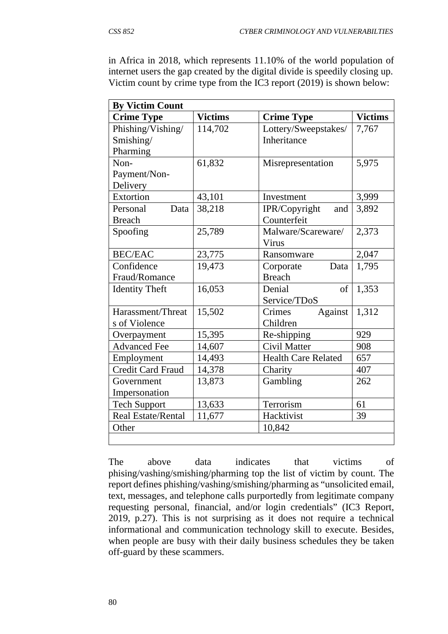in Africa in 2018, which represents 11.10% of the world population of internet users the gap created by the digital divide is speedily closing up. Victim count by crime type from the IC3 report (2019) is shown below:

| <b>By Victim Count</b>    |                |                      |                |  |  |
|---------------------------|----------------|----------------------|----------------|--|--|
| <b>Crime Type</b>         | <b>Victims</b> | <b>Crime Type</b>    | <b>Victims</b> |  |  |
| Phishing/Vishing/         | 114,702        | Lottery/Sweepstakes/ | 7,767          |  |  |
| Smishing/                 |                | <b>Inheritance</b>   |                |  |  |
| Pharming                  |                |                      |                |  |  |
| Non-                      | 61,832         | Misrepresentation    | 5,975          |  |  |
| Payment/Non-              |                |                      |                |  |  |
| Delivery                  |                |                      |                |  |  |
| Extortion                 | 43,101         | Investment           | 3,999          |  |  |
| Personal<br>Data          | 38,218         | IPR/Copyright<br>and | 3,892          |  |  |
| <b>Breach</b>             |                | Counterfeit          |                |  |  |
| Spoofing                  | 25,789         | Malware/Scareware/   | 2,373          |  |  |
|                           |                | Virus                |                |  |  |
| <b>BEC/EAC</b>            | 23,775         | Ransomware           | 2,047          |  |  |
| Confidence                | 19,473         | Corporate<br>Data    | 1,795          |  |  |
| Fraud/Romance             |                | <b>Breach</b>        |                |  |  |
| <b>Identity Theft</b>     | 16,053         | Denial<br>of         | 1,353          |  |  |
|                           |                | Service/TDoS         |                |  |  |
| Harassment/Threat         | 15,502         | Against<br>Crimes    | 1,312          |  |  |
| s of Violence             |                | Children             |                |  |  |
| Overpayment               | 15,395         | Re-shipping          | 929            |  |  |
| <b>Advanced Fee</b>       | 14,607         | Civil Matter         | 908            |  |  |
| Employment                | 14,493         | Health Care Related  | 657            |  |  |
| <b>Credit Card Fraud</b>  | 14,378         | Charity              | 407            |  |  |
| Government                | 13,873         | Gambling             | 262            |  |  |
| Impersonation             |                |                      |                |  |  |
| <b>Tech Support</b>       | 13,633         | Terrorism            | 61             |  |  |
| <b>Real Estate/Rental</b> | 11,677         | Hacktivist           | 39             |  |  |
| Other                     |                | 10,842               |                |  |  |
|                           |                |                      |                |  |  |

The above data indicates that victims of phising/vashing/smishing/pharming top the list of victim by count. The report defines phishing/vashing/smishing/pharming as "unsolicited email, text, messages, and telephone calls purportedly from legitimate company requesting personal, financial, and/or login credentials" (IC3 Report, 2019, p.27). This is not surprising as it does not require a technical informational and communication technology skill to execute. Besides, when people are busy with their daily business schedules they be taken off-guard by these scammers.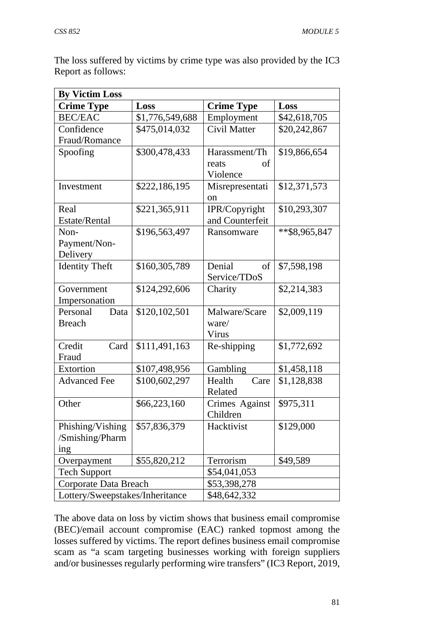The loss suffered by victims by crime type was also provided by the IC3 Report as follows:

| <b>By Victim Loss</b>           |                 |                   |               |  |
|---------------------------------|-----------------|-------------------|---------------|--|
| <b>Crime Type</b>               | Loss            | <b>Crime Type</b> | Loss          |  |
| <b>BEC/EAC</b>                  | \$1,776,549,688 | Employment        | \$42,618,705  |  |
| Confidence                      | \$475,014,032   | Civil Matter      | \$20,242,867  |  |
| Fraud/Romance                   |                 |                   |               |  |
| Spoofing                        | \$300,478,433   | Harassment/Th     | \$19,866,654  |  |
|                                 |                 | reats<br>of       |               |  |
|                                 |                 | Violence          |               |  |
| Investment                      | \$222,186,195   | Misrepresentati   | \$12,371,573  |  |
|                                 |                 | on                |               |  |
| Real                            | \$221,365,911   | IPR/Copyright     | \$10,293,307  |  |
| Estate/Rental                   |                 | and Counterfeit   |               |  |
| Non-                            | \$196,563,497   | Ransomware        | **\$8,965,847 |  |
| Payment/Non-                    |                 |                   |               |  |
| Delivery                        |                 |                   |               |  |
| <b>Identity Theft</b>           | \$160,305,789   | Denial<br>of      | \$7,598,198   |  |
|                                 |                 | Service/TDoS      |               |  |
| Government                      | \$124,292,606   | Charity           | \$2,214,383   |  |
| Impersonation                   |                 |                   |               |  |
| Personal<br>Data                | \$120,102,501   | Malware/Scare     | \$2,009,119   |  |
| <b>Breach</b>                   |                 | ware/             |               |  |
|                                 |                 | Virus             |               |  |
| Credit<br>Card                  | \$111,491,163   | Re-shipping       | \$1,772,692   |  |
| Fraud                           |                 |                   |               |  |
| Extortion                       | \$107,498,956   | Gambling          | \$1,458,118   |  |
| <b>Advanced Fee</b>             | \$100,602,297   | Health<br>Care    | \$1,128,838   |  |
|                                 |                 | Related           |               |  |
| Other                           | \$66,223,160    | Crimes Against    | \$975,311     |  |
|                                 |                 | Children          |               |  |
| Phishing/Vishing                | \$57,836,379    | Hacktivist        | \$129,000     |  |
| /Smishing/Pharm                 |                 |                   |               |  |
| ing                             |                 |                   |               |  |
| Overpayment                     | \$55,820,212    | Terrorism         | \$49,589      |  |
| <b>Tech Support</b>             |                 | \$54,041,053      |               |  |
| Corporate Data Breach           |                 | \$53,398,278      |               |  |
| Lottery/Sweepstakes/Inheritance |                 | \$48,642,332      |               |  |

The above data on loss by victim shows that business email compromise (BEC)/email account compromise (EAC) ranked topmost among the losses suffered by victims. The report defines business email compromise scam as "a scam targeting businesses working with foreign suppliers and/or businesses regularly performing wire transfers" (IC3 Report, 2019,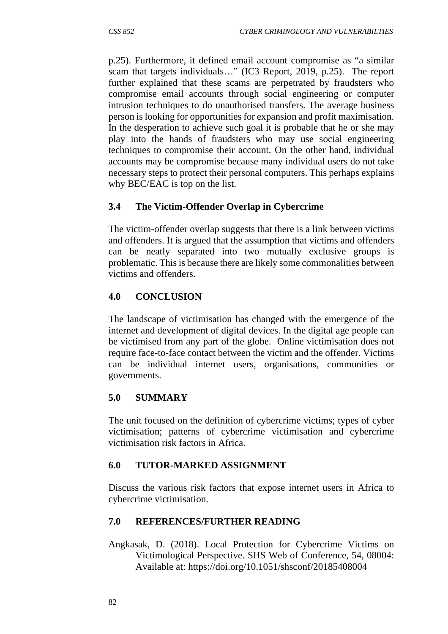p.25). Furthermore, it defined email account compromise as "a similar scam that targets individuals…" (IC3 Report, 2019, p.25). The report further explained that these scams are perpetrated by fraudsters who compromise email accounts through social engineering or computer intrusion techniques to do unauthorised transfers. The average business person is looking for opportunities for expansion and profit maximisation. In the desperation to achieve such goal it is probable that he or she may play into the hands of fraudsters who may use social engineering techniques to compromise their account. On the other hand, individual accounts may be compromise because many individual users do not take necessary steps to protect their personal computers. This perhaps explains why BEC/EAC is top on the list.

# **3.4 The Victim-Offender Overlap in Cybercrime**

The victim-offender overlap suggests that there is a link between victims and offenders. It is argued that the assumption that victims and offenders can be neatly separated into two mutually exclusive groups is problematic. This is because there are likely some commonalities between victims and offenders.

## **4.0 CONCLUSION**

The landscape of victimisation has changed with the emergence of the internet and development of digital devices. In the digital age people can be victimised from any part of the globe. Online victimisation does not require face-to-face contact between the victim and the offender. Victims can be individual internet users, organisations, communities or governments.

### **5.0 SUMMARY**

The unit focused on the definition of cybercrime victims; types of cyber victimisation; patterns of cybercrime victimisation and cybercrime victimisation risk factors in Africa.

# **6.0 TUTOR-MARKED ASSIGNMENT**

Discuss the various risk factors that expose internet users in Africa to cybercrime victimisation.

# **7.0 REFERENCES/FURTHER READING**

Angkasak, D. (2018). Local Protection for Cybercrime Victims on Victimological Perspective. SHS Web of Conference, 54, 08004: Available at: https://doi.org/10.1051/shsconf/20185408004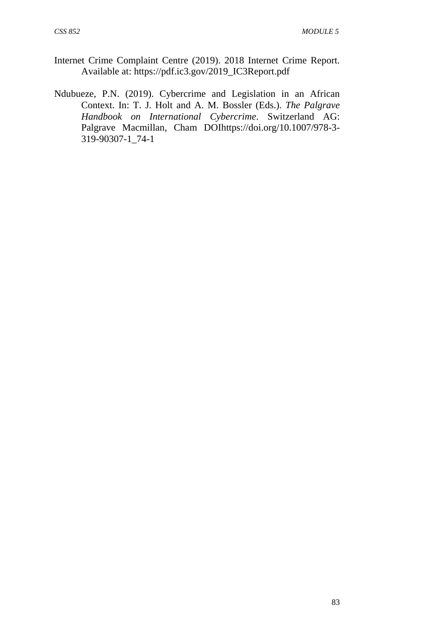- Internet Crime Complaint Centre (2019). 2018 Internet Crime Report. Available at: https://pdf.ic3.gov/2019\_IC3Report.pdf
- Ndubueze, P.N. (2019). Cybercrime and Legislation in an African Context. In: T. J. Holt and A. M. Bossler (Eds.). *The Palgrave Handbook on International Cybercrime*. Switzerland AG: Palgrave Macmillan, Cham DOIhttps://doi.org/10.1007/978-3- 319-90307-1\_74-1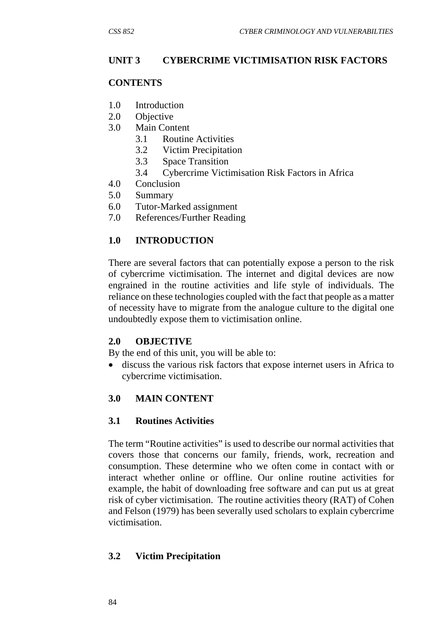# **UNIT 3 CYBERCRIME VICTIMISATION RISK FACTORS**

### **CONTENTS**

- 1.0 Introduction
- 2.0 Objective
- 3.0 Main Content
	- 3.1 Routine Activities
	- 3.2 Victim Precipitation
	- 3.3 Space Transition
	- 3.4 Cybercrime Victimisation Risk Factors in Africa
- 4.0 Conclusion
- 5.0 Summary
- 6.0 Tutor-Marked assignment
- 7.0 References/Further Reading

# **1.0 INTRODUCTION**

There are several factors that can potentially expose a person to the risk of cybercrime victimisation. The internet and digital devices are now engrained in the routine activities and life style of individuals. The reliance on these technologies coupled with the fact that people as a matter of necessity have to migrate from the analogue culture to the digital one undoubtedly expose them to victimisation online.

### **2.0 OBJECTIVE**

By the end of this unit, you will be able to:

 discuss the various risk factors that expose internet users in Africa to cybercrime victimisation.

# **3.0 MAIN CONTENT**

### **3.1 Routines Activities**

The term "Routine activities" is used to describe our normal activities that covers those that concerns our family, friends, work, recreation and consumption. These determine who we often come in contact with or interact whether online or offline. Our online routine activities for example, the habit of downloading free software and can put us at great risk of cyber victimisation. The routine activities theory (RAT) of Cohen and Felson (1979) has been severally used scholars to explain cybercrime victimisation.

# **3.2 Victim Precipitation**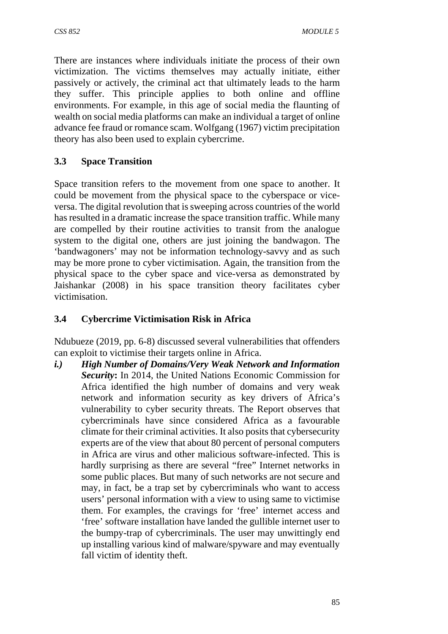There are instances where individuals initiate the process of their own victimization. The victims themselves may actually initiate, either passively or actively, the criminal act that ultimately leads to the harm they suffer. This principle applies to both online and offline environments. For example, in this age of social media the flaunting of wealth on social media platforms can make an individual a target of online advance fee fraud or romance scam. Wolfgang (1967) victim precipitation theory has also been used to explain cybercrime.

# **3.3 Space Transition**

Space transition refers to the movement from one space to another. It could be movement from the physical space to the cyberspace or viceversa. The digital revolution that is sweeping across countries of the world has resulted in a dramatic increase the space transition traffic. While many are compelled by their routine activities to transit from the analogue system to the digital one, others are just joining the bandwagon. The 'bandwagoners' may not be information technology-savvy and as such may be more prone to cyber victimisation. Again, the transition from the physical space to the cyber space and vice-versa as demonstrated by Jaishankar (2008) in his space transition theory facilitates cyber victimisation.

# **3.4 Cybercrime Victimisation Risk in Africa**

Ndubueze (2019, pp. 6-8) discussed several vulnerabilities that offenders can exploit to victimise their targets online in Africa.

*i.) High Number of Domains/Very Weak Network and Information Security***:** In 2014, the United Nations Economic Commission for Africa identified the high number of domains and very weak network and information security as key drivers of Africa's vulnerability to cyber security threats. The Report observes that cybercriminals have since considered Africa as a favourable climate for their criminal activities. It also posits that cybersecurity experts are of the view that about 80 percent of personal computers in Africa are virus and other malicious software-infected. This is hardly surprising as there are several "free" Internet networks in some public places. But many of such networks are not secure and may, in fact, be a trap set by cybercriminals who want to access users' personal information with a view to using same to victimise them. For examples, the cravings for 'free' internet access and 'free' software installation have landed the gullible internet user to the bumpy-trap of cybercriminals. The user may unwittingly end up installing various kind of malware/spyware and may eventually fall victim of identity theft.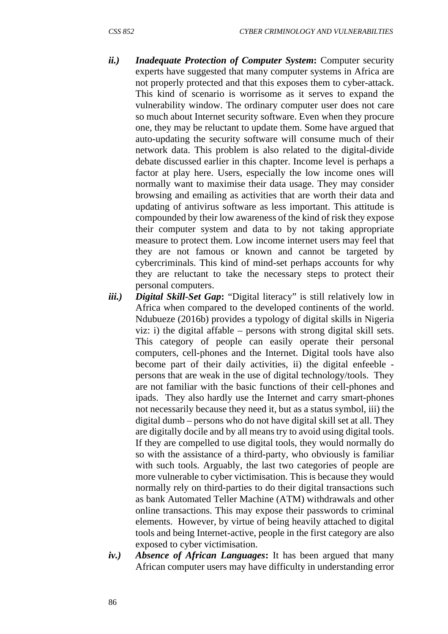- *ii.) Inadequate Protection of Computer System***:** Computer security experts have suggested that many computer systems in Africa are not properly protected and that this exposes them to cyber-attack. This kind of scenario is worrisome as it serves to expand the vulnerability window. The ordinary computer user does not care so much about Internet security software. Even when they procure one, they may be reluctant to update them. Some have argued that auto-updating the security software will consume much of their network data. This problem is also related to the digital-divide debate discussed earlier in this chapter. Income level is perhaps a factor at play here. Users, especially the low income ones will normally want to maximise their data usage. They may consider browsing and emailing as activities that are worth their data and updating of antivirus software as less important. This attitude is compounded by their low awareness of the kind of risk they expose their computer system and data to by not taking appropriate measure to protect them. Low income internet users may feel that they are not famous or known and cannot be targeted by cybercriminals. This kind of mind-set perhaps accounts for why they are reluctant to take the necessary steps to protect their personal computers.
- *iii.) Digital Skill-Set Gap***:** "Digital literacy" is still relatively low in Africa when compared to the developed continents of the world. Ndubueze (2016b) provides a typology of digital skills in Nigeria viz: i) the digital affable – persons with strong digital skill sets. This category of people can easily operate their personal computers, cell-phones and the Internet. Digital tools have also become part of their daily activities, ii) the digital enfeeble persons that are weak in the use of digital technology/tools. They are not familiar with the basic functions of their cell-phones and ipads. They also hardly use the Internet and carry smart-phones not necessarily because they need it, but as a status symbol, iii) the digital dumb – persons who do not have digital skill set at all. They are digitally docile and by all means try to avoid using digital tools. If they are compelled to use digital tools, they would normally do so with the assistance of a third-party, who obviously is familiar with such tools. Arguably, the last two categories of people are more vulnerable to cyber victimisation. This is because they would normally rely on third-parties to do their digital transactions such as bank Automated Teller Machine (ATM) withdrawals and other online transactions. This may expose their passwords to criminal elements. However, by virtue of being heavily attached to digital tools and being Internet-active, people in the first category are also exposed to cyber victimisation.
- *iv.) Absence of African Languages***:** It has been argued that many African computer users may have difficulty in understanding error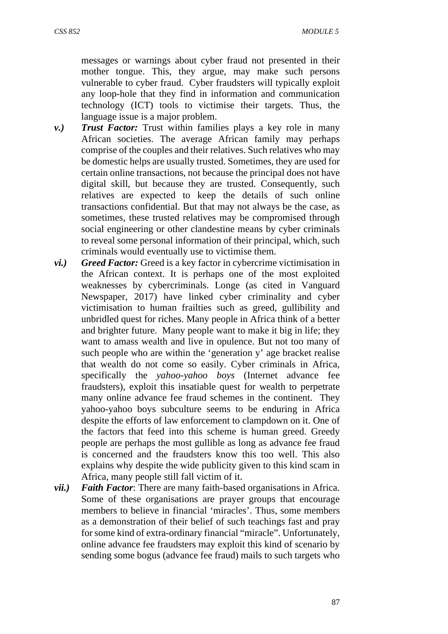messages or warnings about cyber fraud not presented in their mother tongue. This, they argue, may make such persons vulnerable to cyber fraud. Cyber fraudsters will typically exploit any loop-hole that they find in information and communication technology (ICT) tools to victimise their targets. Thus, the language issue is a major problem.

- *v.) Trust Factor:* Trust within families plays a key role in many African societies. The average African family may perhaps comprise of the couples and their relatives. Such relatives who may be domestic helps are usually trusted. Sometimes, they are used for certain online transactions, not because the principal does not have digital skill, but because they are trusted. Consequently, such relatives are expected to keep the details of such online transactions confidential. But that may not always be the case, as sometimes, these trusted relatives may be compromised through social engineering or other clandestine means by cyber criminals to reveal some personal information of their principal, which, such criminals would eventually use to victimise them.
- *vi.) Greed Factor:* Greed is a key factor in cybercrime victimisation in the African context. It is perhaps one of the most exploited weaknesses by cybercriminals. Longe (as cited in Vanguard Newspaper, 2017) have linked cyber criminality and cyber victimisation to human frailties such as greed, gullibility and unbridled quest for riches. Many people in Africa think of a better and brighter future. Many people want to make it big in life; they want to amass wealth and live in opulence. But not too many of such people who are within the 'generation y' age bracket realise that wealth do not come so easily. Cyber criminals in Africa, specifically the *yahoo-yahoo boys* (Internet advance fee fraudsters), exploit this insatiable quest for wealth to perpetrate many online advance fee fraud schemes in the continent. They yahoo-yahoo boys subculture seems to be enduring in Africa despite the efforts of law enforcement to clampdown on it. One of the factors that feed into this scheme is human greed. Greedy people are perhaps the most gullible as long as advance fee fraud is concerned and the fraudsters know this too well. This also explains why despite the wide publicity given to this kind scam in Africa, many people still fall victim of it.
- *vii.) Faith Factor*: There are many faith-based organisations in Africa. Some of these organisations are prayer groups that encourage members to believe in financial 'miracles'. Thus, some members as a demonstration of their belief of such teachings fast and pray for some kind of extra-ordinary financial "miracle". Unfortunately, online advance fee fraudsters may exploit this kind of scenario by sending some bogus (advance fee fraud) mails to such targets who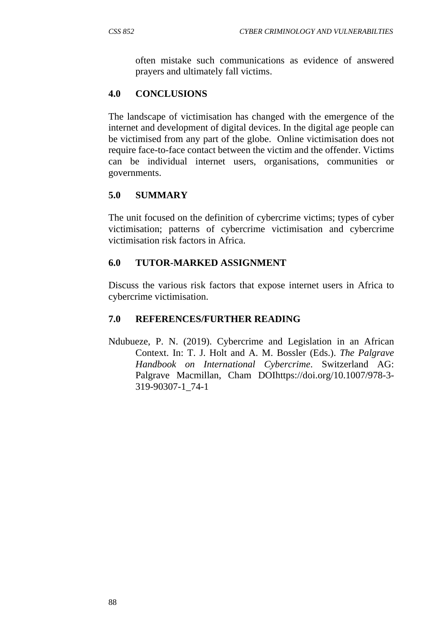often mistake such communications as evidence of answered prayers and ultimately fall victims.

## **4.0 CONCLUSIONS**

The landscape of victimisation has changed with the emergence of the internet and development of digital devices. In the digital age people can be victimised from any part of the globe. Online victimisation does not require face-to-face contact between the victim and the offender. Victims can be individual internet users, organisations, communities or governments.

## **5.0 SUMMARY**

The unit focused on the definition of cybercrime victims; types of cyber victimisation; patterns of cybercrime victimisation and cybercrime victimisation risk factors in Africa.

### **6.0 TUTOR-MARKED ASSIGNMENT**

Discuss the various risk factors that expose internet users in Africa to cybercrime victimisation.

### **7.0 REFERENCES/FURTHER READING**

Ndubueze, P. N. (2019). Cybercrime and Legislation in an African Context. In: T. J. Holt and A. M. Bossler (Eds.). *The Palgrave Handbook on International Cybercrime*. Switzerland AG: Palgrave Macmillan, Cham DOIhttps://doi.org/10.1007/978-3- 319-90307-1\_74-1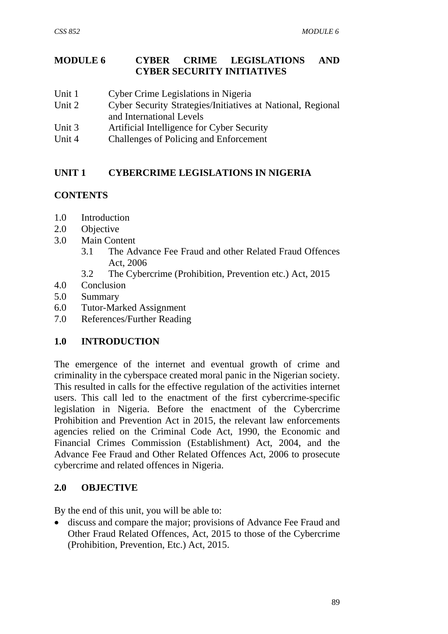## **MODULE 6 CYBER CRIME LEGISLATIONS AND CYBER SECURITY INITIATIVES**

- Unit 1 Cyber Crime Legislations in Nigeria
- Unit 2 Cyber Security Strategies/Initiatives at National, Regional and International Levels
- Unit 3 Artificial Intelligence for Cyber Security
- Unit 4 Challenges of Policing and Enforcement

## **UNIT 1 CYBERCRIME LEGISLATIONS IN NIGERIA**

### **CONTENTS**

- 1.0 Introduction
- 2.0 Objective
- 3.0 Main Content
	- 3.1 The Advance Fee Fraud and other Related Fraud Offences Act, 2006
	- 3.2 The Cybercrime (Prohibition, Prevention etc.) Act, 2015
- 4.0 Conclusion
- 5.0 Summary
- 6.0 Tutor-Marked Assignment
- 7.0 References/Further Reading

### **1.0 INTRODUCTION**

The emergence of the internet and eventual growth of crime and criminality in the cyberspace created moral panic in the Nigerian society. This resulted in calls for the effective regulation of the activities internet users. This call led to the enactment of the first cybercrime-specific legislation in Nigeria. Before the enactment of the Cybercrime Prohibition and Prevention Act in 2015, the relevant law enforcements agencies relied on the Criminal Code Act, 1990, the Economic and Financial Crimes Commission (Establishment) Act, 2004, and the Advance Fee Fraud and Other Related Offences Act, 2006 to prosecute cybercrime and related offences in Nigeria.

### **2.0 OBJECTIVE**

By the end of this unit, you will be able to:

 discuss and compare the major; provisions of Advance Fee Fraud and Other Fraud Related Offences, Act, 2015 to those of the Cybercrime (Prohibition, Prevention, Etc.) Act, 2015.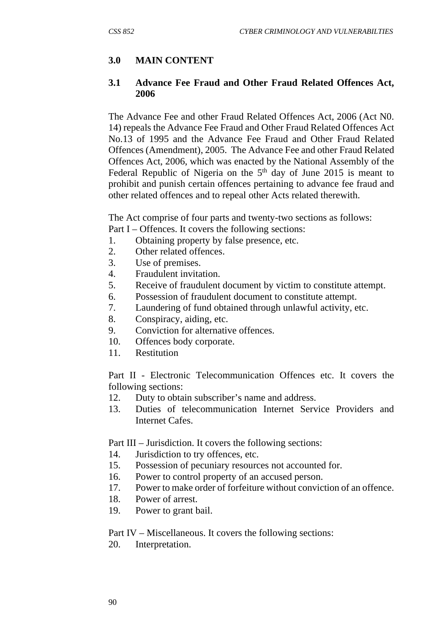## **3.0 MAIN CONTENT**

#### **3.1 Advance Fee Fraud and Other Fraud Related Offences Act, 2006**

The Advance Fee and other Fraud Related Offences Act, 2006 (Act N0. 14) repeals the Advance Fee Fraud and Other Fraud Related Offences Act No.13 of 1995 and the Advance Fee Fraud and Other Fraud Related Offences (Amendment), 2005. The Advance Fee and other Fraud Related Offences Act, 2006, which was enacted by the National Assembly of the Federal Republic of Nigeria on the  $5<sup>th</sup>$  day of June 2015 is meant to prohibit and punish certain offences pertaining to advance fee fraud and other related offences and to repeal other Acts related therewith.

The Act comprise of four parts and twenty-two sections as follows: Part I – Offences. It covers the following sections:

- 1. Obtaining property by false presence, etc.
- 2. Other related offences.
- 3. Use of premises.
- 4. Fraudulent invitation.
- 5. Receive of fraudulent document by victim to constitute attempt.
- 6. Possession of fraudulent document to constitute attempt.
- 7. Laundering of fund obtained through unlawful activity, etc.
- 8. Conspiracy, aiding, etc.
- 9. Conviction for alternative offences.
- 10. Offences body corporate.
- 11. Restitution

Part II - Electronic Telecommunication Offences etc. It covers the following sections:

- 12. Duty to obtain subscriber's name and address.
- 13. Duties of telecommunication Internet Service Providers and Internet Cafes.

Part III – Jurisdiction. It covers the following sections:

- 14. Jurisdiction to try offences, etc.
- 15. Possession of pecuniary resources not accounted for.
- 16. Power to control property of an accused person.
- 17. Power to make order of forfeiture without conviction of an offence.
- 18. Power of arrest.
- 19. Power to grant bail.

Part IV – Miscellaneous. It covers the following sections:

20. Interpretation.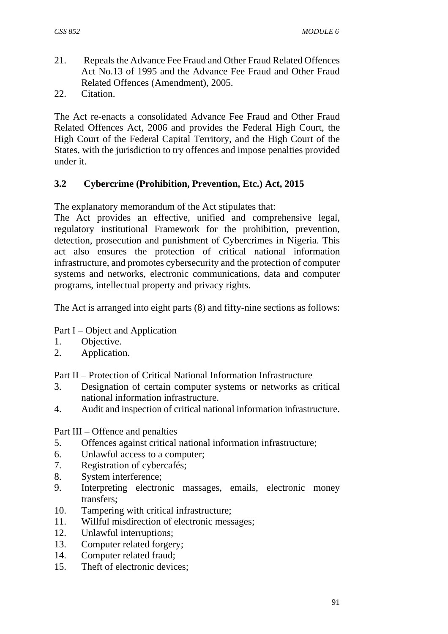- 21. Repeals the Advance Fee Fraud and Other Fraud Related Offences Act No.13 of 1995 and the Advance Fee Fraud and Other Fraud Related Offences (Amendment), 2005.
- 22. Citation.

The Act re-enacts a consolidated Advance Fee Fraud and Other Fraud Related Offences Act, 2006 and provides the Federal High Court, the High Court of the Federal Capital Territory, and the High Court of the States, with the jurisdiction to try offences and impose penalties provided under it.

# **3.2 Cybercrime (Prohibition, Prevention, Etc.) Act, 2015**

The explanatory memorandum of the Act stipulates that:

The Act provides an effective, unified and comprehensive legal, regulatory institutional Framework for the prohibition, prevention, detection, prosecution and punishment of Cybercrimes in Nigeria. This act also ensures the protection of critical national information infrastructure, and promotes cybersecurity and the protection of computer systems and networks, electronic communications, data and computer programs, intellectual property and privacy rights.

The Act is arranged into eight parts (8) and fifty-nine sections as follows:

Part I – Object and Application

- 1. Objective.
- 2. Application.

Part II – Protection of Critical National Information Infrastructure

- 3. Designation of certain computer systems or networks as critical national information infrastructure.
- 4. Audit and inspection of critical national information infrastructure.

Part III – Offence and penalties

- 5. Offences against critical national information infrastructure;
- 6. Unlawful access to a computer;
- 7. Registration of cybercafés;
- 8. System interference;
- 9. Interpreting electronic massages, emails, electronic money transfers;
- 10. Tampering with critical infrastructure;
- 11. Willful misdirection of electronic messages;
- 12. Unlawful interruptions;
- 13. Computer related forgery;
- 14. Computer related fraud;
- 15. Theft of electronic devices;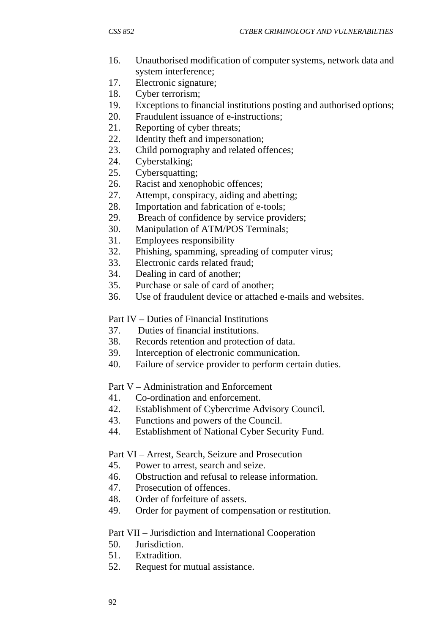- 16. Unauthorised modification of computer systems, network data and system interference;
- 17. Electronic signature;
- 18. Cyber terrorism;
- 19. Exceptions to financial institutions posting and authorised options;
- 20. Fraudulent issuance of e-instructions;
- 21. Reporting of cyber threats;
- 22. Identity theft and impersonation;
- 23. Child pornography and related offences;
- 24. Cyberstalking;
- 25. Cybersquatting;
- 26. Racist and xenophobic offences;
- 27. Attempt, conspiracy, aiding and abetting;
- 28. Importation and fabrication of e-tools;
- 29. Breach of confidence by service providers;
- 30. Manipulation of ATM/POS Terminals;
- 31. Employees responsibility
- 32. Phishing, spamming, spreading of computer virus;
- 33. Electronic cards related fraud;
- 34. Dealing in card of another;
- 35. Purchase or sale of card of another;
- 36. Use of fraudulent device or attached e-mails and websites.

Part IV – Duties of Financial Institutions

- 37. Duties of financial institutions.
- 38. Records retention and protection of data.
- 39. Interception of electronic communication.
- 40. Failure of service provider to perform certain duties.

Part V – Administration and Enforcement

- 41. Co-ordination and enforcement.
- 42. Establishment of Cybercrime Advisory Council.
- 43. Functions and powers of the Council.
- 44. Establishment of National Cyber Security Fund.

Part VI – Arrest, Search, Seizure and Prosecution

- 45. Power to arrest, search and seize.
- 46. Obstruction and refusal to release information.
- 47. Prosecution of offences.
- 48. Order of forfeiture of assets.
- 49. Order for payment of compensation or restitution.

#### Part VII – Jurisdiction and International Cooperation

- 50. Jurisdiction.
- 51. Extradition.
- 52. Request for mutual assistance.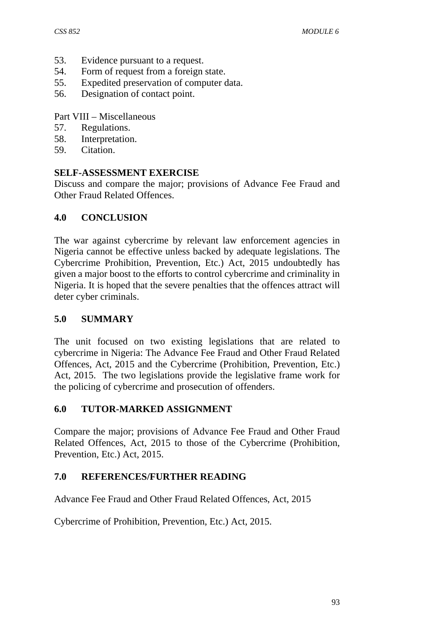- 53. Evidence pursuant to a request.
- 54. Form of request from a foreign state.
- 55. Expedited preservation of computer data.
- 56. Designation of contact point.

Part VIII – Miscellaneous

- 57. Regulations.
- 58. Interpretation.
- 59. Citation.

#### **SELF-ASSESSMENT EXERCISE**

Discuss and compare the major; provisions of Advance Fee Fraud and Other Fraud Related Offences.

#### **4.0 CONCLUSION**

The war against cybercrime by relevant law enforcement agencies in Nigeria cannot be effective unless backed by adequate legislations. The Cybercrime Prohibition, Prevention, Etc.) Act, 2015 undoubtedly has given a major boost to the efforts to control cybercrime and criminality in Nigeria. It is hoped that the severe penalties that the offences attract will deter cyber criminals.

#### **5.0 SUMMARY**

The unit focused on two existing legislations that are related to cybercrime in Nigeria: The Advance Fee Fraud and Other Fraud Related Offences, Act, 2015 and the Cybercrime (Prohibition, Prevention, Etc.) Act, 2015. The two legislations provide the legislative frame work for the policing of cybercrime and prosecution of offenders.

#### **6.0 TUTOR-MARKED ASSIGNMENT**

Compare the major; provisions of Advance Fee Fraud and Other Fraud Related Offences, Act, 2015 to those of the Cybercrime (Prohibition, Prevention, Etc.) Act, 2015.

### **7.0 REFERENCES/FURTHER READING**

Advance Fee Fraud and Other Fraud Related Offences, Act, 2015

Cybercrime of Prohibition, Prevention, Etc.) Act, 2015.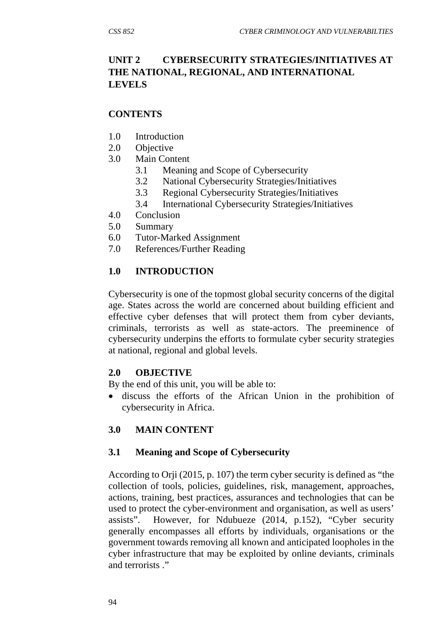# **UNIT 2 CYBERSECURITY STRATEGIES/INITIATIVES AT THE NATIONAL, REGIONAL, AND INTERNATIONAL LEVELS**

### **CONTENTS**

- 1.0 Introduction
- 2.0 Objective
- 3.0 Main Content
	- 3.1 Meaning and Scope of Cybersecurity
	- 3.2 National Cybersecurity Strategies/Initiatives
	- 3.3 Regional Cybersecurity Strategies/Initiatives
	- 3.4 International Cybersecurity Strategies/Initiatives
- 4.0 Conclusion
- 5.0 Summary
- 6.0 Tutor-Marked Assignment
- 7.0 References/Further Reading

## **1.0 INTRODUCTION**

Cybersecurity is one of the topmost global security concerns of the digital age. States across the world are concerned about building efficient and effective cyber defenses that will protect them from cyber deviants, criminals, terrorists as well as state-actors. The preeminence of cybersecurity underpins the efforts to formulate cyber security strategies at national, regional and global levels.

### **2.0 OBJECTIVE**

By the end of this unit, you will be able to:

 discuss the efforts of the African Union in the prohibition of cybersecurity in Africa.

# **3.0 MAIN CONTENT**

### **3.1 Meaning and Scope of Cybersecurity**

According to Orji (2015, p. 107) the term cyber security is defined as "the collection of tools, policies, guidelines, risk, management, approaches, actions, training, best practices, assurances and technologies that can be used to protect the cyber-environment and organisation, as well as users' assists". However, for Ndubueze (2014, p.152), "Cyber security generally encompasses all efforts by individuals, organisations or the government towards removing all known and anticipated loopholes in the cyber infrastructure that may be exploited by online deviants, criminals and terrorists ."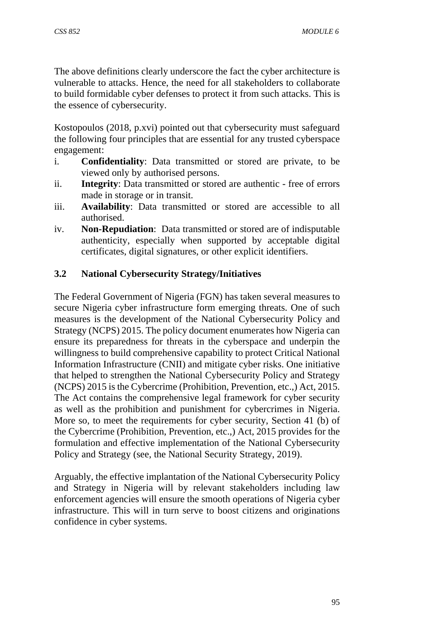The above definitions clearly underscore the fact the cyber architecture is vulnerable to attacks. Hence, the need for all stakeholders to collaborate to build formidable cyber defenses to protect it from such attacks. This is the essence of cybersecurity.

Kostopoulos (2018, p.xvi) pointed out that cybersecurity must safeguard the following four principles that are essential for any trusted cyberspace engagement:

- i. **Confidentiality**: Data transmitted or stored are private, to be viewed only by authorised persons.
- ii. **Integrity**: Data transmitted or stored are authentic free of errors made in storage or in transit.
- iii. **Availability**: Data transmitted or stored are accessible to all authorised.
- iv. **Non-Repudiation**: Data transmitted or stored are of indisputable authenticity, especially when supported by acceptable digital certificates, digital signatures, or other explicit identifiers.

## **3.2 National Cybersecurity Strategy/Initiatives**

The Federal Government of Nigeria (FGN) has taken several measures to secure Nigeria cyber infrastructure form emerging threats. One of such measures is the development of the National Cybersecurity Policy and Strategy (NCPS) 2015. The policy document enumerates how Nigeria can ensure its preparedness for threats in the cyberspace and underpin the willingness to build comprehensive capability to protect Critical National Information Infrastructure (CNII) and mitigate cyber risks. One initiative that helped to strengthen the National Cybersecurity Policy and Strategy (NCPS) 2015 is the Cybercrime (Prohibition, Prevention, etc.,) Act, 2015. The Act contains the comprehensive legal framework for cyber security as well as the prohibition and punishment for cybercrimes in Nigeria. More so, to meet the requirements for cyber security, Section 41 (b) of the Cybercrime (Prohibition, Prevention, etc.,) Act, 2015 provides for the formulation and effective implementation of the National Cybersecurity Policy and Strategy (see, the National Security Strategy, 2019).

Arguably, the effective implantation of the National Cybersecurity Policy and Strategy in Nigeria will by relevant stakeholders including law enforcement agencies will ensure the smooth operations of Nigeria cyber infrastructure. This will in turn serve to boost citizens and originations confidence in cyber systems.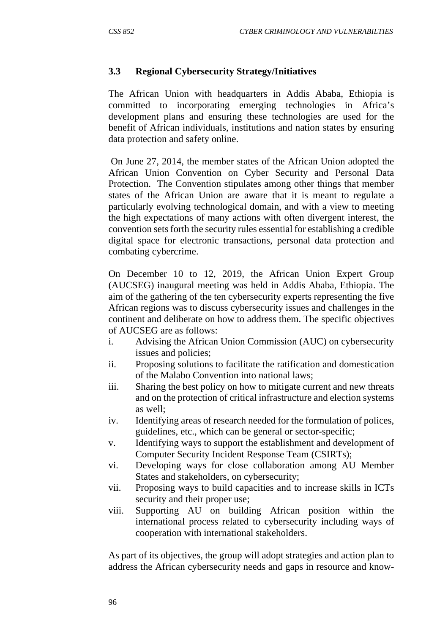#### **3.3 Regional Cybersecurity Strategy/Initiatives**

The African Union with headquarters in Addis Ababa, Ethiopia is committed to incorporating emerging technologies in Africa's development plans and ensuring these technologies are used for the benefit of African individuals, institutions and nation states by ensuring data protection and safety online.

 On June 27, 2014, the member states of the African Union adopted the African Union Convention on Cyber Security and Personal Data Protection. The Convention stipulates among other things that member states of the African Union are aware that it is meant to regulate a particularly evolving technological domain, and with a view to meeting the high expectations of many actions with often divergent interest, the convention sets forth the security rules essential for establishing a credible digital space for electronic transactions, personal data protection and combating cybercrime.

On December 10 to 12, 2019, the African Union Expert Group (AUCSEG) inaugural meeting was held in Addis Ababa, Ethiopia. The aim of the gathering of the ten cybersecurity experts representing the five African regions was to discuss cybersecurity issues and challenges in the continent and deliberate on how to address them. The specific objectives of AUCSEG are as follows:

- i. Advising the African Union Commission (AUC) on cybersecurity issues and policies;
- ii. Proposing solutions to facilitate the ratification and domestication of the Malabo Convention into national laws;
- iii. Sharing the best policy on how to mitigate current and new threats and on the protection of critical infrastructure and election systems as well;
- iv. Identifying areas of research needed for the formulation of polices, guidelines, etc., which can be general or sector-specific;
- v. Identifying ways to support the establishment and development of Computer Security Incident Response Team (CSIRTs);
- vi. Developing ways for close collaboration among AU Member States and stakeholders, on cybersecurity;
- vii. Proposing ways to build capacities and to increase skills in ICTs security and their proper use;
- viii. Supporting AU on building African position within the international process related to cybersecurity including ways of cooperation with international stakeholders.

As part of its objectives, the group will adopt strategies and action plan to address the African cybersecurity needs and gaps in resource and know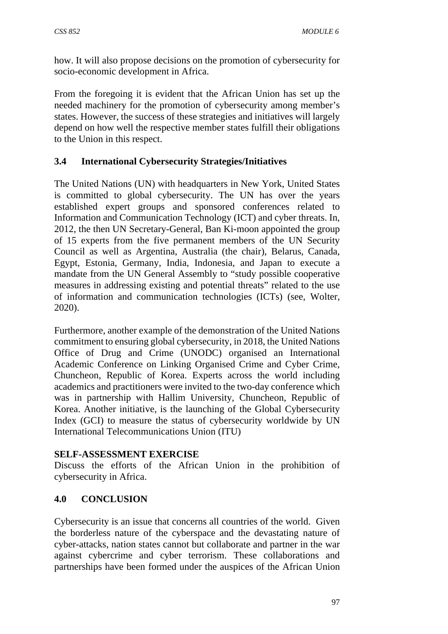how. It will also propose decisions on the promotion of cybersecurity for socio-economic development in Africa.

From the foregoing it is evident that the African Union has set up the needed machinery for the promotion of cybersecurity among member's states. However, the success of these strategies and initiatives will largely depend on how well the respective member states fulfill their obligations to the Union in this respect.

## **3.4 International Cybersecurity Strategies/Initiatives**

The United Nations (UN) with headquarters in New York, United States is committed to global cybersecurity. The UN has over the years established expert groups and sponsored conferences related to Information and Communication Technology (ICT) and cyber threats. In, 2012, the then UN Secretary-General, Ban Ki-moon appointed the group of 15 experts from the five permanent members of the UN Security Council as well as Argentina, Australia (the chair), Belarus, Canada, Egypt, Estonia, Germany, India, Indonesia, and Japan to execute a mandate from the UN General Assembly to "study possible cooperative measures in addressing existing and potential threats" related to the use of information and communication technologies (ICTs) (see, Wolter, 2020).

Furthermore, another example of the demonstration of the United Nations commitment to ensuring global cybersecurity, in 2018, the United Nations Office of Drug and Crime (UNODC) organised an International Academic Conference on Linking Organised Crime and Cyber Crime, Chuncheon, Republic of Korea. Experts across the world including academics and practitioners were invited to the two-day conference which was in partnership with Hallim University, Chuncheon, Republic of Korea. Another initiative, is the launching of the Global Cybersecurity Index (GCI) to measure the status of cybersecurity worldwide by UN International Telecommunications Union (ITU)

### **SELF-ASSESSMENT EXERCISE**

Discuss the efforts of the African Union in the prohibition of cybersecurity in Africa.

### **4.0 CONCLUSION**

Cybersecurity is an issue that concerns all countries of the world. Given the borderless nature of the cyberspace and the devastating nature of cyber-attacks, nation states cannot but collaborate and partner in the war against cybercrime and cyber terrorism. These collaborations and partnerships have been formed under the auspices of the African Union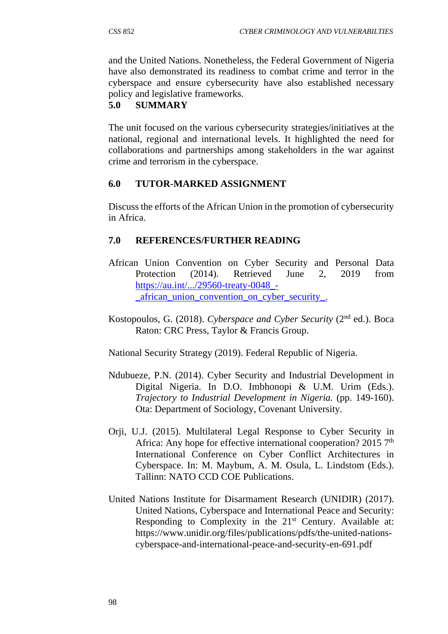and the United Nations. Nonetheless, the Federal Government of Nigeria have also demonstrated its readiness to combat crime and terror in the cyberspace and ensure cybersecurity have also established necessary policy and legislative frameworks.

# **5.0 SUMMARY**

The unit focused on the various cybersecurity strategies/initiatives at the national, regional and international levels. It highlighted the need for collaborations and partnerships among stakeholders in the war against crime and terrorism in the cyberspace.

### **6.0 TUTOR-MARKED ASSIGNMENT**

Discuss the efforts of the African Union in the promotion of cybersecurity in Africa.

# **7.0 REFERENCES/FURTHER READING**

- African Union Convention on Cyber Security and Personal Data Protection (2014). Retrieved June 2, 2019 from https://au.int/.../29560-treaty-0048\_- \_african\_union\_convention\_on\_cyber\_security\_.
- Kostopoulos, G. (2018). *Cyberspace and Cyber Security* (2nd ed.). Boca Raton: CRC Press, Taylor & Francis Group.

National Security Strategy (2019). Federal Republic of Nigeria.

- Ndubueze, P.N. (2014). Cyber Security and Industrial Development in Digital Nigeria. In D.O. Imbhonopi & U.M. Urim (Eds.). *Trajectory to Industrial Development in Nigeria.* (pp. 149-160). Ota: Department of Sociology, Covenant University.
- Orji, U.J. (2015). Multilateral Legal Response to Cyber Security in Africa: Any hope for effective international cooperation?  $20157<sup>th</sup>$ International Conference on Cyber Conflict Architectures in Cyberspace. In: M. Maybum, A. M. Osula, L. Lindstom (Eds.). Tallinn: NATO CCD COE Publications.
- United Nations Institute for Disarmament Research (UNIDIR) (2017). United Nations, Cyberspace and International Peace and Security: Responding to Complexity in the 21<sup>st</sup> Century. Available at: https://www.unidir.org/files/publications/pdfs/the-united-nationscyberspace-and-international-peace-and-security-en-691.pdf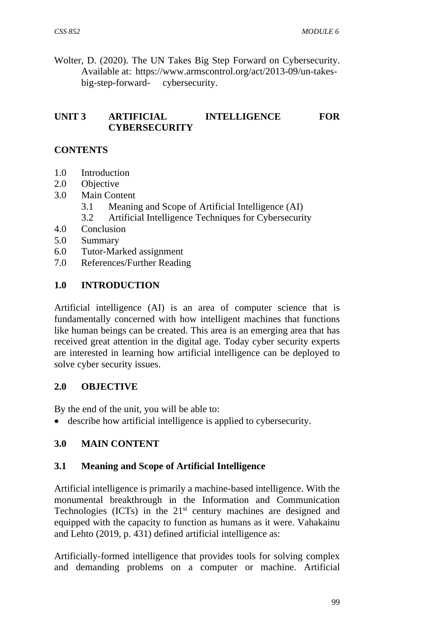Wolter, D. (2020). The UN Takes Big Step Forward on Cybersecurity. Available at: https://www.armscontrol.org/act/2013-09/un-takesbig-step-forward- cybersecurity.

### **UNIT 3 ARTIFICIAL INTELLIGENCE FOR CYBERSECURITY**

### **CONTENTS**

- 1.0 Introduction
- 2.0 Objective
- 3.0 Main Content
	- 3.1 Meaning and Scope of Artificial Intelligence (AI)
	- 3.2 Artificial Intelligence Techniques for Cybersecurity
- 4.0 Conclusion
- 5.0 Summary
- 6.0 Tutor-Marked assignment
- 7.0 References/Further Reading

### **1.0 INTRODUCTION**

Artificial intelligence (AI) is an area of computer science that is fundamentally concerned with how intelligent machines that functions like human beings can be created. This area is an emerging area that has received great attention in the digital age. Today cyber security experts are interested in learning how artificial intelligence can be deployed to solve cyber security issues.

#### **2.0 OBJECTIVE**

By the end of the unit, you will be able to:

describe how artificial intelligence is applied to cybersecurity.

### **3.0 MAIN CONTENT**

#### **3.1 Meaning and Scope of Artificial Intelligence**

Artificial intelligence is primarily a machine-based intelligence. With the monumental breakthrough in the Information and Communication Technologies (ICTs) in the 21<sup>st</sup> century machines are designed and equipped with the capacity to function as humans as it were. Vahakainu and Lehto (2019, p. 431) defined artificial intelligence as:

Artificially-formed intelligence that provides tools for solving complex and demanding problems on a computer or machine. Artificial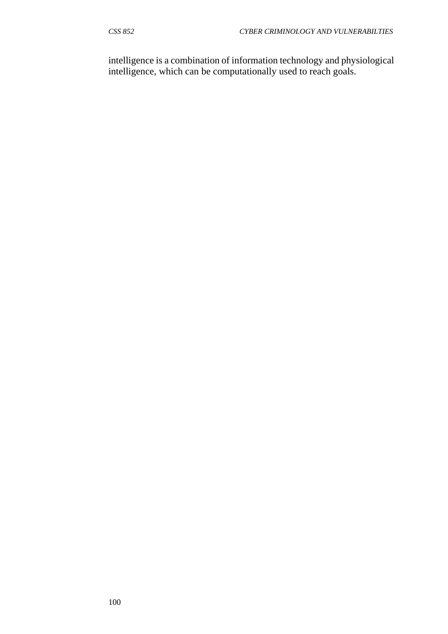intelligence is a combination of information technology and physiological intelligence, which can be computationally used to reach goals.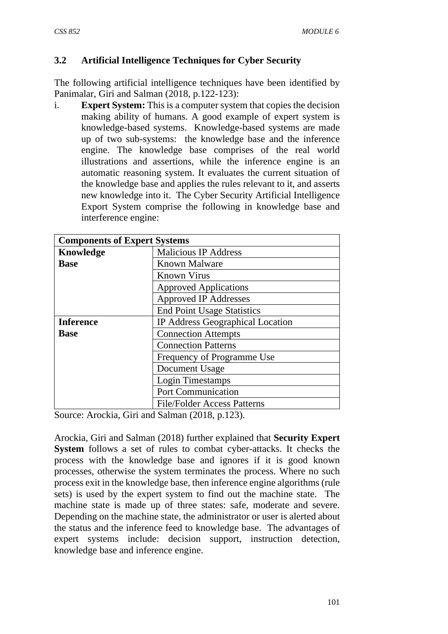# **3.2 Artificial Intelligence Techniques for Cyber Security**

The following artificial intelligence techniques have been identified by Panimalar, Giri and Salman (2018, p.122-123):

i. **Expert System:** This is a computer system that copies the decision making ability of humans. A good example of expert system is knowledge-based systems. Knowledge-based systems are made up of two sub-systems: the knowledge base and the inference engine. The knowledge base comprises of the real world illustrations and assertions, while the inference engine is an automatic reasoning system. It evaluates the current situation of the knowledge base and applies the rules relevant to it, and asserts new knowledge into it. The Cyber Security Artificial Intelligence Export System comprise the following in knowledge base and interference engine:

| <b>Components of Expert Systems</b> |                                    |
|-------------------------------------|------------------------------------|
| Knowledge                           | <b>Malicious IP Address</b>        |
| <b>Base</b>                         | <b>Known Malware</b>               |
|                                     | <b>Known Virus</b>                 |
|                                     | <b>Approved Applications</b>       |
|                                     | <b>Approved IP Addresses</b>       |
|                                     | <b>End Point Usage Statistics</b>  |
| <b>Inference</b>                    | IP Address Geographical Location   |
| <b>Base</b>                         | <b>Connection Attempts</b>         |
|                                     | <b>Connection Patterns</b>         |
|                                     | Frequency of Programme Use         |
|                                     | Document Usage                     |
|                                     | Login Timestamps                   |
|                                     | <b>Port Communication</b>          |
|                                     | <b>File/Folder Access Patterns</b> |

Source: Arockia, Giri and Salman (2018, p.123).

Arockia, Giri and Salman (2018) further explained that **Security Expert System** follows a set of rules to combat cyber-attacks. It checks the process with the knowledge base and ignores if it is good known processes, otherwise the system terminates the process. Where no such process exit in the knowledge base, then inference engine algorithms (rule sets) is used by the expert system to find out the machine state. The machine state is made up of three states: safe, moderate and severe. Depending on the machine state, the administrator or user is alerted about the status and the inference feed to knowledge base. The advantages of expert systems include: decision support, instruction detection, knowledge base and inference engine.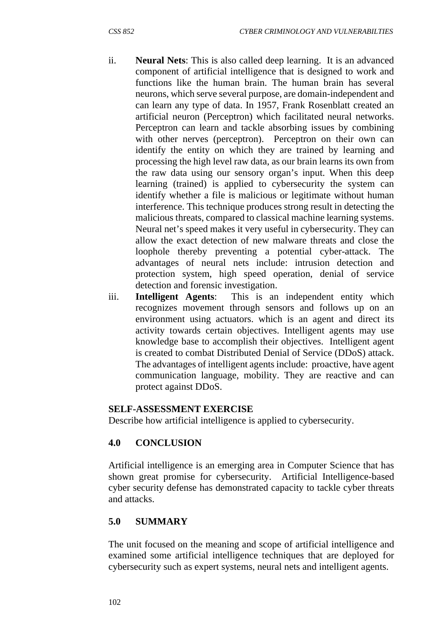- ii. **Neural Nets**: This is also called deep learning. It is an advanced component of artificial intelligence that is designed to work and functions like the human brain. The human brain has several neurons, which serve several purpose, are domain-independent and can learn any type of data. In 1957, Frank Rosenblatt created an artificial neuron (Perceptron) which facilitated neural networks. Perceptron can learn and tackle absorbing issues by combining with other nerves (perceptron). Perceptron on their own can identify the entity on which they are trained by learning and processing the high level raw data, as our brain learns its own from the raw data using our sensory organ's input. When this deep learning (trained) is applied to cybersecurity the system can identify whether a file is malicious or legitimate without human interference. This technique produces strong result in detecting the malicious threats, compared to classical machine learning systems. Neural net's speed makes it very useful in cybersecurity. They can allow the exact detection of new malware threats and close the loophole thereby preventing a potential cyber-attack. The advantages of neural nets include: intrusion detection and protection system, high speed operation, denial of service detection and forensic investigation.
- iii. **Intelligent Agents**: This is an independent entity which recognizes movement through sensors and follows up on an environment using actuators. which is an agent and direct its activity towards certain objectives. Intelligent agents may use knowledge base to accomplish their objectives. Intelligent agent is created to combat Distributed Denial of Service (DDoS) attack. The advantages of intelligent agents include: proactive, have agent communication language, mobility. They are reactive and can protect against DDoS.

### **SELF-ASSESSMENT EXERCISE**

Describe how artificial intelligence is applied to cybersecurity.

# **4.0 CONCLUSION**

Artificial intelligence is an emerging area in Computer Science that has shown great promise for cybersecurity. Artificial Intelligence-based cyber security defense has demonstrated capacity to tackle cyber threats and attacks.

# **5.0 SUMMARY**

The unit focused on the meaning and scope of artificial intelligence and examined some artificial intelligence techniques that are deployed for cybersecurity such as expert systems, neural nets and intelligent agents.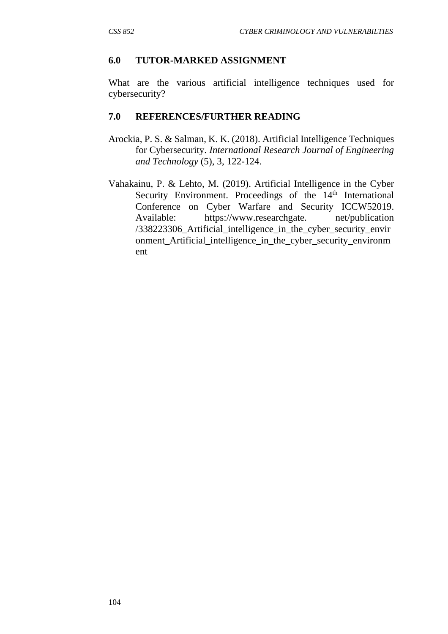#### **6.0 TUTOR-MARKED ASSIGNMENT**

What are the various artificial intelligence techniques used for cybersecurity?

#### **7.0 REFERENCES/FURTHER READING**

- Arockia, P. S. & Salman, K. K. (2018). Artificial Intelligence Techniques for Cybersecurity. *International Research Journal of Engineering and Technology* (5), 3, 122-124.
- Vahakainu, P. & Lehto, M. (2019). Artificial Intelligence in the Cyber Security Environment. Proceedings of the 14<sup>th</sup> International Conference on Cyber Warfare and Security ICCW52019. Available: https://www.researchgate. net/publication /338223306\_Artificial\_intelligence\_in\_the\_cyber\_security\_envir onment Artificial intelligence in the cyber security environm ent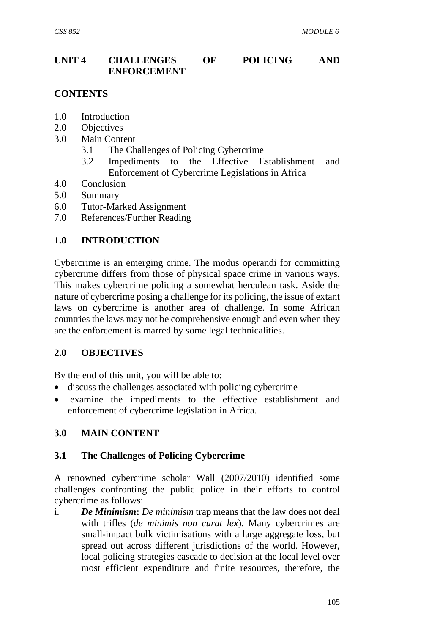# **UNIT 4 CHALLENGES OF POLICING AND ENFORCEMENT**

# **CONTENTS**

- 1.0 Introduction
- 2.0 Objectives
- 3.0 Main Content
	- 3.1 The Challenges of Policing Cybercrime
	- 3.2 Impediments to the Effective Establishment and Enforcement of Cybercrime Legislations in Africa
- 4.0 Conclusion
- 5.0 Summary
- 6.0 Tutor-Marked Assignment
- 7.0 References/Further Reading

### **1.0 INTRODUCTION**

Cybercrime is an emerging crime. The modus operandi for committing cybercrime differs from those of physical space crime in various ways. This makes cybercrime policing a somewhat herculean task. Aside the nature of cybercrime posing a challenge for its policing, the issue of extant laws on cybercrime is another area of challenge. In some African countries the laws may not be comprehensive enough and even when they are the enforcement is marred by some legal technicalities.

### **2.0 OBJECTIVES**

By the end of this unit, you will be able to:

- discuss the challenges associated with policing cybercrime
- examine the impediments to the effective establishment and enforcement of cybercrime legislation in Africa.

### **3.0 MAIN CONTENT**

#### **3.1 The Challenges of Policing Cybercrime**

A renowned cybercrime scholar Wall (2007/2010) identified some challenges confronting the public police in their efforts to control cybercrime as follows:

i. *De Minimism***:** *De minimism* trap means that the law does not deal with trifles (*de minimis non curat lex*). Many cybercrimes are small-impact bulk victimisations with a large aggregate loss, but spread out across different jurisdictions of the world. However, local policing strategies cascade to decision at the local level over most efficient expenditure and finite resources, therefore, the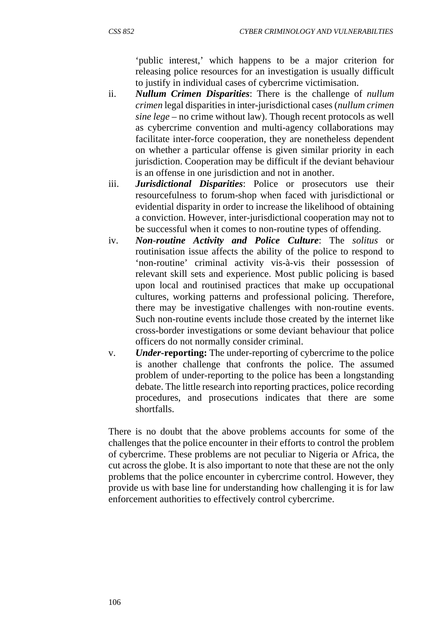'public interest,' which happens to be a major criterion for releasing police resources for an investigation is usually difficult to justify in individual cases of cybercrime victimisation.

- ii. *Nullum Crimen Disparities*: There is the challenge of *nullum crimen* legal disparities in inter-jurisdictional cases (*nullum crimen sine lege* – no crime without law). Though recent protocols as well as cybercrime convention and multi-agency collaborations may facilitate inter-force cooperation, they are nonetheless dependent on whether a particular offense is given similar priority in each jurisdiction. Cooperation may be difficult if the deviant behaviour is an offense in one jurisdiction and not in another.
- iii. *Jurisdictional Disparities*: Police or prosecutors use their resourcefulness to forum-shop when faced with jurisdictional or evidential disparity in order to increase the likelihood of obtaining a conviction. However, inter-jurisdictional cooperation may not to be successful when it comes to non-routine types of offending.
- iv. *Non*-*routine Activity and Police Culture*: The *solitus* or routinisation issue affects the ability of the police to respond to 'non-routine' criminal activity vis-à-vis their possession of relevant skill sets and experience. Most public policing is based upon local and routinised practices that make up occupational cultures, working patterns and professional policing. Therefore, there may be investigative challenges with non-routine events. Such non-routine events include those created by the internet like cross-border investigations or some deviant behaviour that police officers do not normally consider criminal.
- v. *Under***-reporting:** The under-reporting of cybercrime to the police is another challenge that confronts the police. The assumed problem of under-reporting to the police has been a longstanding debate. The little research into reporting practices, police recording procedures, and prosecutions indicates that there are some shortfalls.

There is no doubt that the above problems accounts for some of the challenges that the police encounter in their efforts to control the problem of cybercrime. These problems are not peculiar to Nigeria or Africa, the cut across the globe. It is also important to note that these are not the only problems that the police encounter in cybercrime control. However, they provide us with base line for understanding how challenging it is for law enforcement authorities to effectively control cybercrime.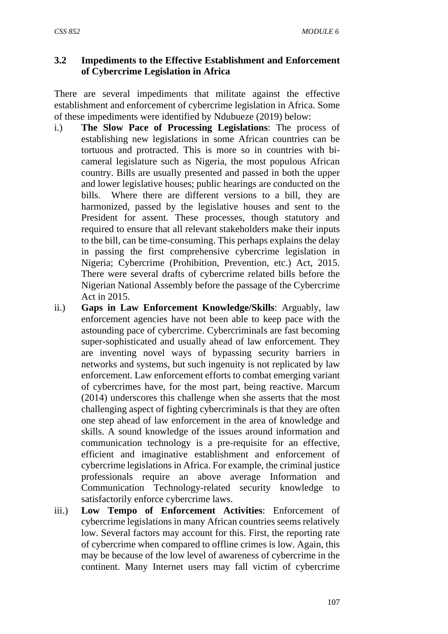# **3.2 Impediments to the Effective Establishment and Enforcement of Cybercrime Legislation in Africa**

There are several impediments that militate against the effective establishment and enforcement of cybercrime legislation in Africa. Some of these impediments were identified by Ndubueze (2019) below:

- i.) **The Slow Pace of Processing Legislations**: The process of establishing new legislations in some African countries can be tortuous and protracted. This is more so in countries with bicameral legislature such as Nigeria, the most populous African country. Bills are usually presented and passed in both the upper and lower legislative houses; public hearings are conducted on the bills. Where there are different versions to a bill, they are harmonized, passed by the legislative houses and sent to the President for assent. These processes, though statutory and required to ensure that all relevant stakeholders make their inputs to the bill, can be time-consuming. This perhaps explains the delay in passing the first comprehensive cybercrime legislation in Nigeria; Cybercrime (Prohibition, Prevention, etc.) Act, 2015. There were several drafts of cybercrime related bills before the Nigerian National Assembly before the passage of the Cybercrime Act in 2015.
- ii.) **Gaps in Law Enforcement Knowledge/Skills**: Arguably, law enforcement agencies have not been able to keep pace with the astounding pace of cybercrime. Cybercriminals are fast becoming super-sophisticated and usually ahead of law enforcement. They are inventing novel ways of bypassing security barriers in networks and systems, but such ingenuity is not replicated by law enforcement. Law enforcement efforts to combat emerging variant of cybercrimes have, for the most part, being reactive. Marcum (2014) underscores this challenge when she asserts that the most challenging aspect of fighting cybercriminals is that they are often one step ahead of law enforcement in the area of knowledge and skills. A sound knowledge of the issues around information and communication technology is a pre-requisite for an effective, efficient and imaginative establishment and enforcement of cybercrime legislations in Africa. For example, the criminal justice professionals require an above average Information and Communication Technology-related security knowledge to satisfactorily enforce cybercrime laws.
- iii.) **Low Tempo of Enforcement Activities**: Enforcement of cybercrime legislations in many African countries seems relatively low. Several factors may account for this. First, the reporting rate of cybercrime when compared to offline crimes is low. Again, this may be because of the low level of awareness of cybercrime in the continent. Many Internet users may fall victim of cybercrime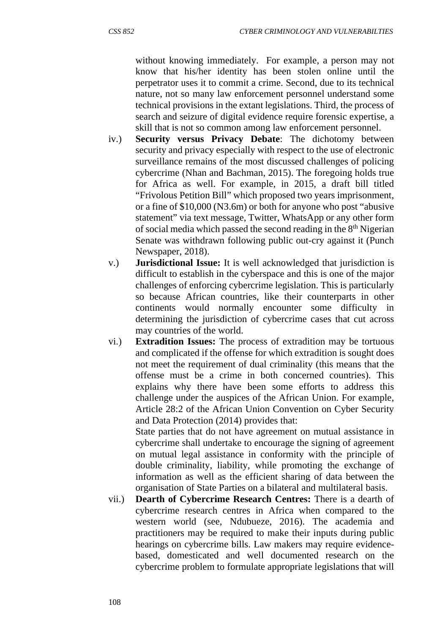without knowing immediately. For example, a person may not know that his/her identity has been stolen online until the perpetrator uses it to commit a crime. Second, due to its technical nature, not so many law enforcement personnel understand some technical provisions in the extant legislations. Third, the process of search and seizure of digital evidence require forensic expertise, a skill that is not so common among law enforcement personnel.

- iv.) **Security versus Privacy Debate**: The dichotomy between security and privacy especially with respect to the use of electronic surveillance remains of the most discussed challenges of policing cybercrime (Nhan and Bachman, 2015). The foregoing holds true for Africa as well. For example, in 2015, a draft bill titled "Frivolous Petition Bill" which proposed two years imprisonment, or a fine of \$10,000 (N3.6m) or both for anyone who post "abusive statement" via text message, Twitter, WhatsApp or any other form of social media which passed the second reading in the 8th Nigerian Senate was withdrawn following public out-cry against it (Punch Newspaper, 2018).
- v.) **Jurisdictional Issue:** It is well acknowledged that jurisdiction is difficult to establish in the cyberspace and this is one of the major challenges of enforcing cybercrime legislation. This is particularly so because African countries, like their counterparts in other continents would normally encounter some difficulty in determining the jurisdiction of cybercrime cases that cut across may countries of the world.
- vi.) **Extradition Issues:** The process of extradition may be tortuous and complicated if the offense for which extradition is sought does not meet the requirement of dual criminality (this means that the offense must be a crime in both concerned countries). This explains why there have been some efforts to address this challenge under the auspices of the African Union. For example, Article 28:2 of the African Union Convention on Cyber Security and Data Protection (2014) provides that:

State parties that do not have agreement on mutual assistance in cybercrime shall undertake to encourage the signing of agreement on mutual legal assistance in conformity with the principle of double criminality, liability, while promoting the exchange of information as well as the efficient sharing of data between the organisation of State Parties on a bilateral and multilateral basis.

vii.) **Dearth of Cybercrime Research Centres:** There is a dearth of cybercrime research centres in Africa when compared to the western world (see, Ndubueze, 2016). The academia and practitioners may be required to make their inputs during public hearings on cybercrime bills. Law makers may require evidencebased, domesticated and well documented research on the cybercrime problem to formulate appropriate legislations that will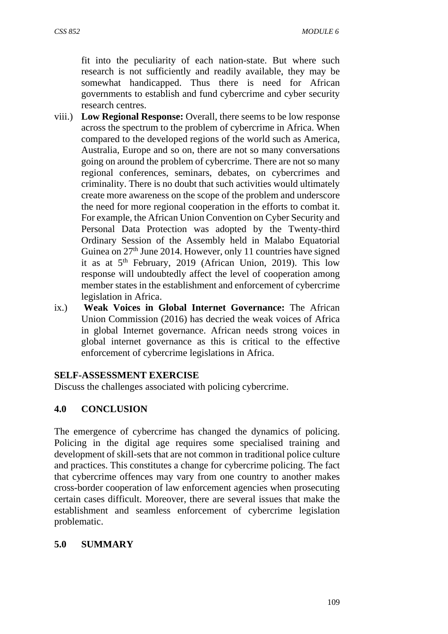fit into the peculiarity of each nation-state. But where such research is not sufficiently and readily available, they may be somewhat handicapped. Thus there is need for African governments to establish and fund cybercrime and cyber security research centres.

- viii.) **Low Regional Response:** Overall, there seems to be low response across the spectrum to the problem of cybercrime in Africa. When compared to the developed regions of the world such as America, Australia, Europe and so on, there are not so many conversations going on around the problem of cybercrime. There are not so many regional conferences, seminars, debates, on cybercrimes and criminality. There is no doubt that such activities would ultimately create more awareness on the scope of the problem and underscore the need for more regional cooperation in the efforts to combat it. For example, the African Union Convention on Cyber Security and Personal Data Protection was adopted by the Twenty-third Ordinary Session of the Assembly held in Malabo Equatorial Guinea on 27<sup>th</sup> June 2014. However, only 11 countries have signed it as at 5th February, 2019 (African Union, 2019). This low response will undoubtedly affect the level of cooperation among member states in the establishment and enforcement of cybercrime legislation in Africa.
- ix.) **Weak Voices in Global Internet Governance:** The African Union Commission (2016) has decried the weak voices of Africa in global Internet governance. African needs strong voices in global internet governance as this is critical to the effective enforcement of cybercrime legislations in Africa.

#### **SELF-ASSESSMENT EXERCISE**

Discuss the challenges associated with policing cybercrime.

### **4.0 CONCLUSION**

The emergence of cybercrime has changed the dynamics of policing. Policing in the digital age requires some specialised training and development of skill-sets that are not common in traditional police culture and practices. This constitutes a change for cybercrime policing. The fact that cybercrime offences may vary from one country to another makes cross-border cooperation of law enforcement agencies when prosecuting certain cases difficult. Moreover, there are several issues that make the establishment and seamless enforcement of cybercrime legislation problematic.

### **5.0 SUMMARY**